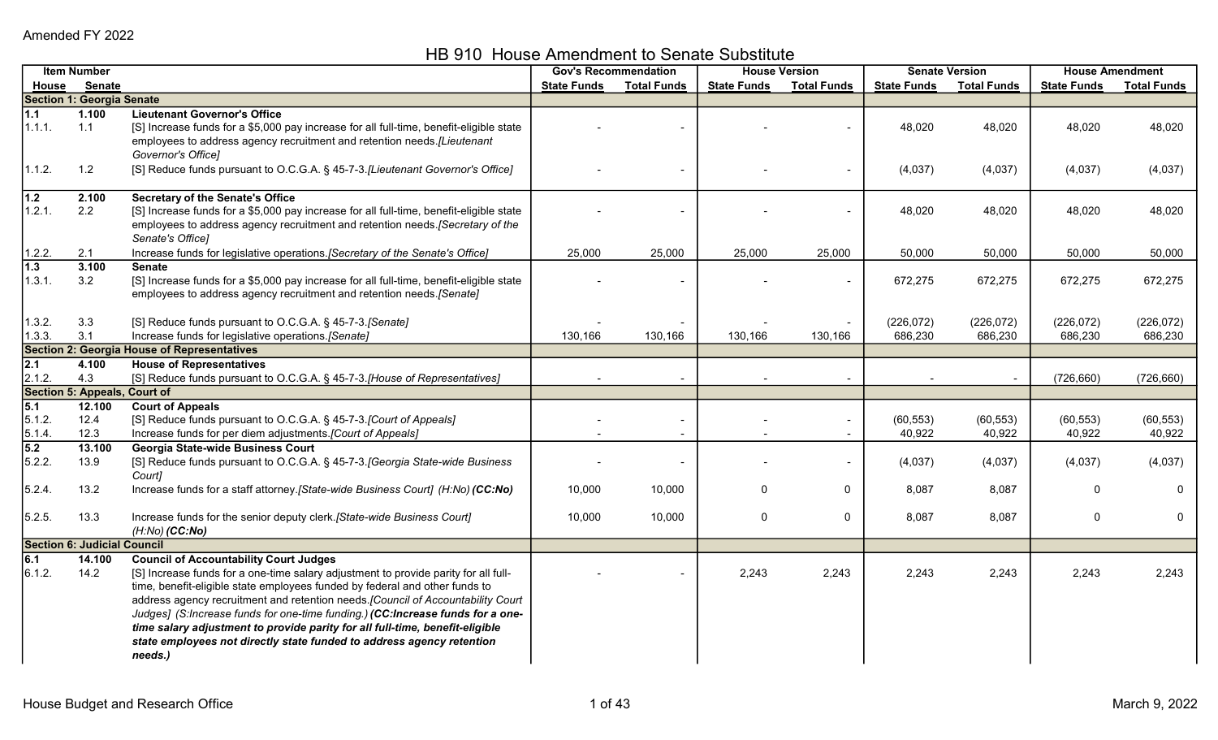HB 910 House Amendment to Senate Substitute

|                                      | <b>Item Number</b>                 |                                                                                                                                                                                                                                                                                                                                                                                                                                                                                                                                                               |                    | <b>Gov's Recommendation</b> |                    | <b>House Version</b> |                       | <b>Senate Version</b> |                       | <b>House Amendment</b> |  |
|--------------------------------------|------------------------------------|---------------------------------------------------------------------------------------------------------------------------------------------------------------------------------------------------------------------------------------------------------------------------------------------------------------------------------------------------------------------------------------------------------------------------------------------------------------------------------------------------------------------------------------------------------------|--------------------|-----------------------------|--------------------|----------------------|-----------------------|-----------------------|-----------------------|------------------------|--|
| House                                | <b>Senate</b>                      |                                                                                                                                                                                                                                                                                                                                                                                                                                                                                                                                                               | <b>State Funds</b> | <b>Total Funds</b>          | <b>State Funds</b> | <b>Total Funds</b>   | <b>State Funds</b>    | <b>Total Funds</b>    | <b>State Funds</b>    | <b>Total Funds</b>     |  |
|                                      | <b>Section 1: Georgia Senate</b>   |                                                                                                                                                                                                                                                                                                                                                                                                                                                                                                                                                               |                    |                             |                    |                      |                       |                       |                       |                        |  |
| 1.1<br>1.1.1.                        | 1.100<br>1.1                       | <b>Lieutenant Governor's Office</b><br>[S] Increase funds for a \$5,000 pay increase for all full-time, benefit-eligible state<br>employees to address agency recruitment and retention needs. [Lieutenant                                                                                                                                                                                                                                                                                                                                                    |                    |                             |                    |                      | 48,020                | 48,020                | 48,020                | 48,020                 |  |
| 1.1.2.                               | 1.2                                | Governor's Office]<br>[S] Reduce funds pursuant to O.C.G.A. § 45-7-3.[Lieutenant Governor's Office]                                                                                                                                                                                                                                                                                                                                                                                                                                                           |                    |                             |                    |                      | (4,037)               | (4,037)               | (4,037)               | (4,037)                |  |
| 1.2<br>1.2.1.                        | 2.100<br>2.2                       | <b>Secretary of the Senate's Office</b><br>[S] Increase funds for a \$5,000 pay increase for all full-time, benefit-eligible state<br>employees to address agency recruitment and retention needs. [Secretary of the<br>Senate's Office]                                                                                                                                                                                                                                                                                                                      |                    |                             |                    |                      | 48,020                | 48,020                | 48,020                | 48,020                 |  |
| 1.2.2.                               | 2.1                                | Increase funds for legislative operations. [Secretary of the Senate's Office]                                                                                                                                                                                                                                                                                                                                                                                                                                                                                 | 25,000             | 25,000                      | 25,000             | 25,000               | 50,000                | 50,000                | 50,000                | 50,000                 |  |
| $1.3$<br>1.3.1.                      | 3.100<br>3.2                       | <b>Senate</b><br>[S] Increase funds for a \$5,000 pay increase for all full-time, benefit-eligible state<br>employees to address agency recruitment and retention needs.[Senate]                                                                                                                                                                                                                                                                                                                                                                              |                    |                             |                    |                      | 672,275               | 672,275               | 672,275               | 672,275                |  |
| 1.3.2.<br>1.3.3.                     | 3.3<br>3.1                         | [S] Reduce funds pursuant to O.C.G.A. § 45-7-3. [Senate]<br>Increase funds for legislative operations.[Senate]                                                                                                                                                                                                                                                                                                                                                                                                                                                | 130,166            | 130,166                     | 130,166            | 130,166              | (226, 072)<br>686,230 | (226, 072)<br>686,230 | (226, 072)<br>686,230 | (226, 072)<br>686,230  |  |
|                                      |                                    | <b>Section 2: Georgia House of Representatives</b>                                                                                                                                                                                                                                                                                                                                                                                                                                                                                                            |                    |                             |                    |                      |                       |                       |                       |                        |  |
| $\overline{2.1}$                     | 4.100                              | <b>House of Representatives</b>                                                                                                                                                                                                                                                                                                                                                                                                                                                                                                                               |                    |                             |                    |                      |                       |                       |                       |                        |  |
| 2.1.2.                               | 4.3                                | [S] Reduce funds pursuant to O.C.G.A. § 45-7-3.[House of Representatives]                                                                                                                                                                                                                                                                                                                                                                                                                                                                                     |                    |                             |                    |                      |                       |                       | (726, 660)            | (726, 660)             |  |
|                                      | Section 5: Appeals, Court of       |                                                                                                                                                                                                                                                                                                                                                                                                                                                                                                                                                               |                    |                             |                    |                      |                       |                       |                       |                        |  |
| $\overline{5.1}$<br>5.1.2.<br>5.1.4. | 12.100<br>12.4<br>12.3             | <b>Court of Appeals</b><br>[S] Reduce funds pursuant to O.C.G.A. § 45-7-3.[Court of Appeals]<br>Increase funds for per diem adjustments. [Court of Appeals]                                                                                                                                                                                                                                                                                                                                                                                                   |                    |                             |                    | $\blacksquare$       | (60, 553)<br>40,922   | (60, 553)<br>40,922   | (60, 553)<br>40,922   | (60, 553)<br>40,922    |  |
| 5.2<br>5.2.2.                        | 13.100<br>13.9                     | Georgia State-wide Business Court<br>[S] Reduce funds pursuant to O.C.G.A. § 45-7-3. [Georgia State-wide Business<br>Court]                                                                                                                                                                                                                                                                                                                                                                                                                                   |                    |                             |                    |                      | (4,037)               | (4,037)               | (4,037)               | (4,037)                |  |
| 5.2.4.                               | 13.2                               | Increase funds for a staff attorney.[State-wide Business Court] (H:No) (CC:No)                                                                                                                                                                                                                                                                                                                                                                                                                                                                                | 10,000             | 10,000                      | $\mathbf 0$        | $\mathbf{0}$         | 8,087                 | 8,087                 | $\Omega$              | $\Omega$               |  |
| 5.2.5.                               | 13.3                               | Increase funds for the senior deputy clerk. [State-wide Business Court]<br>$(H:No)$ (CC:No)                                                                                                                                                                                                                                                                                                                                                                                                                                                                   | 10,000             | 10,000                      | $\mathbf 0$        | $\mathbf 0$          | 8,087                 | 8,087                 | $\Omega$              | $\mathbf 0$            |  |
|                                      | <b>Section 6: Judicial Council</b> |                                                                                                                                                                                                                                                                                                                                                                                                                                                                                                                                                               |                    |                             |                    |                      |                       |                       |                       |                        |  |
| 6.1<br>6.1.2.                        | 14.100<br>14.2                     | <b>Council of Accountability Court Judges</b><br>[S] Increase funds for a one-time salary adjustment to provide parity for all full-<br>time, benefit-eligible state employees funded by federal and other funds to<br>address agency recruitment and retention needs. [Council of Accountability Court<br>Judges] (S:Increase funds for one-time funding.) (CC:Increase funds for a one-<br>time salary adjustment to provide parity for all full-time, benefit-eligible<br>state employees not directly state funded to address agency retention<br>needs.) |                    |                             | 2,243              | 2,243                | 2,243                 | 2,243                 | 2,243                 | 2,243                  |  |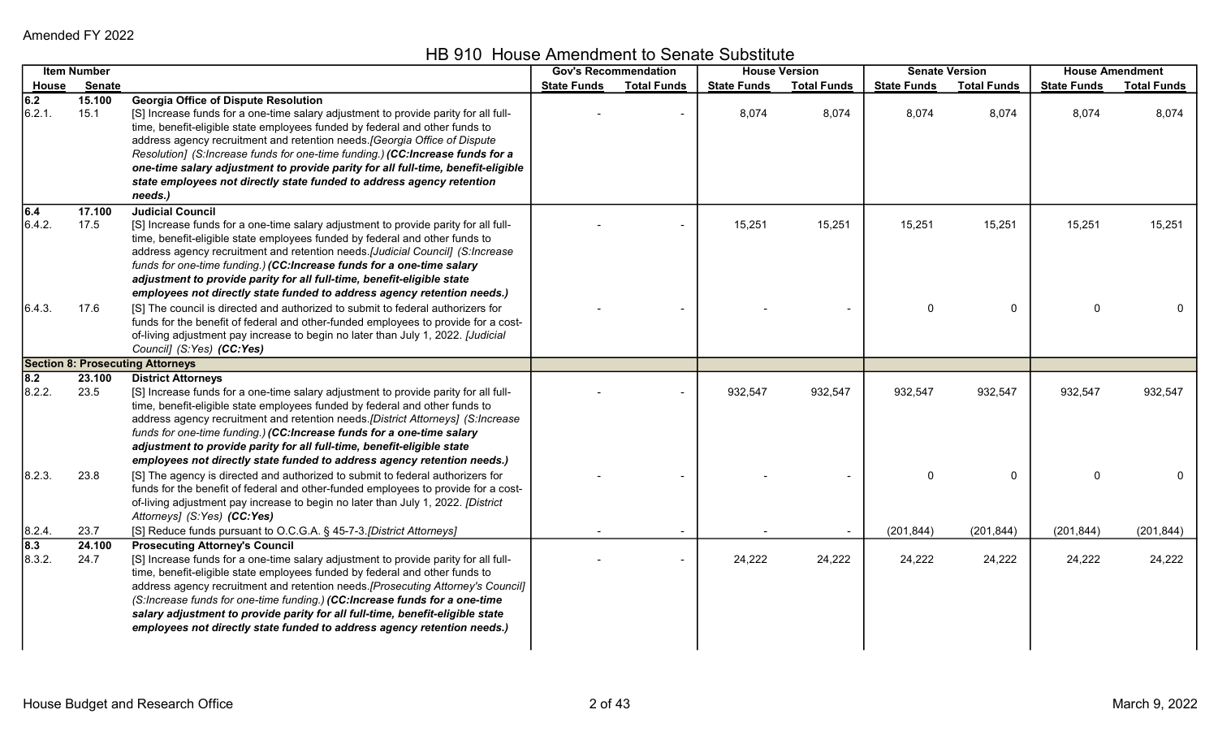HB 910 House Amendment to Senate Substitute

|                  | <b>Item Number</b> |                                                                                     |                    | <b>Gov's Recommendation</b> | <b>House Version</b> |                    |                    | <b>Senate Version</b> | <b>House Amendment</b> |                    |
|------------------|--------------------|-------------------------------------------------------------------------------------|--------------------|-----------------------------|----------------------|--------------------|--------------------|-----------------------|------------------------|--------------------|
|                  | House Senate       |                                                                                     | <b>State Funds</b> | <b>Total Funds</b>          | <b>State Funds</b>   | <b>Total Funds</b> | <b>State Funds</b> | <b>Total Funds</b>    | <b>State Funds</b>     | <b>Total Funds</b> |
| 6.2              | 15.100             | <b>Georgia Office of Dispute Resolution</b>                                         |                    |                             |                      |                    |                    |                       |                        |                    |
| 6.2.1.           | 15.1               | [S] Increase funds for a one-time salary adjustment to provide parity for all full- |                    |                             | 8,074                | 8,074              | 8,074              | 8,074                 | 8,074                  | 8,074              |
|                  |                    | time, benefit-eligible state employees funded by federal and other funds to         |                    |                             |                      |                    |                    |                       |                        |                    |
|                  |                    | address agency recruitment and retention needs. [Georgia Office of Dispute          |                    |                             |                      |                    |                    |                       |                        |                    |
|                  |                    | Resolution] (S:Increase funds for one-time funding.) (CC:Increase funds for a       |                    |                             |                      |                    |                    |                       |                        |                    |
|                  |                    | one-time salary adjustment to provide parity for all full-time, benefit-eligible    |                    |                             |                      |                    |                    |                       |                        |                    |
|                  |                    | state employees not directly state funded to address agency retention               |                    |                             |                      |                    |                    |                       |                        |                    |
|                  |                    | needs.)                                                                             |                    |                             |                      |                    |                    |                       |                        |                    |
| 6.4              | 17.100             | <b>Judicial Council</b>                                                             |                    |                             |                      |                    |                    |                       |                        |                    |
| 6.4.2.           | 17.5               | [S] Increase funds for a one-time salary adjustment to provide parity for all full- |                    |                             | 15,251               | 15,251             | 15,251             | 15,251                | 15,251                 | 15,251             |
|                  |                    | time, benefit-eligible state employees funded by federal and other funds to         |                    |                             |                      |                    |                    |                       |                        |                    |
|                  |                    | address agency recruitment and retention needs.[Judicial Council] (S:Increase       |                    |                             |                      |                    |                    |                       |                        |                    |
|                  |                    | funds for one-time funding.) (CC:Increase funds for a one-time salary               |                    |                             |                      |                    |                    |                       |                        |                    |
|                  |                    | adjustment to provide parity for all full-time, benefit-eligible state              |                    |                             |                      |                    |                    |                       |                        |                    |
|                  |                    | employees not directly state funded to address agency retention needs.)             |                    |                             |                      |                    |                    |                       |                        |                    |
| 6.4.3.           | 17.6               | [S] The council is directed and authorized to submit to federal authorizers for     |                    |                             |                      |                    | $\mathbf{0}$       | $\mathbf 0$           | $\Omega$               |                    |
|                  |                    | funds for the benefit of federal and other-funded employees to provide for a cost-  |                    |                             |                      |                    |                    |                       |                        |                    |
|                  |                    | of-living adjustment pay increase to begin no later than July 1, 2022. [Judicial    |                    |                             |                      |                    |                    |                       |                        |                    |
|                  |                    | Council] (S:Yes) (CC:Yes)                                                           |                    |                             |                      |                    |                    |                       |                        |                    |
|                  |                    | <b>Section 8: Prosecuting Attorneys</b>                                             |                    |                             |                      |                    |                    |                       |                        |                    |
| 8.2              | 23.100             | <b>District Attorneys</b>                                                           |                    |                             |                      |                    |                    |                       |                        |                    |
| 8.2.2.           | 23.5               | [S] Increase funds for a one-time salary adjustment to provide parity for all full- |                    |                             | 932,547              | 932,547            | 932,547            | 932,547               | 932,547                | 932,547            |
|                  |                    | time, benefit-eligible state employees funded by federal and other funds to         |                    |                             |                      |                    |                    |                       |                        |                    |
|                  |                    | address agency recruitment and retention needs.[District Attorneys] (S:Increase     |                    |                             |                      |                    |                    |                       |                        |                    |
|                  |                    | funds for one-time funding.) (CC:Increase funds for a one-time salary               |                    |                             |                      |                    |                    |                       |                        |                    |
|                  |                    | adjustment to provide parity for all full-time, benefit-eligible state              |                    |                             |                      |                    |                    |                       |                        |                    |
|                  |                    | employees not directly state funded to address agency retention needs.)             |                    |                             |                      |                    |                    |                       |                        |                    |
| 8.2.3.           | 23.8               | [S] The agency is directed and authorized to submit to federal authorizers for      |                    |                             |                      |                    |                    | $\Omega$              | $\Omega$               |                    |
|                  |                    | funds for the benefit of federal and other-funded employees to provide for a cost-  |                    |                             |                      |                    |                    |                       |                        |                    |
|                  |                    | of-living adjustment pay increase to begin no later than July 1, 2022. [District    |                    |                             |                      |                    |                    |                       |                        |                    |
|                  |                    | Attorneys] (S:Yes) (CC:Yes)                                                         |                    |                             |                      |                    |                    |                       |                        |                    |
| 8.2.4.           | 23.7               | [S] Reduce funds pursuant to O.C.G.A. § 45-7-3.[District Attorneys]                 |                    |                             |                      |                    | (201, 844)         | (201, 844)            | (201, 844)             | (201, 844)         |
| $\overline{8.3}$ | 24.100             | <b>Prosecuting Attorney's Council</b>                                               |                    |                             |                      |                    |                    |                       |                        |                    |
| 8.3.2.           | 24.7               | [S] Increase funds for a one-time salary adjustment to provide parity for all full- |                    |                             | 24,222               | 24,222             | 24,222             | 24,222                | 24,222                 | 24,222             |
|                  |                    | time, benefit-eligible state employees funded by federal and other funds to         |                    |                             |                      |                    |                    |                       |                        |                    |
|                  |                    | address agency recruitment and retention needs. [Prosecuting Attorney's Council]    |                    |                             |                      |                    |                    |                       |                        |                    |
|                  |                    | (S:Increase funds for one-time funding.) (CC:Increase funds for a one-time          |                    |                             |                      |                    |                    |                       |                        |                    |
|                  |                    | salary adjustment to provide parity for all full-time, benefit-eligible state       |                    |                             |                      |                    |                    |                       |                        |                    |
|                  |                    | employees not directly state funded to address agency retention needs.)             |                    |                             |                      |                    |                    |                       |                        |                    |
|                  |                    |                                                                                     |                    |                             |                      |                    |                    |                       |                        |                    |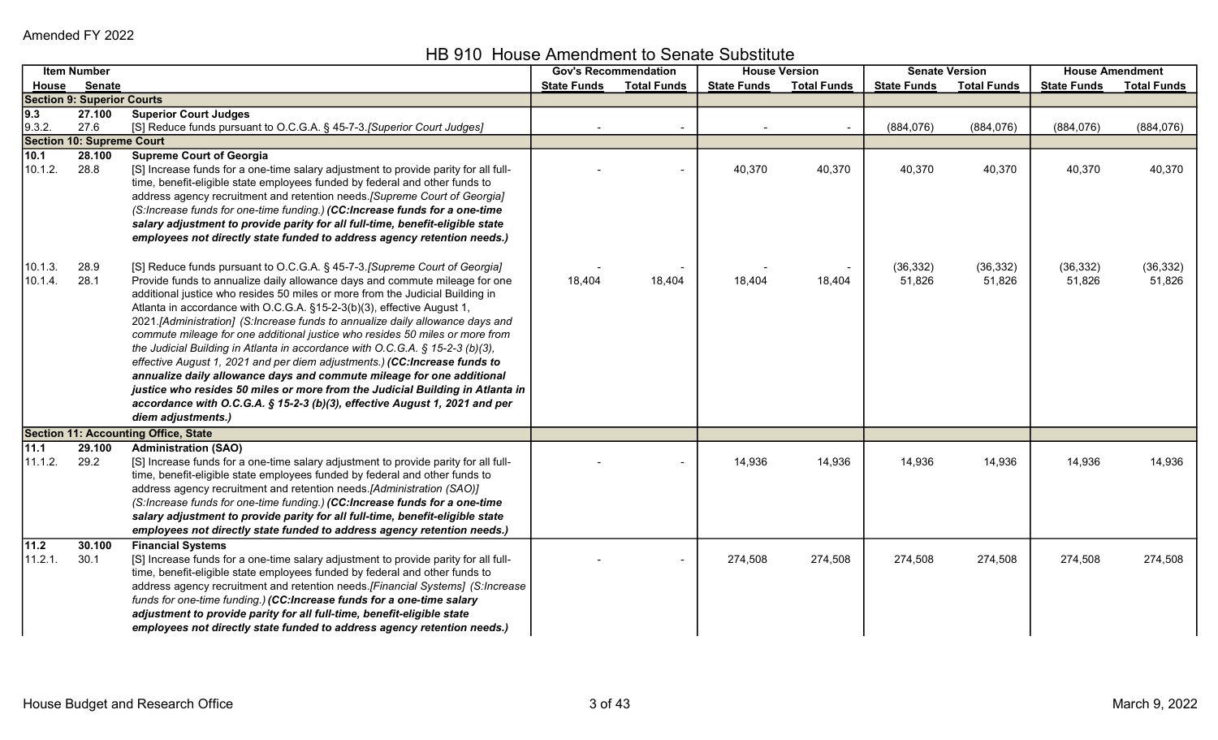HB 910 House Amendment to Senate Substitute

| <b>Senate</b><br><b>Total Funds</b><br><b>Total Funds</b><br><b>State Funds</b><br><b>State Funds</b><br><b>State Funds</b><br><b>Total Funds</b><br><b>State Funds</b><br><u>House</u><br><b>Section 9: Superior Courts</b><br>9.3<br>27.100<br><b>Superior Court Judges</b><br>9.3.2.<br>27.6<br>[S] Reduce funds pursuant to O.C.G.A. § 45-7-3.[Superior Court Judges]<br>(884, 076)<br>(884, 076)<br>(884, 076)<br>$\blacksquare$<br><b>Section 10: Supreme Court</b><br>10.1<br><b>Supreme Court of Georgia</b><br>28.100<br>[S] Increase funds for a one-time salary adjustment to provide parity for all full-<br>10.1.2.<br>28.8<br>40,370<br>40,370<br>40,370<br>40,370<br>40,370<br>time, benefit-eligible state employees funded by federal and other funds to<br>address agency recruitment and retention needs. [Supreme Court of Georgia] | <b>Total Funds</b>  |
|---------------------------------------------------------------------------------------------------------------------------------------------------------------------------------------------------------------------------------------------------------------------------------------------------------------------------------------------------------------------------------------------------------------------------------------------------------------------------------------------------------------------------------------------------------------------------------------------------------------------------------------------------------------------------------------------------------------------------------------------------------------------------------------------------------------------------------------------------------|---------------------|
|                                                                                                                                                                                                                                                                                                                                                                                                                                                                                                                                                                                                                                                                                                                                                                                                                                                         |                     |
|                                                                                                                                                                                                                                                                                                                                                                                                                                                                                                                                                                                                                                                                                                                                                                                                                                                         |                     |
|                                                                                                                                                                                                                                                                                                                                                                                                                                                                                                                                                                                                                                                                                                                                                                                                                                                         |                     |
|                                                                                                                                                                                                                                                                                                                                                                                                                                                                                                                                                                                                                                                                                                                                                                                                                                                         | (884, 076)          |
|                                                                                                                                                                                                                                                                                                                                                                                                                                                                                                                                                                                                                                                                                                                                                                                                                                                         |                     |
|                                                                                                                                                                                                                                                                                                                                                                                                                                                                                                                                                                                                                                                                                                                                                                                                                                                         |                     |
|                                                                                                                                                                                                                                                                                                                                                                                                                                                                                                                                                                                                                                                                                                                                                                                                                                                         | 40,370              |
|                                                                                                                                                                                                                                                                                                                                                                                                                                                                                                                                                                                                                                                                                                                                                                                                                                                         |                     |
|                                                                                                                                                                                                                                                                                                                                                                                                                                                                                                                                                                                                                                                                                                                                                                                                                                                         |                     |
| (S:Increase funds for one-time funding.) (CC:Increase funds for a one-time                                                                                                                                                                                                                                                                                                                                                                                                                                                                                                                                                                                                                                                                                                                                                                              |                     |
| salary adjustment to provide parity for all full-time, benefit-eligible state                                                                                                                                                                                                                                                                                                                                                                                                                                                                                                                                                                                                                                                                                                                                                                           |                     |
| employees not directly state funded to address agency retention needs.)                                                                                                                                                                                                                                                                                                                                                                                                                                                                                                                                                                                                                                                                                                                                                                                 |                     |
|                                                                                                                                                                                                                                                                                                                                                                                                                                                                                                                                                                                                                                                                                                                                                                                                                                                         |                     |
| [S] Reduce funds pursuant to O.C.G.A. § 45-7-3. [Supreme Court of Georgia]<br>10.1.3.<br>28.9<br>(36, 332)<br>(36, 332)<br>(36, 332)<br>28.1<br>Provide funds to annualize daily allowance days and commute mileage for one<br>10.1.4.<br>18,404<br>18,404<br>18,404<br>51,826<br>51,826<br>18,404<br>51,826                                                                                                                                                                                                                                                                                                                                                                                                                                                                                                                                            | (36, 332)<br>51,826 |
| additional justice who resides 50 miles or more from the Judicial Building in                                                                                                                                                                                                                                                                                                                                                                                                                                                                                                                                                                                                                                                                                                                                                                           |                     |
| Atlanta in accordance with O.C.G.A. §15-2-3(b)(3), effective August 1,                                                                                                                                                                                                                                                                                                                                                                                                                                                                                                                                                                                                                                                                                                                                                                                  |                     |
| 2021.[Administration] (S:Increase funds to annualize daily allowance days and                                                                                                                                                                                                                                                                                                                                                                                                                                                                                                                                                                                                                                                                                                                                                                           |                     |
| commute mileage for one additional justice who resides 50 miles or more from                                                                                                                                                                                                                                                                                                                                                                                                                                                                                                                                                                                                                                                                                                                                                                            |                     |
| the Judicial Building in Atlanta in accordance with O.C.G.A. § 15-2-3 (b)(3),                                                                                                                                                                                                                                                                                                                                                                                                                                                                                                                                                                                                                                                                                                                                                                           |                     |
| effective August 1, 2021 and per diem adjustments.) (CC:Increase funds to                                                                                                                                                                                                                                                                                                                                                                                                                                                                                                                                                                                                                                                                                                                                                                               |                     |
| annualize daily allowance days and commute mileage for one additional                                                                                                                                                                                                                                                                                                                                                                                                                                                                                                                                                                                                                                                                                                                                                                                   |                     |
| justice who resides 50 miles or more from the Judicial Building in Atlanta in                                                                                                                                                                                                                                                                                                                                                                                                                                                                                                                                                                                                                                                                                                                                                                           |                     |
| accordance with O.C.G.A. § 15-2-3 (b)(3), effective August 1, 2021 and per                                                                                                                                                                                                                                                                                                                                                                                                                                                                                                                                                                                                                                                                                                                                                                              |                     |
| diem adjustments.)                                                                                                                                                                                                                                                                                                                                                                                                                                                                                                                                                                                                                                                                                                                                                                                                                                      |                     |
| <b>Section 11: Accounting Office, State</b>                                                                                                                                                                                                                                                                                                                                                                                                                                                                                                                                                                                                                                                                                                                                                                                                             |                     |
| 11.1<br>29.100<br><b>Administration (SAO)</b>                                                                                                                                                                                                                                                                                                                                                                                                                                                                                                                                                                                                                                                                                                                                                                                                           |                     |
| 11.1.2.<br>29.2<br>[S] Increase funds for a one-time salary adjustment to provide parity for all full-<br>14,936<br>14,936<br>14,936<br>14,936<br>14,936                                                                                                                                                                                                                                                                                                                                                                                                                                                                                                                                                                                                                                                                                                | 14,936              |
| time, benefit-eligible state employees funded by federal and other funds to                                                                                                                                                                                                                                                                                                                                                                                                                                                                                                                                                                                                                                                                                                                                                                             |                     |
| address agency recruitment and retention needs.[Administration (SAO)]                                                                                                                                                                                                                                                                                                                                                                                                                                                                                                                                                                                                                                                                                                                                                                                   |                     |
| (S:Increase funds for one-time funding.) (CC:Increase funds for a one-time                                                                                                                                                                                                                                                                                                                                                                                                                                                                                                                                                                                                                                                                                                                                                                              |                     |
| salary adjustment to provide parity for all full-time, benefit-eligible state                                                                                                                                                                                                                                                                                                                                                                                                                                                                                                                                                                                                                                                                                                                                                                           |                     |
| employees not directly state funded to address agency retention needs.)                                                                                                                                                                                                                                                                                                                                                                                                                                                                                                                                                                                                                                                                                                                                                                                 |                     |
| $11.2$<br>30.100<br><b>Financial Systems</b>                                                                                                                                                                                                                                                                                                                                                                                                                                                                                                                                                                                                                                                                                                                                                                                                            |                     |
| 11.2.1.<br>30.1<br>[S] Increase funds for a one-time salary adjustment to provide parity for all full-<br>274,508<br>274,508<br>274,508<br>274,508<br>274,508                                                                                                                                                                                                                                                                                                                                                                                                                                                                                                                                                                                                                                                                                           | 274,508             |
| time, benefit-eligible state employees funded by federal and other funds to<br>address agency recruitment and retention needs. [Financial Systems] (S:Increase                                                                                                                                                                                                                                                                                                                                                                                                                                                                                                                                                                                                                                                                                          |                     |
| funds for one-time funding.) (CC:Increase funds for a one-time salary                                                                                                                                                                                                                                                                                                                                                                                                                                                                                                                                                                                                                                                                                                                                                                                   |                     |
| adjustment to provide parity for all full-time, benefit-eligible state                                                                                                                                                                                                                                                                                                                                                                                                                                                                                                                                                                                                                                                                                                                                                                                  |                     |
| employees not directly state funded to address agency retention needs.)                                                                                                                                                                                                                                                                                                                                                                                                                                                                                                                                                                                                                                                                                                                                                                                 |                     |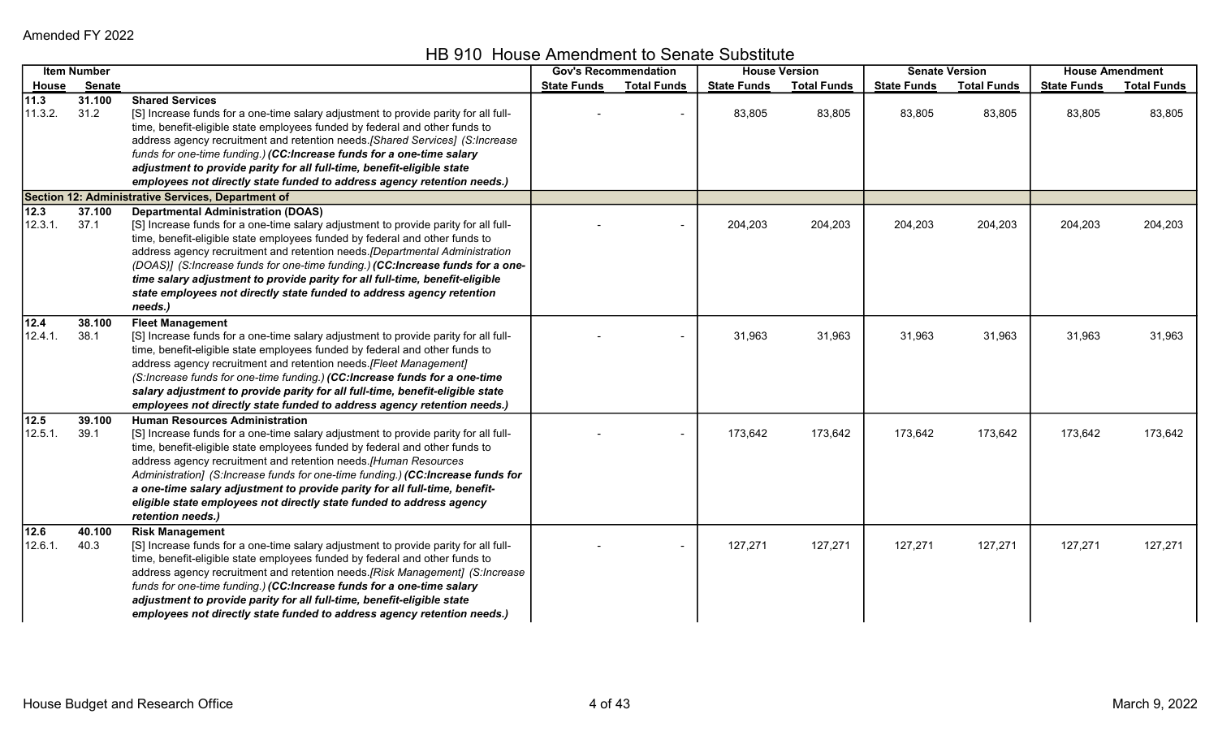HB 910 House Amendment to Senate Substitute

|                          | <b>Item Number</b> |                                                                                                                                                                                                                                                                                                                                                                                                                                                                                                                                                       | <b>Gov's Recommendation</b> |                    | <b>House Version</b> |                    | <b>Senate Version</b> |                    | <b>House Amendment</b> |                    |
|--------------------------|--------------------|-------------------------------------------------------------------------------------------------------------------------------------------------------------------------------------------------------------------------------------------------------------------------------------------------------------------------------------------------------------------------------------------------------------------------------------------------------------------------------------------------------------------------------------------------------|-----------------------------|--------------------|----------------------|--------------------|-----------------------|--------------------|------------------------|--------------------|
| <u>House</u>             | <b>Senate</b>      |                                                                                                                                                                                                                                                                                                                                                                                                                                                                                                                                                       | <b>State Funds</b>          | <b>Total Funds</b> | <b>State Funds</b>   | <b>Total Funds</b> | <b>State Funds</b>    | <b>Total Funds</b> | <b>State Funds</b>     | <b>Total Funds</b> |
| 11.3 <br>11.3.2.         | 31.100<br>31.2     | <b>Shared Services</b><br>[S] Increase funds for a one-time salary adjustment to provide parity for all full-<br>time, benefit-eligible state employees funded by federal and other funds to<br>address agency recruitment and retention needs. [Shared Services] (S:Increase<br>funds for one-time funding.) (CC:Increase funds for a one-time salary<br>adjustment to provide parity for all full-time, benefit-eligible state<br>employees not directly state funded to address agency retention needs.)                                           |                             | $\sim$             | 83,805               | 83,805             | 83,805                | 83,805             | 83,805                 | 83,805             |
|                          |                    | Section 12: Administrative Services, Department of                                                                                                                                                                                                                                                                                                                                                                                                                                                                                                    |                             |                    |                      |                    |                       |                    |                        |                    |
| $\sqrt{12.3}$<br>12.3.1. | 37.100<br>37.1     | <b>Departmental Administration (DOAS)</b><br>[S] Increase funds for a one-time salary adjustment to provide parity for all full-<br>time, benefit-eligible state employees funded by federal and other funds to<br>address agency recruitment and retention needs. [Departmental Administration<br>(DOAS)] (S:Increase funds for one-time funding.) (CC:Increase funds for a one-<br>time salary adjustment to provide parity for all full-time, benefit-eligible<br>state employees not directly state funded to address agency retention<br>needs.) |                             |                    | 204,203              | 204,203            | 204,203               | 204,203            | 204,203                | 204,203            |
| 12.4 <br>12.4.1.         | 38.100<br>38.1     | <b>Fleet Management</b><br>[S] Increase funds for a one-time salary adjustment to provide parity for all full-<br>time, benefit-eligible state employees funded by federal and other funds to<br>address agency recruitment and retention needs. [Fleet Management]<br>(S:Increase funds for one-time funding.) (CC:Increase funds for a one-time<br>salary adjustment to provide parity for all full-time, benefit-eligible state<br>employees not directly state funded to address agency retention needs.)                                         |                             |                    | 31,963               | 31,963             | 31,963                | 31,963             | 31,963                 | 31,963             |
| 12.5<br>12.5.1.          | 39.100<br>39.1     | <b>Human Resources Administration</b><br>[S] Increase funds for a one-time salary adjustment to provide parity for all full-<br>time, benefit-eligible state employees funded by federal and other funds to<br>address agency recruitment and retention needs.[Human Resources<br>Administration] (S:Increase funds for one-time funding.) (CC:Increase funds for<br>a one-time salary adjustment to provide parity for all full-time, benefit-<br>eligible state employees not directly state funded to address agency<br>retention needs.)          |                             |                    | 173,642              | 173,642            | 173,642               | 173,642            | 173,642                | 173,642            |
| 12.6 <br>12.6.1.         | 40.100<br>40.3     | <b>Risk Management</b><br>[S] Increase funds for a one-time salary adjustment to provide parity for all full-<br>time, benefit-eligible state employees funded by federal and other funds to<br>address agency recruitment and retention needs.[Risk Management] (S:Increase<br>funds for one-time funding.) (CC:Increase funds for a one-time salary<br>adjustment to provide parity for all full-time, benefit-eligible state<br>employees not directly state funded to address agency retention needs.)                                            |                             | $\blacksquare$     | 127,271              | 127,271            | 127,271               | 127,271            | 127,271                | 127,271            |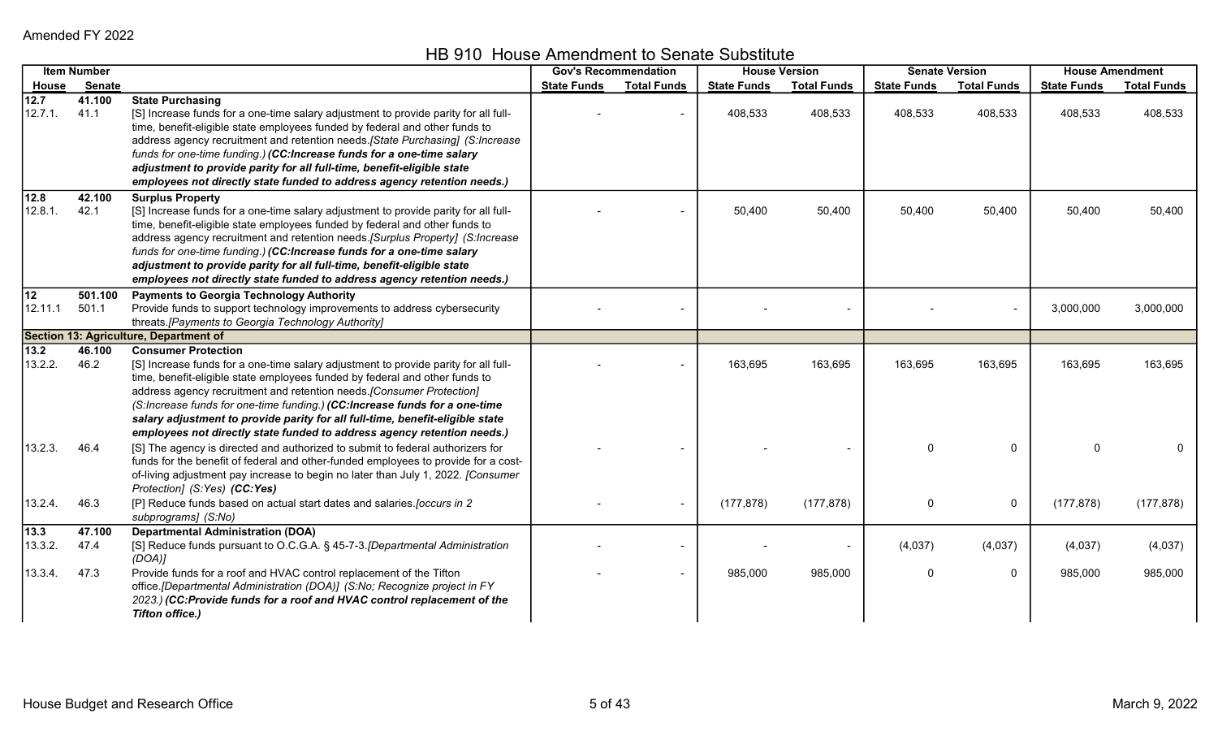HB 910 House Amendment to Senate Substitute

|                 | <b>Item Number</b> |                                                                                                                                                                                                                                                                                                                                                                                                                                                                                                                     | <b>Gov's Recommendation</b> |                    | <b>House Version</b> |                          | <b>Senate Version</b> |                    | <b>House Amendment</b> |                    |
|-----------------|--------------------|---------------------------------------------------------------------------------------------------------------------------------------------------------------------------------------------------------------------------------------------------------------------------------------------------------------------------------------------------------------------------------------------------------------------------------------------------------------------------------------------------------------------|-----------------------------|--------------------|----------------------|--------------------------|-----------------------|--------------------|------------------------|--------------------|
| House           | <b>Senate</b>      |                                                                                                                                                                                                                                                                                                                                                                                                                                                                                                                     | <b>State Funds</b>          | <b>Total Funds</b> | <b>State Funds</b>   | <b>Total Funds</b>       | <b>State Funds</b>    | <b>Total Funds</b> | <b>State Funds</b>     | <b>Total Funds</b> |
| 12.7<br>12.7.1. | 41.100<br>41.1     | <b>State Purchasing</b><br>[S] Increase funds for a one-time salary adjustment to provide parity for all full-<br>time, benefit-eligible state employees funded by federal and other funds to<br>address agency recruitment and retention needs. [State Purchasing] (S:Increase<br>funds for one-time funding.) (CC:Increase funds for a one-time salary<br>adjustment to provide parity for all full-time, benefit-eligible state<br>employees not directly state funded to address agency retention needs.)       |                             |                    | 408,533              | 408,533                  | 408,533               | 408,533            | 408,533                | 408,533            |
| 12.8<br>12.8.1. | 42.100<br>42.1     | <b>Surplus Property</b><br>[S] Increase funds for a one-time salary adjustment to provide parity for all full-<br>time, benefit-eligible state employees funded by federal and other funds to<br>address agency recruitment and retention needs. [Surplus Property] (S:Increase<br>funds for one-time funding.) (CC:Increase funds for a one-time salary<br>adjustment to provide parity for all full-time, benefit-eligible state<br>employees not directly state funded to address agency retention needs.)       |                             |                    | 50,400               | 50,400                   | 50,400                | 50,400             | 50,400                 | 50,400             |
| 12<br>12.11.1   | 501.100<br>501.1   | <b>Payments to Georgia Technology Authority</b><br>Provide funds to support technology improvements to address cybersecurity<br>threats. [Payments to Georgia Technology Authority]                                                                                                                                                                                                                                                                                                                                 |                             |                    |                      |                          |                       | $\blacksquare$     | 3,000,000              | 3,000,000          |
|                 |                    | Section 13: Agriculture, Department of                                                                                                                                                                                                                                                                                                                                                                                                                                                                              |                             |                    |                      |                          |                       |                    |                        |                    |
| 13.2<br>13.2.2. | 46.100<br>46.2     | <b>Consumer Protection</b><br>[S] Increase funds for a one-time salary adjustment to provide parity for all full-<br>time, benefit-eligible state employees funded by federal and other funds to<br>address agency recruitment and retention needs. [Consumer Protection]<br>(S:Increase funds for one-time funding.) (CC:Increase funds for a one-time<br>salary adjustment to provide parity for all full-time, benefit-eligible state<br>employees not directly state funded to address agency retention needs.) |                             |                    | 163,695              | 163,695                  | 163,695               | 163,695            | 163,695                | 163,695            |
| 13.2.3.         | 46.4               | [S] The agency is directed and authorized to submit to federal authorizers for<br>funds for the benefit of federal and other-funded employees to provide for a cost-<br>of-living adjustment pay increase to begin no later than July 1, 2022. [Consumer<br>Protection] (S:Yes) (CC:Yes)                                                                                                                                                                                                                            |                             |                    |                      |                          | O                     | $\mathbf{0}$       | $\Omega$               | 0                  |
| 13.2.4.         | 46.3               | [P] Reduce funds based on actual start dates and salaries. [occurs in 2<br>subprograms] (S:No)                                                                                                                                                                                                                                                                                                                                                                                                                      |                             |                    | (177, 878)           | (177, 878)               | 0                     | 0                  | (177, 878)             | (177, 878)         |
| 13.3<br>13.3.2. | 47.100<br>47.4     | <b>Departmental Administration (DOA)</b><br>[S] Reduce funds pursuant to O.C.G.A. § 45-7-3. [Departmental Administration<br>(DOA)                                                                                                                                                                                                                                                                                                                                                                                   |                             |                    |                      | $\overline{\phantom{a}}$ | (4,037)               | (4,037)            | (4,037)                | (4,037)            |
| 13.3.4.         | 47.3               | Provide funds for a roof and HVAC control replacement of the Tifton<br>office.[Departmental Administration (DOA)] (S:No; Recognize project in FY<br>2023.) (CC:Provide funds for a roof and HVAC control replacement of the<br><b>Tifton office.)</b>                                                                                                                                                                                                                                                               |                             |                    | 985,000              | 985,000                  | 0                     | 0                  | 985,000                | 985,000            |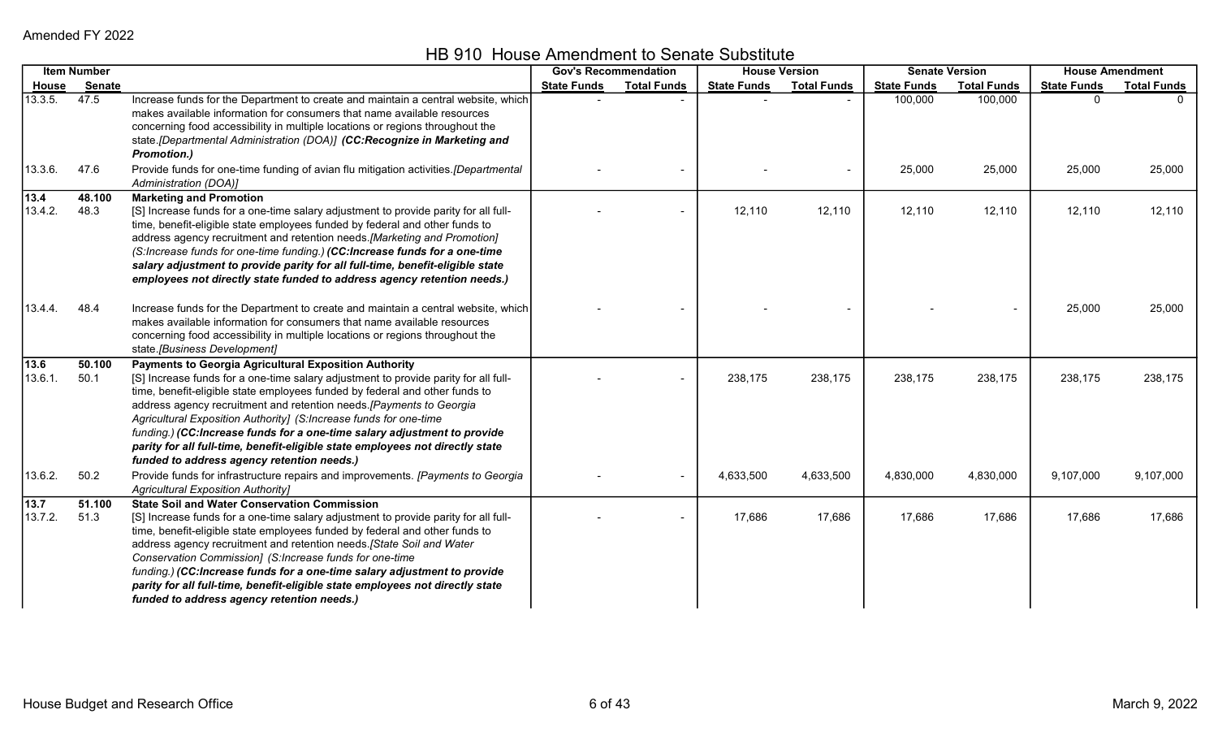HB 910 House Amendment to Senate Substitute

|                 | <b>Item Number</b> |                                                                                                                                                                                                                                                                                                                                                                                                                                                                                                                                                                                    | <b>Gov's Recommendation</b> |                    |                    | <b>House Version</b> |                    | <b>Senate Version</b> |                    | <b>House Amendment</b> |
|-----------------|--------------------|------------------------------------------------------------------------------------------------------------------------------------------------------------------------------------------------------------------------------------------------------------------------------------------------------------------------------------------------------------------------------------------------------------------------------------------------------------------------------------------------------------------------------------------------------------------------------------|-----------------------------|--------------------|--------------------|----------------------|--------------------|-----------------------|--------------------|------------------------|
| <b>House</b>    | Senate             |                                                                                                                                                                                                                                                                                                                                                                                                                                                                                                                                                                                    | <b>State Funds</b>          | <b>Total Funds</b> | <b>State Funds</b> | <b>Total Funds</b>   | <b>State Funds</b> | <b>Total Funds</b>    | <b>State Funds</b> | <b>Total Funds</b>     |
| 13.3.5.         | 47.5               | Increase funds for the Department to create and maintain a central website, which<br>makes available information for consumers that name available resources<br>concerning food accessibility in multiple locations or regions throughout the<br>state.[Departmental Administration (DOA)] (CC:Recognize in Marketing and<br><b>Promotion.)</b>                                                                                                                                                                                                                                    |                             |                    |                    |                      | 100,000            | 100,000               | $\Omega$           |                        |
| 13.3.6.         | 47.6               | Provide funds for one-time funding of avian flu mitigation activities. [Departmental<br>Administration (DOA)]                                                                                                                                                                                                                                                                                                                                                                                                                                                                      |                             |                    |                    |                      | 25,000             | 25,000                | 25,000             | 25,000                 |
| 13.4<br>13.4.2. | 48.100<br>48.3     | <b>Marketing and Promotion</b><br>[S] Increase funds for a one-time salary adjustment to provide parity for all full-<br>time, benefit-eligible state employees funded by federal and other funds to<br>address agency recruitment and retention needs. [Marketing and Promotion]<br>(S:Increase funds for one-time funding.) (CC:Increase funds for a one-time<br>salary adjustment to provide parity for all full-time, benefit-eligible state<br>employees not directly state funded to address agency retention needs.)                                                        |                             |                    | 12,110             | 12,110               | 12,110             | 12,110                | 12,110             | 12,110                 |
| 13.4.4.         | 48.4               | Increase funds for the Department to create and maintain a central website, which<br>makes available information for consumers that name available resources<br>concerning food accessibility in multiple locations or regions throughout the<br>state.[Business Development]                                                                                                                                                                                                                                                                                                      |                             |                    |                    |                      |                    |                       | 25,000             | 25,000                 |
| 13.6<br>13.6.1. | 50.100<br>50.1     | Payments to Georgia Agricultural Exposition Authority<br>[S] Increase funds for a one-time salary adjustment to provide parity for all full-<br>time, benefit-eligible state employees funded by federal and other funds to<br>address agency recruitment and retention needs.[Payments to Georgia<br>Agricultural Exposition Authority] (S:Increase funds for one-time<br>funding.) (CC:Increase funds for a one-time salary adjustment to provide<br>parity for all full-time, benefit-eligible state employees not directly state<br>funded to address agency retention needs.) |                             |                    | 238,175            | 238,175              | 238,175            | 238,175               | 238,175            | 238,175                |
| 13.6.2.         | 50.2               | Provide funds for infrastructure repairs and improvements. [Payments to Georgia<br><b>Agricultural Exposition Authority]</b>                                                                                                                                                                                                                                                                                                                                                                                                                                                       |                             | $\blacksquare$     | 4,633,500          | 4,633,500            | 4,830,000          | 4,830,000             | 9,107,000          | 9,107,000              |
| 13.7<br>13.7.2. | 51.100<br>51.3     | <b>State Soil and Water Conservation Commission</b><br>[S] Increase funds for a one-time salary adjustment to provide parity for all full-<br>time, benefit-eligible state employees funded by federal and other funds to<br>address agency recruitment and retention needs. [State Soil and Water<br>Conservation Commission] (S:Increase funds for one-time<br>funding.) (CC:Increase funds for a one-time salary adjustment to provide<br>parity for all full-time, benefit-eligible state employees not directly state<br>funded to address agency retention needs.)           |                             |                    | 17,686             | 17,686               | 17,686             | 17,686                | 17,686             | 17,686                 |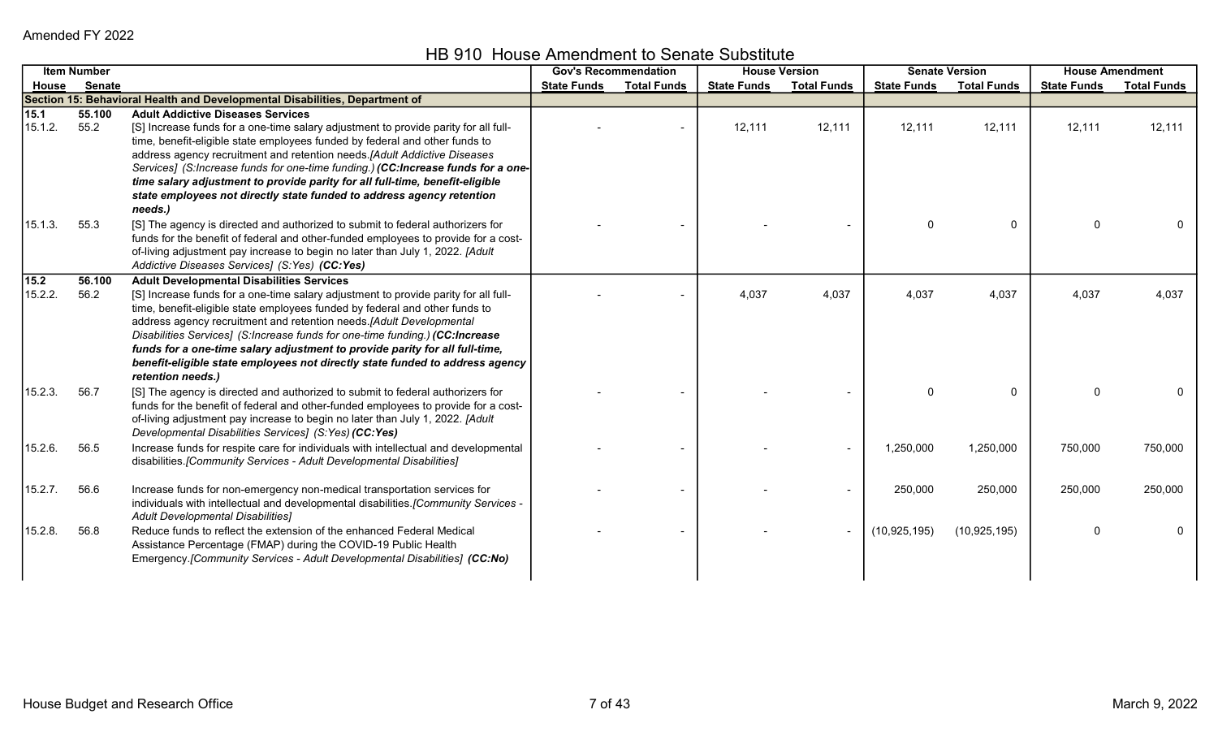HB 910 House Amendment to Senate Substitute

|                 | <b>Item Number</b> |                                                                                                                                                                                                                                                                                                                                                                                                                                                                                                                                         |                    | <b>Gov's Recommendation</b> | <b>House Version</b> |                    | <b>Senate Version</b> |                    | <b>House Amendment</b> |                    |
|-----------------|--------------------|-----------------------------------------------------------------------------------------------------------------------------------------------------------------------------------------------------------------------------------------------------------------------------------------------------------------------------------------------------------------------------------------------------------------------------------------------------------------------------------------------------------------------------------------|--------------------|-----------------------------|----------------------|--------------------|-----------------------|--------------------|------------------------|--------------------|
| House           | Senate             |                                                                                                                                                                                                                                                                                                                                                                                                                                                                                                                                         | <b>State Funds</b> | <b>Total Funds</b>          | <b>State Funds</b>   | <b>Total Funds</b> | <b>State Funds</b>    | <b>Total Funds</b> | <b>State Funds</b>     | <b>Total Funds</b> |
|                 |                    | Section 15: Behavioral Health and Developmental Disabilities, Department of                                                                                                                                                                                                                                                                                                                                                                                                                                                             |                    |                             |                      |                    |                       |                    |                        |                    |
| 15.1<br>15.1.2. | 55.100<br>55.2     | <b>Adult Addictive Diseases Services</b><br>[S] Increase funds for a one-time salary adjustment to provide parity for all full-<br>time, benefit-eligible state employees funded by federal and other funds to<br>address agency recruitment and retention needs.[Adult Addictive Diseases<br>Services] (S:Increase funds for one-time funding.) (CC:Increase funds for a one-<br>time salary adjustment to provide parity for all full-time, benefit-eligible<br>state employees not directly state funded to address agency retention |                    |                             | 12,111               | 12,111             | 12,111                | 12,111             | 12,111                 | 12,111             |
| 15.1.3.         | 55.3               | needs.)<br>[S] The agency is directed and authorized to submit to federal authorizers for<br>funds for the benefit of federal and other-funded employees to provide for a cost-<br>of-living adjustment pay increase to begin no later than July 1, 2022. [Adult<br>Addictive Diseases Services] (S:Yes) (CC:Yes)                                                                                                                                                                                                                       |                    |                             |                      |                    | $\mathbf{0}$          | 0                  | $\Omega$               |                    |
| 15.2            | 56.100             | <b>Adult Developmental Disabilities Services</b>                                                                                                                                                                                                                                                                                                                                                                                                                                                                                        |                    |                             |                      |                    |                       |                    |                        |                    |
| 15.2.2.         | 56.2               | [S] Increase funds for a one-time salary adjustment to provide parity for all full-<br>time, benefit-eligible state employees funded by federal and other funds to<br>address agency recruitment and retention needs.[Adult Developmental<br>Disabilities Services] (S:Increase funds for one-time funding.) (CC:Increase<br>funds for a one-time salary adjustment to provide parity for all full-time,<br>benefit-eligible state employees not directly state funded to address agency<br>retention needs.)                           |                    |                             | 4,037                | 4,037              | 4,037                 | 4,037              | 4,037                  | 4,037              |
| 15.2.3.         | 56.7               | [S] The agency is directed and authorized to submit to federal authorizers for<br>funds for the benefit of federal and other-funded employees to provide for a cost-<br>of-living adjustment pay increase to begin no later than July 1, 2022. [Adult<br>Developmental Disabilities Services] (S:Yes) (CC:Yes)                                                                                                                                                                                                                          |                    |                             |                      |                    | $\Omega$              | 0                  | $\Omega$               |                    |
| 15.2.6.         | 56.5               | Increase funds for respite care for individuals with intellectual and developmental<br>disabilities. [Community Services - Adult Developmental Disabilities]                                                                                                                                                                                                                                                                                                                                                                            |                    |                             |                      |                    | 1,250,000             | 1,250,000          | 750,000                | 750,000            |
| 15.2.7.         | 56.6               | Increase funds for non-emergency non-medical transportation services for<br>individuals with intellectual and developmental disabilities. [Community Services -<br>Adult Developmental Disabilities]                                                                                                                                                                                                                                                                                                                                    |                    |                             |                      |                    | 250,000               | 250,000            | 250,000                | 250,000            |
| 15.2.8.         | 56.8               | Reduce funds to reflect the extension of the enhanced Federal Medical<br>Assistance Percentage (FMAP) during the COVID-19 Public Health<br>Emergency. [Community Services - Adult Developmental Disabilities] (CC:No)                                                                                                                                                                                                                                                                                                                   |                    |                             |                      |                    | (10, 925, 195)        | (10, 925, 195)     | $\Omega$               |                    |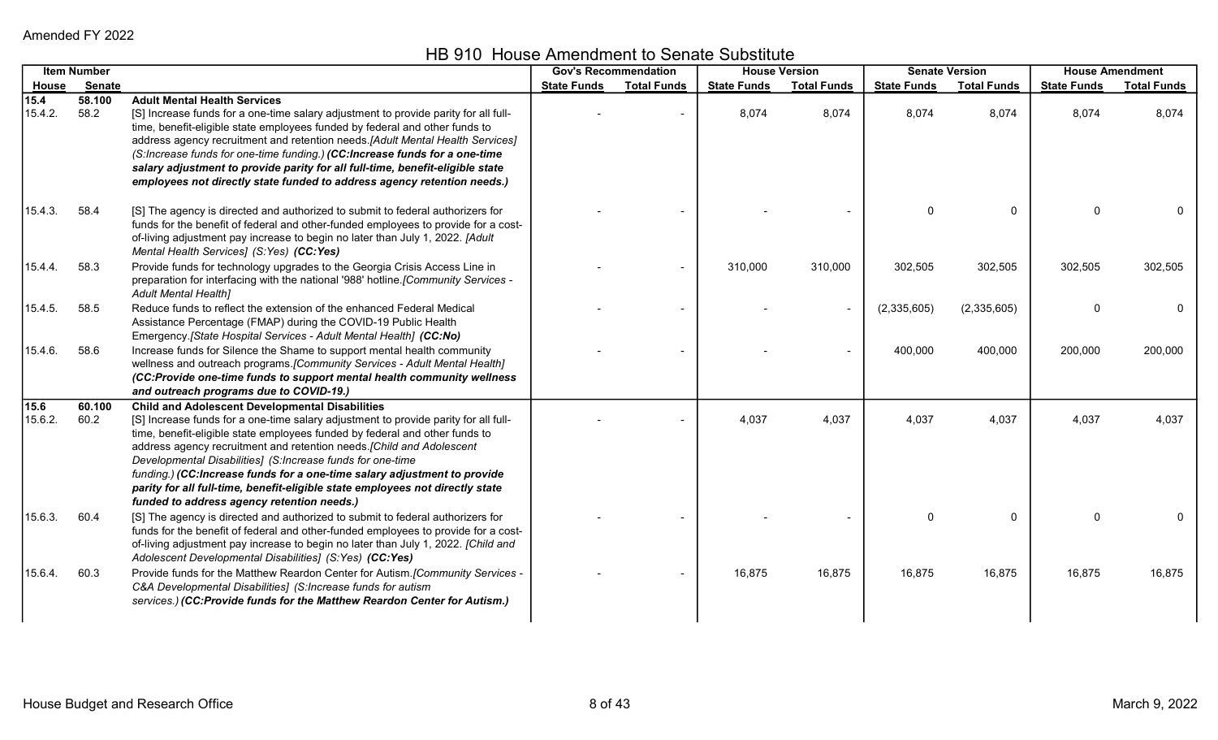HB 910 House Amendment to Senate Substitute

|                 | <b>Item Number</b> |                                                                                                                                                                                                                                                                                                                                                                                                                                                                                                                                                                                | <b>Gov's Recommendation</b> |                    | <b>House Version</b> |                    |                    | <b>Senate Version</b> | <b>House Amendment</b> |                    |
|-----------------|--------------------|--------------------------------------------------------------------------------------------------------------------------------------------------------------------------------------------------------------------------------------------------------------------------------------------------------------------------------------------------------------------------------------------------------------------------------------------------------------------------------------------------------------------------------------------------------------------------------|-----------------------------|--------------------|----------------------|--------------------|--------------------|-----------------------|------------------------|--------------------|
| House           | Senate             |                                                                                                                                                                                                                                                                                                                                                                                                                                                                                                                                                                                | <b>State Funds</b>          | <b>Total Funds</b> | <b>State Funds</b>   | <b>Total Funds</b> | <b>State Funds</b> | <b>Total Funds</b>    | <b>State Funds</b>     | <b>Total Funds</b> |
| 15.4<br>15.4.2. | 58.100<br>58.2     | <b>Adult Mental Health Services</b><br>[S] Increase funds for a one-time salary adjustment to provide parity for all full-<br>time, benefit-eligible state employees funded by federal and other funds to<br>address agency recruitment and retention needs.[Adult Mental Health Services]<br>(S:Increase funds for one-time funding.) (CC:Increase funds for a one-time                                                                                                                                                                                                       |                             |                    | 8,074                | 8,074              | 8,074              | 8,074                 | 8,074                  | 8,074              |
|                 |                    | salary adjustment to provide parity for all full-time, benefit-eligible state<br>employees not directly state funded to address agency retention needs.)                                                                                                                                                                                                                                                                                                                                                                                                                       |                             |                    |                      |                    |                    |                       |                        |                    |
| 15.4.3.         | 58.4               | [S] The agency is directed and authorized to submit to federal authorizers for<br>funds for the benefit of federal and other-funded employees to provide for a cost-<br>of-living adjustment pay increase to begin no later than July 1, 2022. [Adult<br>Mental Health Services] (S:Yes) (CC:Yes)                                                                                                                                                                                                                                                                              |                             |                    |                      |                    | 0                  | $\Omega$              | $\Omega$               |                    |
| 15.4.4.         | 58.3               | Provide funds for technology upgrades to the Georgia Crisis Access Line in<br>preparation for interfacing with the national '988' hotline. [Community Services -<br><b>Adult Mental Health1</b>                                                                                                                                                                                                                                                                                                                                                                                |                             |                    | 310,000              | 310,000            | 302,505            | 302,505               | 302,505                | 302,505            |
| 15.4.5.         | 58.5               | Reduce funds to reflect the extension of the enhanced Federal Medical<br>Assistance Percentage (FMAP) during the COVID-19 Public Health<br>Emergency. [State Hospital Services - Adult Mental Health] (CC:No)                                                                                                                                                                                                                                                                                                                                                                  |                             |                    |                      |                    | (2,335,605)        | (2,335,605)           | $\Omega$               | 0                  |
| 15.4.6.         | 58.6               | Increase funds for Silence the Shame to support mental health community<br>wellness and outreach programs. [Community Services - Adult Mental Health]<br>(CC:Provide one-time funds to support mental health community wellness<br>and outreach programs due to COVID-19.)                                                                                                                                                                                                                                                                                                     |                             |                    |                      |                    | 400,000            | 400,000               | 200,000                | 200,000            |
| 15.6<br>15.6.2. | 60.100<br>60.2     | <b>Child and Adolescent Developmental Disabilities</b><br>[S] Increase funds for a one-time salary adjustment to provide parity for all full-<br>time, benefit-eligible state employees funded by federal and other funds to<br>address agency recruitment and retention needs. [Child and Adolescent<br>Developmental Disabilities] (S:Increase funds for one-time<br>funding.) (CC:Increase funds for a one-time salary adjustment to provide<br>parity for all full-time, benefit-eligible state employees not directly state<br>funded to address agency retention needs.) |                             |                    | 4,037                | 4,037              | 4,037              | 4,037                 | 4,037                  | 4,037              |
| 15.6.3.         | 60.4               | [S] The agency is directed and authorized to submit to federal authorizers for<br>funds for the benefit of federal and other-funded employees to provide for a cost-<br>of-living adjustment pay increase to begin no later than July 1, 2022. [Child and<br>Adolescent Developmental Disabilities] (S:Yes) (CC:Yes)                                                                                                                                                                                                                                                           |                             |                    |                      |                    | 0                  | $\mathbf{0}$          | $\Omega$               |                    |
| 15.6.4.         | 60.3               | Provide funds for the Matthew Reardon Center for Autism. [Community Services -<br>C&A Developmental Disabilities] (S:Increase funds for autism<br>services.) (CC:Provide funds for the Matthew Reardon Center for Autism.)                                                                                                                                                                                                                                                                                                                                                     |                             |                    | 16,875               | 16,875             | 16,875             | 16,875                | 16,875                 | 16,875             |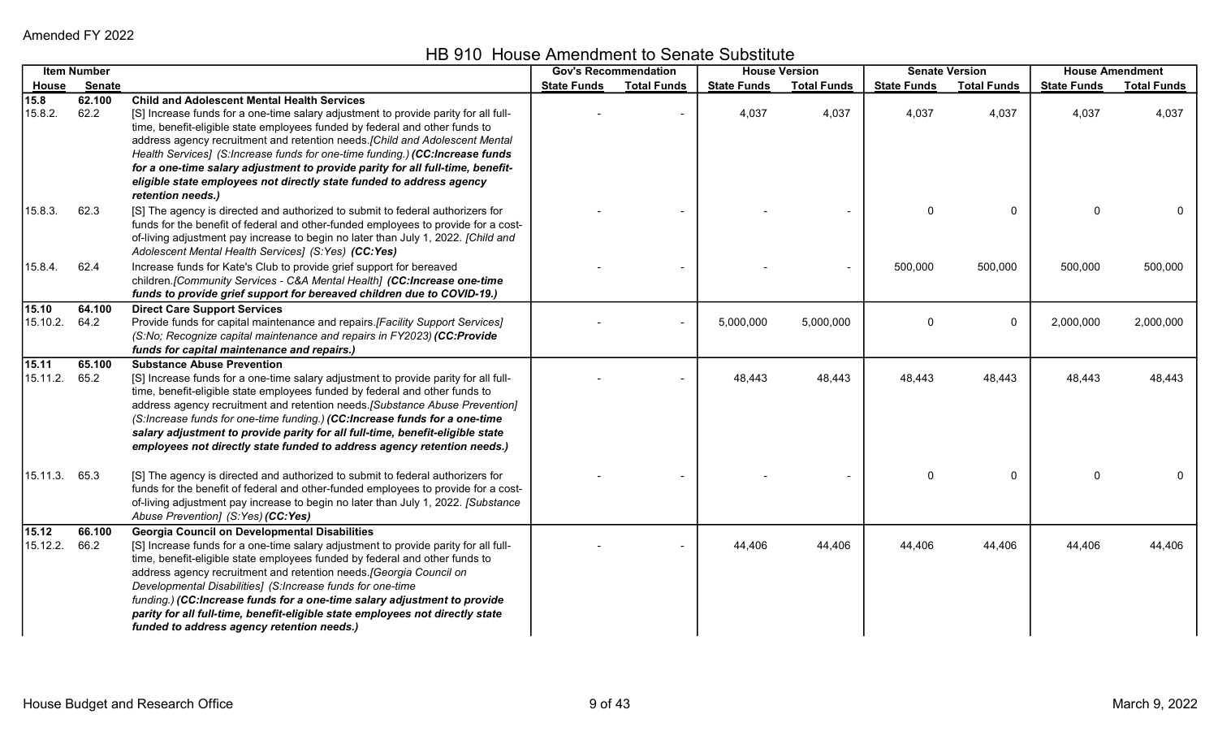HB 910 House Amendment to Senate Substitute

|               | <b>Item Number</b> |                                                                                                                                                                    | <b>Gov's Recommendation</b> |                    | <b>House Version</b> |                    |                    | <b>Senate Version</b> |                    | <b>House Amendment</b> |
|---------------|--------------------|--------------------------------------------------------------------------------------------------------------------------------------------------------------------|-----------------------------|--------------------|----------------------|--------------------|--------------------|-----------------------|--------------------|------------------------|
| House         | <b>Senate</b>      |                                                                                                                                                                    | <b>State Funds</b>          | <b>Total Funds</b> | <b>State Funds</b>   | <b>Total Funds</b> | <b>State Funds</b> | <b>Total Funds</b>    | <b>State Funds</b> | <b>Total Funds</b>     |
| 15.8          | 62.100             | <b>Child and Adolescent Mental Health Services</b>                                                                                                                 |                             |                    |                      |                    |                    |                       |                    |                        |
| 15.8.2.       | 62.2               | [S] Increase funds for a one-time salary adjustment to provide parity for all full-                                                                                |                             |                    | 4,037                | 4,037              | 4,037              | 4,037                 | 4,037              | 4,037                  |
|               |                    | time, benefit-eligible state employees funded by federal and other funds to                                                                                        |                             |                    |                      |                    |                    |                       |                    |                        |
|               |                    | address agency recruitment and retention needs. [Child and Adolescent Mental                                                                                       |                             |                    |                      |                    |                    |                       |                    |                        |
|               |                    | Health Services] (S:Increase funds for one-time funding.) (CC:Increase funds                                                                                       |                             |                    |                      |                    |                    |                       |                    |                        |
|               |                    | for a one-time salary adjustment to provide parity for all full-time, benefit-                                                                                     |                             |                    |                      |                    |                    |                       |                    |                        |
|               |                    | eligible state employees not directly state funded to address agency                                                                                               |                             |                    |                      |                    |                    |                       |                    |                        |
|               |                    | retention needs.)                                                                                                                                                  |                             |                    |                      |                    |                    |                       |                    |                        |
| 15.8.3.       | 62.3               | [S] The agency is directed and authorized to submit to federal authorizers for                                                                                     |                             |                    |                      |                    | $\mathbf{0}$       | $\mathbf{0}$          | $\Omega$           | 0                      |
|               |                    | funds for the benefit of federal and other-funded employees to provide for a cost-                                                                                 |                             |                    |                      |                    |                    |                       |                    |                        |
|               |                    | of-living adjustment pay increase to begin no later than July 1, 2022. [Child and                                                                                  |                             |                    |                      |                    |                    |                       |                    |                        |
|               |                    | Adolescent Mental Health Services] (S:Yes) (CC:Yes)                                                                                                                |                             |                    |                      |                    |                    |                       |                    |                        |
| 15.8.4.       | 62.4               | Increase funds for Kate's Club to provide grief support for bereaved                                                                                               |                             |                    |                      | $\blacksquare$     | 500,000            | 500,000               | 500,000            | 500,000                |
|               |                    | children. [Community Services - C&A Mental Health] (CC:Increase one-time                                                                                           |                             |                    |                      |                    |                    |                       |                    |                        |
|               |                    | funds to provide grief support for bereaved children due to COVID-19.)                                                                                             |                             |                    |                      |                    |                    |                       |                    |                        |
| 15.10         | 64.100             | <b>Direct Care Support Services</b>                                                                                                                                |                             |                    |                      |                    |                    |                       |                    |                        |
| 15.10.2.      | 64.2               | Provide funds for capital maintenance and repairs.[Facility Support Services]                                                                                      |                             |                    | 5,000,000            | 5,000,000          | 0                  | 0                     | 2,000,000          | 2,000,000              |
|               |                    | (S:No; Recognize capital maintenance and repairs in FY2023) (CC:Provide                                                                                            |                             |                    |                      |                    |                    |                       |                    |                        |
|               |                    | funds for capital maintenance and repairs.)                                                                                                                        |                             |                    |                      |                    |                    |                       |                    |                        |
| 15.11         | 65.100             | <b>Substance Abuse Prevention</b>                                                                                                                                  |                             |                    |                      |                    |                    |                       |                    |                        |
| 15.11.2. 65.2 |                    | [S] Increase funds for a one-time salary adjustment to provide parity for all full-                                                                                |                             |                    | 48,443               | 48,443             | 48,443             | 48,443                | 48,443             | 48,443                 |
|               |                    | time, benefit-eligible state employees funded by federal and other funds to                                                                                        |                             |                    |                      |                    |                    |                       |                    |                        |
|               |                    | address agency recruitment and retention needs. [Substance Abuse Prevention]                                                                                       |                             |                    |                      |                    |                    |                       |                    |                        |
|               |                    | (S:Increase funds for one-time funding.) (CC:Increase funds for a one-time                                                                                         |                             |                    |                      |                    |                    |                       |                    |                        |
|               |                    | salary adjustment to provide parity for all full-time, benefit-eligible state                                                                                      |                             |                    |                      |                    |                    |                       |                    |                        |
|               |                    | employees not directly state funded to address agency retention needs.)                                                                                            |                             |                    |                      |                    |                    |                       |                    |                        |
|               |                    |                                                                                                                                                                    |                             |                    |                      |                    |                    |                       |                    |                        |
| 15.11.3. 65.3 |                    | [S] The agency is directed and authorized to submit to federal authorizers for                                                                                     |                             |                    |                      |                    | 0                  | 0                     | $\Omega$           | 0                      |
|               |                    | funds for the benefit of federal and other-funded employees to provide for a cost-                                                                                 |                             |                    |                      |                    |                    |                       |                    |                        |
|               |                    | of-living adjustment pay increase to begin no later than July 1, 2022. [Substance                                                                                  |                             |                    |                      |                    |                    |                       |                    |                        |
|               |                    | Abuse Prevention] (S:Yes) (CC:Yes)                                                                                                                                 |                             |                    |                      |                    |                    |                       |                    |                        |
| 15.12         | 66.100             | <b>Georgia Council on Developmental Disabilities</b>                                                                                                               |                             |                    |                      |                    |                    |                       |                    |                        |
| 15.12.2.      | 66.2               | [S] Increase funds for a one-time salary adjustment to provide parity for all full-<br>time, benefit-eligible state employees funded by federal and other funds to |                             |                    | 44,406               | 44,406             | 44,406             | 44,406                | 44,406             | 44,406                 |
|               |                    | address agency recruitment and retention needs. [Georgia Council on                                                                                                |                             |                    |                      |                    |                    |                       |                    |                        |
|               |                    | Developmental Disabilities] (S:Increase funds for one-time                                                                                                         |                             |                    |                      |                    |                    |                       |                    |                        |
|               |                    | funding.) (CC:Increase funds for a one-time salary adjustment to provide                                                                                           |                             |                    |                      |                    |                    |                       |                    |                        |
|               |                    | parity for all full-time, benefit-eligible state employees not directly state                                                                                      |                             |                    |                      |                    |                    |                       |                    |                        |
|               |                    | funded to address agency retention needs.)                                                                                                                         |                             |                    |                      |                    |                    |                       |                    |                        |
|               |                    |                                                                                                                                                                    |                             |                    |                      |                    |                    |                       |                    |                        |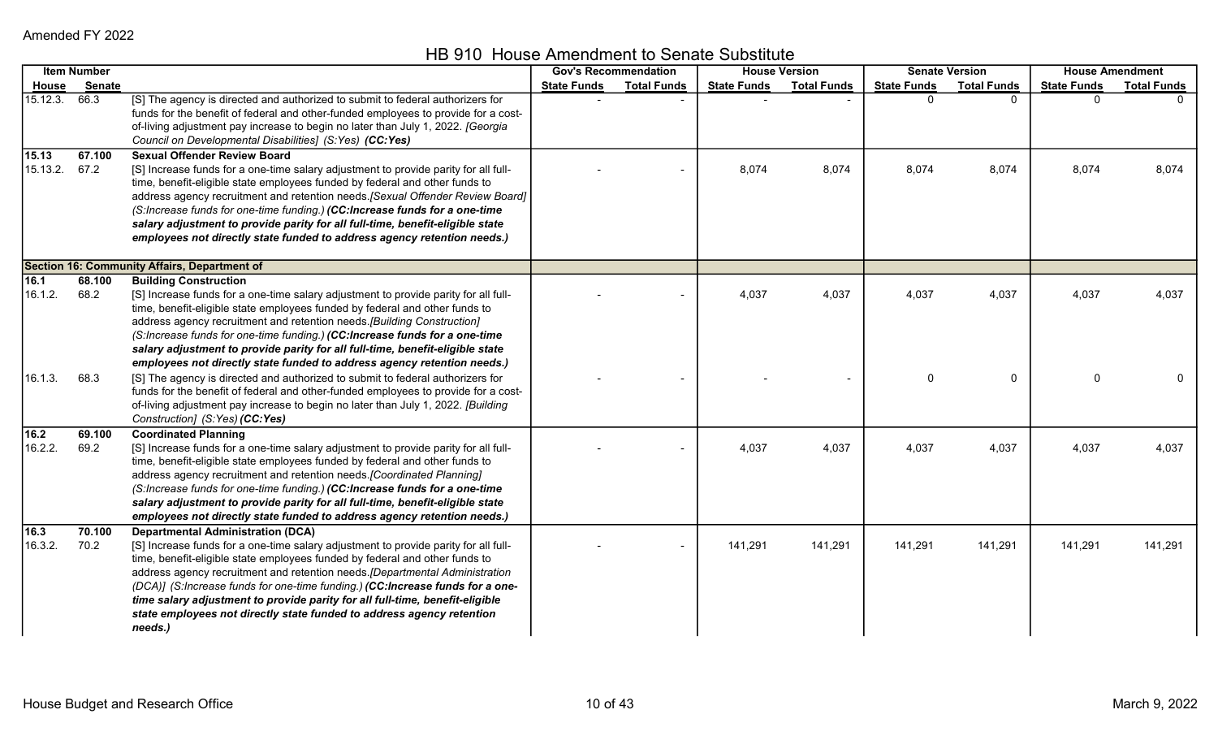HB 910 House Amendment to Senate Substitute

|                        | <b>Item Number</b> |                                                                                                                                                                                                                                                                                                                                                                                                                                                                                                                                                     | <b>Gov's Recommendation</b> |                    |                    | <b>House Version</b> |                    | <b>Senate Version</b> |                    | <b>House Amendment</b> |
|------------------------|--------------------|-----------------------------------------------------------------------------------------------------------------------------------------------------------------------------------------------------------------------------------------------------------------------------------------------------------------------------------------------------------------------------------------------------------------------------------------------------------------------------------------------------------------------------------------------------|-----------------------------|--------------------|--------------------|----------------------|--------------------|-----------------------|--------------------|------------------------|
| <u>House</u>           | Senate             |                                                                                                                                                                                                                                                                                                                                                                                                                                                                                                                                                     | <b>State Funds</b>          | <b>Total Funds</b> | <b>State Funds</b> | <b>Total Funds</b>   | <b>State Funds</b> | <b>Total Funds</b>    | <b>State Funds</b> | <b>Total Funds</b>     |
| 15.12.3. 66.3          |                    | [S] The agency is directed and authorized to submit to federal authorizers for<br>funds for the benefit of federal and other-funded employees to provide for a cost-<br>of-living adjustment pay increase to begin no later than July 1, 2022. [Georgia<br>Council on Developmental Disabilities] (S:Yes) (CC:Yes)                                                                                                                                                                                                                                  |                             |                    |                    |                      | U                  | $\Omega$              |                    |                        |
| 15.13<br>15.13.2. 67.2 | 67.100             | <b>Sexual Offender Review Board</b><br>[S] Increase funds for a one-time salary adjustment to provide parity for all full-<br>time, benefit-eligible state employees funded by federal and other funds to<br>address agency recruitment and retention needs. [Sexual Offender Review Board]<br>(S:Increase funds for one-time funding.) (CC:Increase funds for a one-time<br>salary adjustment to provide parity for all full-time, benefit-eligible state<br>employees not directly state funded to address agency retention needs.)               |                             |                    | 8,074              | 8,074                | 8,074              | 8,074                 | 8,074              | 8,074                  |
|                        |                    | Section 16: Community Affairs, Department of                                                                                                                                                                                                                                                                                                                                                                                                                                                                                                        |                             |                    |                    |                      |                    |                       |                    |                        |
| 16.1<br>16.1.2.        | 68.100<br>68.2     | <b>Building Construction</b><br>[S] Increase funds for a one-time salary adjustment to provide parity for all full-<br>time, benefit-eligible state employees funded by federal and other funds to<br>address agency recruitment and retention needs. [Building Construction]<br>(S:Increase funds for one-time funding.) (CC:Increase funds for a one-time<br>salary adjustment to provide parity for all full-time, benefit-eligible state<br>employees not directly state funded to address agency retention needs.)                             |                             |                    | 4,037              | 4,037                | 4,037              | 4,037                 | 4,037              | 4,037                  |
| 16.1.3.                | 68.3               | [S] The agency is directed and authorized to submit to federal authorizers for<br>funds for the benefit of federal and other-funded employees to provide for a cost-<br>of-living adjustment pay increase to begin no later than July 1, 2022. [Building<br>Construction] (S:Yes) (CC:Yes)                                                                                                                                                                                                                                                          |                             |                    |                    |                      | $\mathbf 0$        | $\mathbf 0$           | $\mathbf{0}$       | $\mathbf 0$            |
| 16.2<br>16.2.2.        | 69.100<br>69.2     | <b>Coordinated Planning</b><br>[S] Increase funds for a one-time salary adjustment to provide parity for all full-<br>time, benefit-eligible state employees funded by federal and other funds to<br>address agency recruitment and retention needs. [Coordinated Planning]<br>(S:Increase funds for one-time funding.) (CC:Increase funds for a one-time<br>salary adjustment to provide parity for all full-time, benefit-eligible state<br>employees not directly state funded to address agency retention needs.)                               |                             |                    | 4,037              | 4,037                | 4,037              | 4,037                 | 4,037              | 4,037                  |
| 16.3<br>16.3.2.        | 70.100<br>70.2     | <b>Departmental Administration (DCA)</b><br>[S] Increase funds for a one-time salary adjustment to provide parity for all full-<br>time, benefit-eligible state employees funded by federal and other funds to<br>address agency recruitment and retention needs. [Departmental Administration<br>(DCA)] (S:Increase funds for one-time funding.) (CC:Increase funds for a one-<br>time salary adjustment to provide parity for all full-time, benefit-eligible<br>state employees not directly state funded to address agency retention<br>needs.) |                             |                    | 141,291            | 141,291              | 141,291            | 141,291               | 141,291            | 141,291                |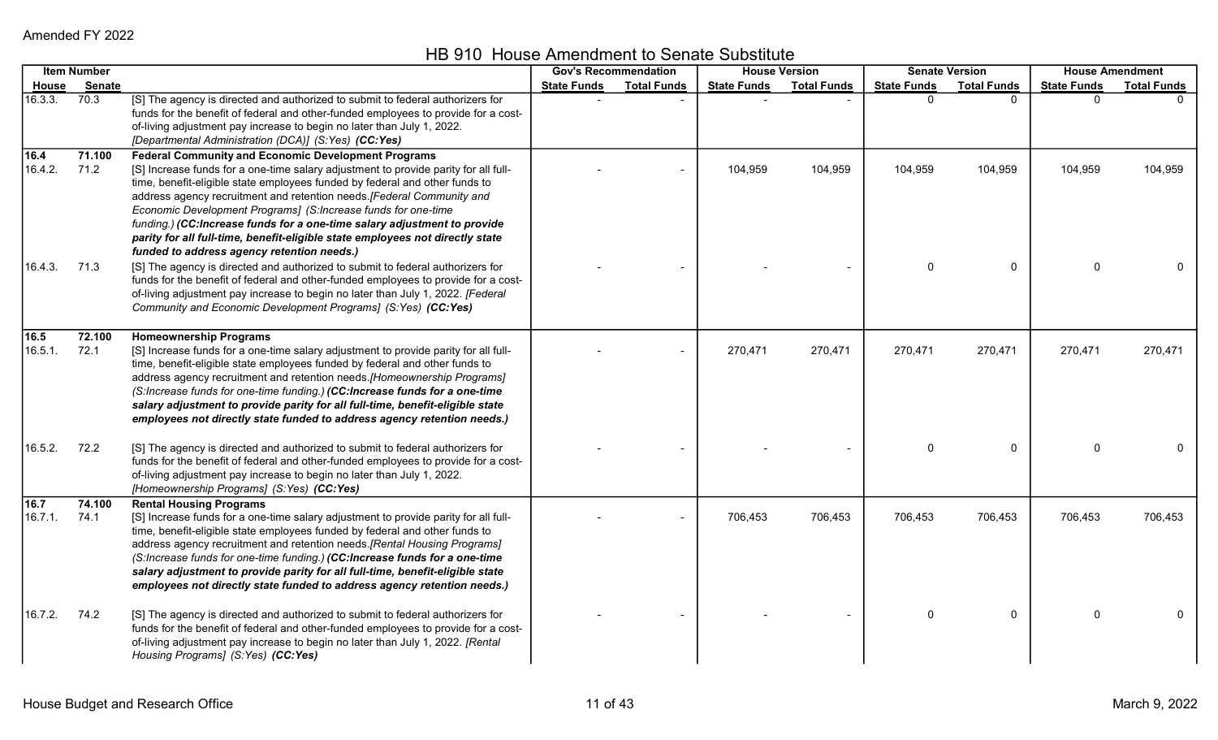HB 910 House Amendment to Senate Substitute

|                 | <b>Item Number</b> |                                                                                                                                                                                                                                                                                                                                                                                                                                                                                                                                                                                       | <b>Gov's Recommendation</b> |                    | <b>House Version</b> |                    |                    | <b>Senate Version</b> |                    | <b>House Amendment</b> |
|-----------------|--------------------|---------------------------------------------------------------------------------------------------------------------------------------------------------------------------------------------------------------------------------------------------------------------------------------------------------------------------------------------------------------------------------------------------------------------------------------------------------------------------------------------------------------------------------------------------------------------------------------|-----------------------------|--------------------|----------------------|--------------------|--------------------|-----------------------|--------------------|------------------------|
| House           | <b>Senate</b>      |                                                                                                                                                                                                                                                                                                                                                                                                                                                                                                                                                                                       | <b>State Funds</b>          | <b>Total Funds</b> | <b>State Funds</b>   | <b>Total Funds</b> | <b>State Funds</b> | <b>Total Funds</b>    | <b>State Funds</b> | <b>Total Funds</b>     |
| 16.3.3.         | 70.3               | [S] The agency is directed and authorized to submit to federal authorizers for<br>funds for the benefit of federal and other-funded employees to provide for a cost-<br>of-living adjustment pay increase to begin no later than July 1, 2022.<br>[Departmental Administration (DCA)] (S:Yes) (CC:Yes)                                                                                                                                                                                                                                                                                |                             |                    |                      |                    | $\Omega$           | $\Omega$              | $\Omega$           |                        |
| 16.4<br>16.4.2. | 71.100<br>71.2     | <b>Federal Community and Economic Development Programs</b><br>[S] Increase funds for a one-time salary adjustment to provide parity for all full-<br>time, benefit-eligible state employees funded by federal and other funds to<br>address agency recruitment and retention needs.[Federal Community and<br>Economic Development Programs] (S:Increase funds for one-time<br>funding.) (CC:Increase funds for a one-time salary adjustment to provide<br>parity for all full-time, benefit-eligible state employees not directly state<br>funded to address agency retention needs.) |                             |                    | 104,959              | 104,959            | 104,959            | 104,959               | 104,959            | 104,959                |
| 16.4.3.         | 71.3               | [S] The agency is directed and authorized to submit to federal authorizers for<br>funds for the benefit of federal and other-funded employees to provide for a cost-<br>of-living adjustment pay increase to begin no later than July 1, 2022. [Federal<br>Community and Economic Development Programs] (S:Yes) (CC:Yes)                                                                                                                                                                                                                                                              |                             |                    |                      |                    | $\Omega$           | 0                     | $\Omega$           |                        |
| 16.5<br>16.5.1. | 72.100<br>72.1     | <b>Homeownership Programs</b><br>[S] Increase funds for a one-time salary adjustment to provide parity for all full-<br>time, benefit-eligible state employees funded by federal and other funds to<br>address agency recruitment and retention needs. [Homeownership Programs]<br>(S:Increase funds for one-time funding.) (CC:Increase funds for a one-time<br>salary adjustment to provide parity for all full-time, benefit-eligible state<br>employees not directly state funded to address agency retention needs.)                                                             |                             |                    | 270,471              | 270,471            | 270,471            | 270,471               | 270,471            | 270,471                |
| 16.5.2.         | 72.2               | [S] The agency is directed and authorized to submit to federal authorizers for<br>funds for the benefit of federal and other-funded employees to provide for a cost-<br>of-living adjustment pay increase to begin no later than July 1, 2022.<br>[Homeownership Programs] (S:Yes) (CC:Yes)                                                                                                                                                                                                                                                                                           |                             |                    |                      |                    | $\Omega$           | 0                     | $\mathbf 0$        | 0                      |
| 16.7<br>16.7.1. | 74.100<br>74.1     | <b>Rental Housing Programs</b><br>[S] Increase funds for a one-time salary adjustment to provide parity for all full-<br>time, benefit-eligible state employees funded by federal and other funds to<br>address agency recruitment and retention needs.[Rental Housing Programs]<br>(S:Increase funds for one-time funding.) (CC:Increase funds for a one-time<br>salary adjustment to provide parity for all full-time, benefit-eligible state<br>employees not directly state funded to address agency retention needs.)                                                            |                             |                    | 706,453              | 706,453            | 706,453            | 706,453               | 706,453            | 706,453                |
| 16.7.2.         | 74.2               | [S] The agency is directed and authorized to submit to federal authorizers for<br>funds for the benefit of federal and other-funded employees to provide for a cost-<br>of-living adjustment pay increase to begin no later than July 1, 2022. [Rental<br>Housing Programs] (S:Yes) (CC:Yes)                                                                                                                                                                                                                                                                                          |                             |                    |                      |                    | $\mathbf 0$        | 0                     | $\Omega$           | 0                      |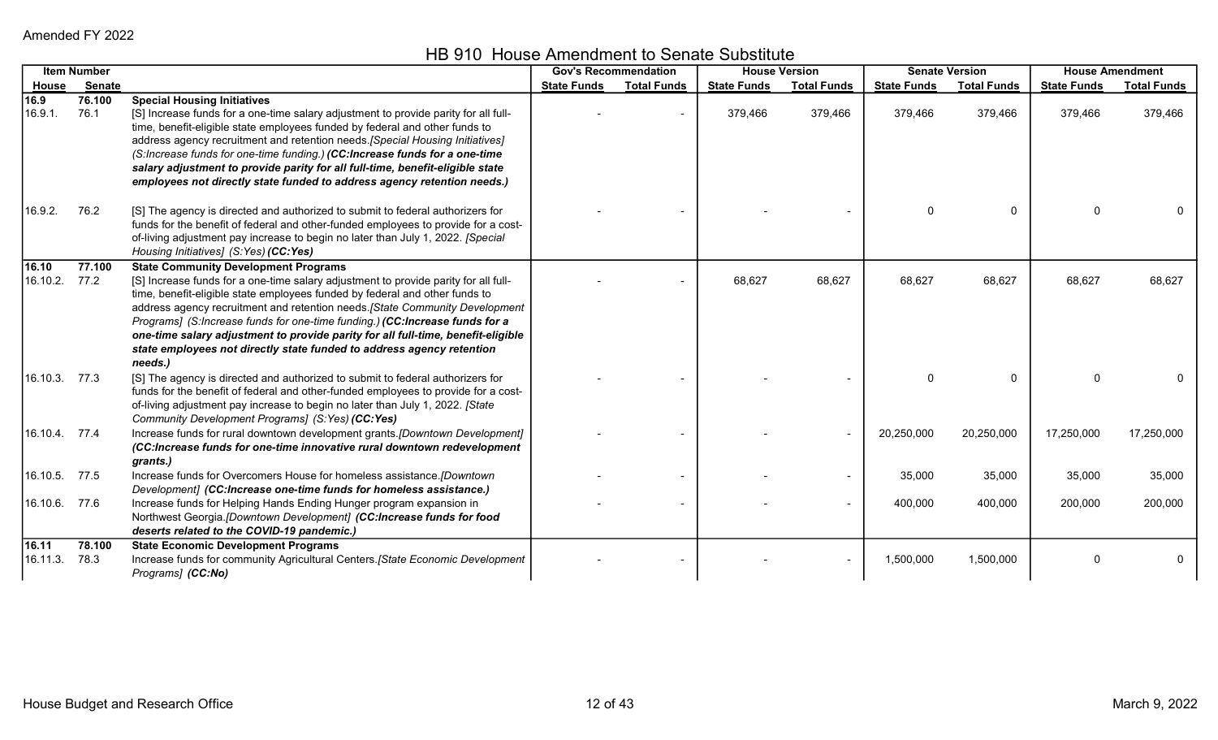|                    | <b>Item Number</b> |                                                                                                                                                                                                                                                                                                                                                                                                                                                                                                                                                          | <b>Gov's Recommendation</b> |                    |                    | <b>House Version</b> |                    | <b>Senate Version</b> |                    | <b>House Amendment</b> |
|--------------------|--------------------|----------------------------------------------------------------------------------------------------------------------------------------------------------------------------------------------------------------------------------------------------------------------------------------------------------------------------------------------------------------------------------------------------------------------------------------------------------------------------------------------------------------------------------------------------------|-----------------------------|--------------------|--------------------|----------------------|--------------------|-----------------------|--------------------|------------------------|
| House              | <b>Senate</b>      |                                                                                                                                                                                                                                                                                                                                                                                                                                                                                                                                                          | <b>State Funds</b>          | <b>Total Funds</b> | <b>State Funds</b> | <b>Total Funds</b>   | <b>State Funds</b> | <b>Total Funds</b>    | <b>State Funds</b> | <b>Total Funds</b>     |
| 16.9<br>16.9.1.    | 76.100<br>76.1     | <b>Special Housing Initiatives</b><br>[S] Increase funds for a one-time salary adjustment to provide parity for all full-<br>time, benefit-eligible state employees funded by federal and other funds to<br>address agency recruitment and retention needs. [Special Housing Initiatives]<br>(S:Increase funds for one-time funding.) (CC:Increase funds for a one-time<br>salary adjustment to provide parity for all full-time, benefit-eligible state                                                                                                 |                             |                    | 379,466            | 379,466              | 379,466            | 379,466               | 379,466            | 379,466                |
| 16.9.2.            | 76.2               | employees not directly state funded to address agency retention needs.)<br>[S] The agency is directed and authorized to submit to federal authorizers for<br>funds for the benefit of federal and other-funded employees to provide for a cost-<br>of-living adjustment pay increase to begin no later than July 1, 2022. [Special<br>Housing Initiatives] (S:Yes) (CC:Yes)                                                                                                                                                                              |                             |                    |                    |                      | 0                  | 0                     | $\Omega$           |                        |
| 16.10<br>16.10.2.  | 77.100<br>77.2     | <b>State Community Development Programs</b><br>[S] Increase funds for a one-time salary adjustment to provide parity for all full-<br>time, benefit-eligible state employees funded by federal and other funds to<br>address agency recruitment and retention needs. [State Community Development<br>Programs] (S:Increase funds for one-time funding.) (CC:Increase funds for a<br>one-time salary adjustment to provide parity for all full-time, benefit-eligible<br>state employees not directly state funded to address agency retention<br>needs.) |                             |                    | 68,627             | 68,627               | 68,627             | 68,627                | 68,627             | 68,627                 |
| 16.10.3.77.3       |                    | [S] The agency is directed and authorized to submit to federal authorizers for<br>funds for the benefit of federal and other-funded employees to provide for a cost-<br>of-living adjustment pay increase to begin no later than July 1, 2022. [State<br>Community Development Programs] (S:Yes) (CC:Yes)                                                                                                                                                                                                                                                |                             |                    |                    |                      | <sup>0</sup>       | $\mathbf{0}$          | $\Omega$           |                        |
| 16.10.4. 77.4      |                    | Increase funds for rural downtown development grants.[Downtown Development]<br>(CC:Increase funds for one-time innovative rural downtown redevelopment<br>grants.)                                                                                                                                                                                                                                                                                                                                                                                       |                             |                    |                    |                      | 20,250,000         | 20,250,000            | 17,250,000         | 17,250,000             |
| 16.10.5. 77.5      |                    | Increase funds for Overcomers House for homeless assistance.[Downtown<br>Development] (CC:Increase one-time funds for homeless assistance.)                                                                                                                                                                                                                                                                                                                                                                                                              |                             |                    |                    |                      | 35,000             | 35,000                | 35,000             | 35,000                 |
| 16.10.6. 77.6      |                    | Increase funds for Helping Hands Ending Hunger program expansion in<br>Northwest Georgia.[Downtown Development] (CC:Increase funds for food<br>deserts related to the COVID-19 pandemic.)                                                                                                                                                                                                                                                                                                                                                                |                             |                    |                    |                      | 400,000            | 400,000               | 200,000            | 200,000                |
| 16.11 <br>16.11.3. | 78.100<br>78.3     | <b>State Economic Development Programs</b><br>Increase funds for community Agricultural Centers. [State Economic Development<br>Programs] (CC:No)                                                                                                                                                                                                                                                                                                                                                                                                        |                             |                    |                    |                      | 1,500,000          | 1,500,000             | $\Omega$           |                        |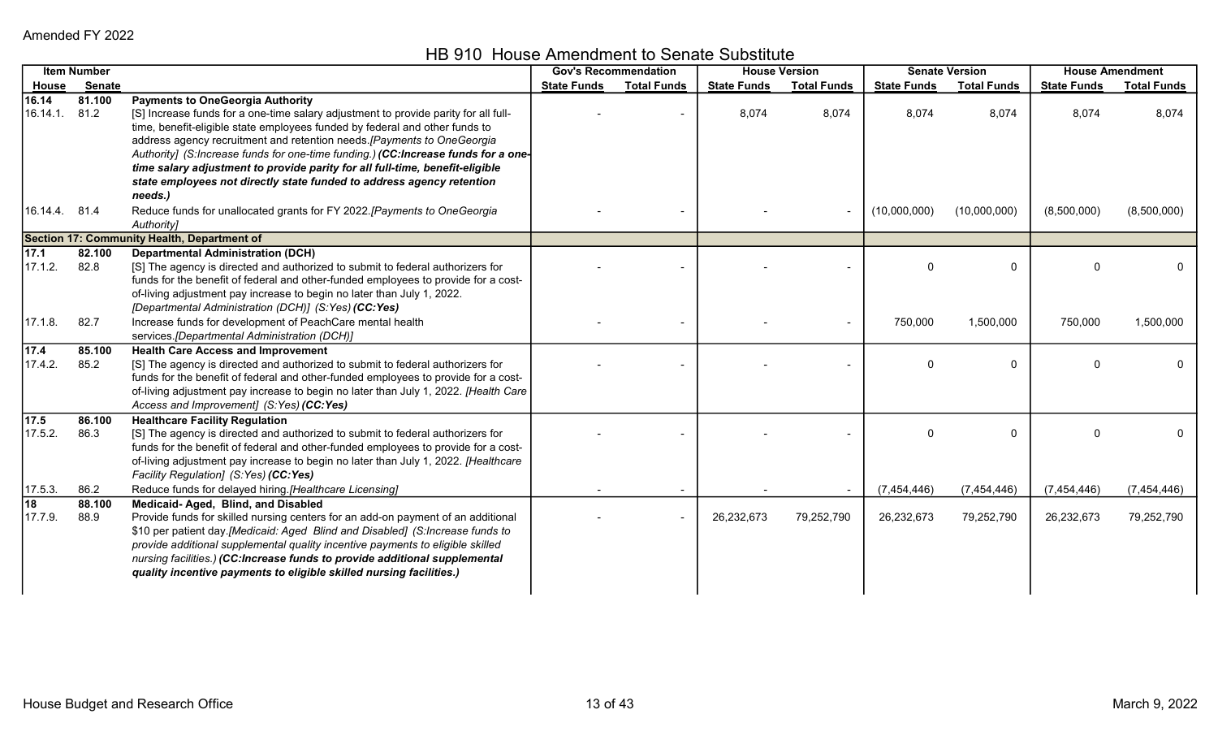HB 910 House Amendment to Senate Substitute

|                   | <b>Item Number</b> |                                                                                                                                                                                                                                                                                                                                                                                                                                                | <b>Gov's Recommendation</b> |                    | <b>House Version</b> |                    | <b>Senate Version</b> |                    | <b>House Amendment</b> |                    |
|-------------------|--------------------|------------------------------------------------------------------------------------------------------------------------------------------------------------------------------------------------------------------------------------------------------------------------------------------------------------------------------------------------------------------------------------------------------------------------------------------------|-----------------------------|--------------------|----------------------|--------------------|-----------------------|--------------------|------------------------|--------------------|
| House             | <b>Senate</b>      |                                                                                                                                                                                                                                                                                                                                                                                                                                                | <b>State Funds</b>          | <b>Total Funds</b> | <b>State Funds</b>   | <b>Total Funds</b> | <b>State Funds</b>    | <b>Total Funds</b> | <b>State Funds</b>     | <b>Total Funds</b> |
| 16.14<br>16.14.1. | 81.100<br>81.2     | <b>Payments to OneGeorgia Authority</b><br>[S] Increase funds for a one-time salary adjustment to provide parity for all full-<br>time, benefit-eligible state employees funded by federal and other funds to<br>address agency recruitment and retention needs. [Payments to OneGeorgia<br>Authority] (S:Increase funds for one-time funding.) (CC:Increase funds for a one-                                                                  |                             |                    | 8,074                | 8,074              | 8,074                 | 8,074              | 8,074                  | 8,074              |
| 16.14.4. 81.4     |                    | time salary adjustment to provide parity for all full-time, benefit-eligible<br>state employees not directly state funded to address agency retention<br>needs.)<br>Reduce funds for unallocated grants for FY 2022.[Payments to OneGeorgia<br>Authority]                                                                                                                                                                                      |                             |                    |                      |                    | (10,000,000)          | (10,000,000)       | (8,500,000)            | (8,500,000)        |
|                   |                    | Section 17: Community Health, Department of                                                                                                                                                                                                                                                                                                                                                                                                    |                             |                    |                      |                    |                       |                    |                        |                    |
| 17.1<br>17.1.2.   | 82.100<br>82.8     | <b>Departmental Administration (DCH)</b><br>[S] The agency is directed and authorized to submit to federal authorizers for<br>funds for the benefit of federal and other-funded employees to provide for a cost-<br>of-living adjustment pay increase to begin no later than July 1, 2022.                                                                                                                                                     |                             |                    |                      |                    | 0                     | $\mathbf{0}$       | $\Omega$               | 0                  |
|                   |                    | [Departmental Administration (DCH)] (S:Yes) (CC:Yes)                                                                                                                                                                                                                                                                                                                                                                                           |                             |                    |                      |                    |                       |                    |                        |                    |
| 17.1.8.           | 82.7               | Increase funds for development of PeachCare mental health<br>services.[Departmental Administration (DCH)]                                                                                                                                                                                                                                                                                                                                      |                             |                    |                      |                    | 750,000               | 1,500,000          | 750,000                | 1,500,000          |
| 17.4<br>17.4.2.   | 85.100<br>85.2     | <b>Health Care Access and Improvement</b><br>[S] The agency is directed and authorized to submit to federal authorizers for<br>funds for the benefit of federal and other-funded employees to provide for a cost-<br>of-living adjustment pay increase to begin no later than July 1, 2022. [Health Care<br>Access and Improvement] (S:Yes) (CC:Yes)                                                                                           |                             |                    |                      |                    | 0                     | 0                  | $\Omega$               |                    |
| 17.5<br>17.5.2.   | 86.100<br>86.3     | <b>Healthcare Facility Regulation</b><br>[S] The agency is directed and authorized to submit to federal authorizers for<br>funds for the benefit of federal and other-funded employees to provide for a cost-<br>of-living adjustment pay increase to begin no later than July 1, 2022. [Healthcare<br>Facility Regulation] (S:Yes) (CC:Yes)                                                                                                   |                             |                    |                      |                    | 0                     | $\mathbf 0$        | $\Omega$               | 0                  |
| 17.5.3.           | 86.2               | Reduce funds for delayed hiring.[Healthcare Licensing]                                                                                                                                                                                                                                                                                                                                                                                         |                             |                    |                      |                    | (7,454,446)           | (7,454,446)        | (7,454,446)            | (7,454,446)        |
| 18<br>17.7.9.     | 88.100<br>88.9     | Medicaid-Aged, Blind, and Disabled<br>Provide funds for skilled nursing centers for an add-on payment of an additional<br>\$10 per patient day.[Medicaid: Aged Blind and Disabled] (S:Increase funds to<br>provide additional supplemental quality incentive payments to eligible skilled<br>nursing facilities.) (CC:Increase funds to provide additional supplemental<br>quality incentive payments to eligible skilled nursing facilities.) |                             |                    | 26,232,673           | 79,252,790         | 26,232,673            | 79,252,790         | 26,232,673             | 79,252,790         |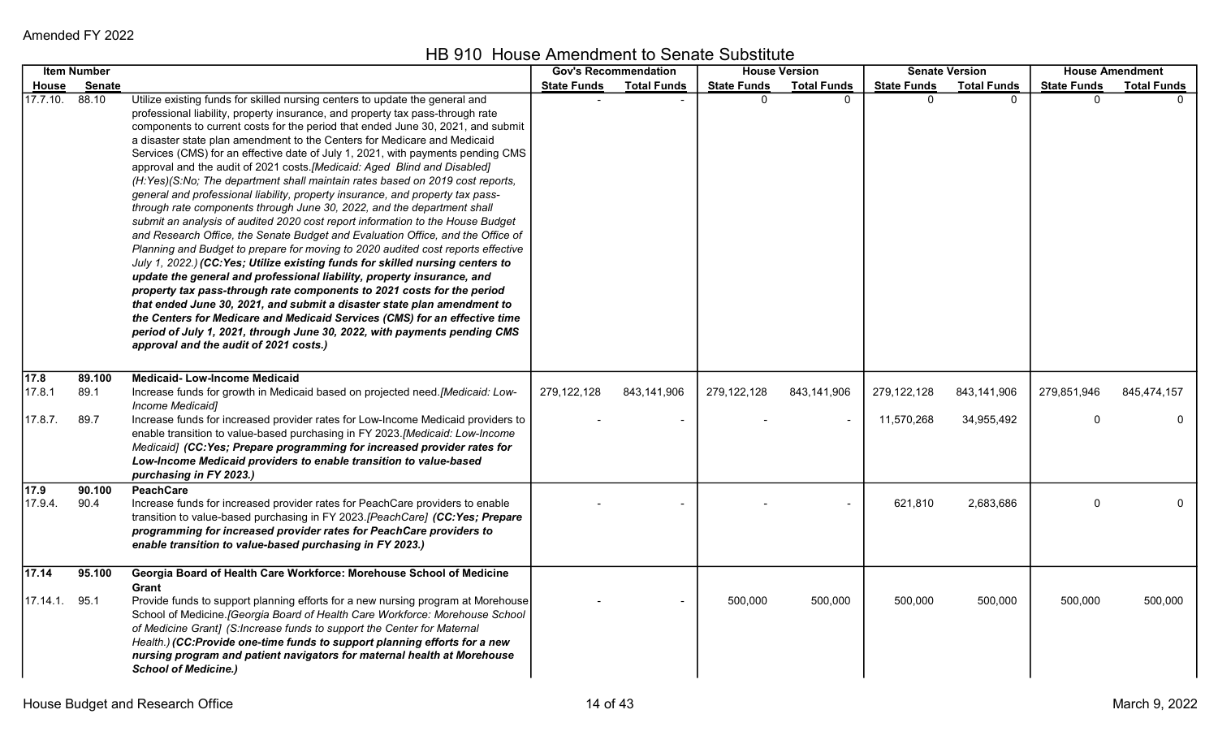|                              | <b>Item Number</b>     |                                                                                                                                                                                                                                                                                                                                                                                                                                                                                                                                                                                                                                                                                                                                                                                                                                                                                                                                                                                                                                                                                                                                                                                                                                                                                                                                                                                                                                                                                                                          | <b>Gov's Recommendation</b> |                    |                    | <b>House Version</b> |                           | <b>Senate Version</b>     |                    | <b>House Amendment</b>     |
|------------------------------|------------------------|--------------------------------------------------------------------------------------------------------------------------------------------------------------------------------------------------------------------------------------------------------------------------------------------------------------------------------------------------------------------------------------------------------------------------------------------------------------------------------------------------------------------------------------------------------------------------------------------------------------------------------------------------------------------------------------------------------------------------------------------------------------------------------------------------------------------------------------------------------------------------------------------------------------------------------------------------------------------------------------------------------------------------------------------------------------------------------------------------------------------------------------------------------------------------------------------------------------------------------------------------------------------------------------------------------------------------------------------------------------------------------------------------------------------------------------------------------------------------------------------------------------------------|-----------------------------|--------------------|--------------------|----------------------|---------------------------|---------------------------|--------------------|----------------------------|
| House                        | <b>Senate</b>          |                                                                                                                                                                                                                                                                                                                                                                                                                                                                                                                                                                                                                                                                                                                                                                                                                                                                                                                                                                                                                                                                                                                                                                                                                                                                                                                                                                                                                                                                                                                          | <b>State Funds</b>          | <b>Total Funds</b> | <b>State Funds</b> | <b>Total Funds</b>   | <b>State Funds</b>        | <b>Total Funds</b>        | <b>State Funds</b> | <b>Total Funds</b>         |
| 17.7.10.                     | 88.10                  | Utilize existing funds for skilled nursing centers to update the general and<br>professional liability, property insurance, and property tax pass-through rate<br>components to current costs for the period that ended June 30, 2021, and submit<br>a disaster state plan amendment to the Centers for Medicare and Medicaid<br>Services (CMS) for an effective date of July 1, 2021, with payments pending CMS<br>approval and the audit of 2021 costs. [Medicaid: Aged Blind and Disabled]<br>(H:Yes)(S:No; The department shall maintain rates based on 2019 cost reports,<br>general and professional liability, property insurance, and property tax pass-<br>through rate components through June 30, 2022, and the department shall<br>submit an analysis of audited 2020 cost report information to the House Budget<br>and Research Office, the Senate Budget and Evaluation Office, and the Office of<br>Planning and Budget to prepare for moving to 2020 audited cost reports effective<br>July 1, 2022.) (CC:Yes; Utilize existing funds for skilled nursing centers to<br>update the general and professional liability, property insurance, and<br>property tax pass-through rate components to 2021 costs for the period<br>that ended June 30, 2021, and submit a disaster state plan amendment to<br>the Centers for Medicare and Medicaid Services (CMS) for an effective time<br>period of July 1, 2021, through June 30, 2022, with payments pending CMS<br>approval and the audit of 2021 costs.) |                             |                    | $\Omega$           | ∩                    | $\Omega$                  | $\Omega$                  | <sup>n</sup>       |                            |
| 17.8<br>17.8.1<br>17.8.7.    | 89.100<br>89.1<br>89.7 | <b>Medicaid-Low-Income Medicaid</b><br>Increase funds for growth in Medicaid based on projected need.[Medicaid: Low-<br>Income Medicaid]<br>Increase funds for increased provider rates for Low-Income Medicaid providers to<br>enable transition to value-based purchasing in FY 2023.[Medicaid: Low-Income<br>Medicaid] (CC:Yes; Prepare programming for increased provider rates for<br>Low-Income Medicaid providers to enable transition to value-based<br>purchasing in FY 2023.)                                                                                                                                                                                                                                                                                                                                                                                                                                                                                                                                                                                                                                                                                                                                                                                                                                                                                                                                                                                                                                  | 279,122,128                 | 843,141,906        | 279,122,128        | 843,141,906          | 279,122,128<br>11,570,268 | 843,141,906<br>34,955,492 | 279,851,946<br>0   | 845,474,157<br>$\mathbf 0$ |
| $\overline{17.9}$<br>17.9.4. | 90.100<br>90.4         | <b>PeachCare</b><br>Increase funds for increased provider rates for PeachCare providers to enable<br>transition to value-based purchasing in FY 2023.[PeachCare] (CC:Yes; Prepare<br>programming for increased provider rates for PeachCare providers to<br>enable transition to value-based purchasing in FY 2023.)                                                                                                                                                                                                                                                                                                                                                                                                                                                                                                                                                                                                                                                                                                                                                                                                                                                                                                                                                                                                                                                                                                                                                                                                     |                             |                    |                    |                      | 621,810                   | 2,683,686                 | $\Omega$           | 0                          |
| 17.14<br>17.14.1. 95.1       | 95.100                 | Georgia Board of Health Care Workforce: Morehouse School of Medicine<br>Grant<br>Provide funds to support planning efforts for a new nursing program at Morehouse<br>School of Medicine. [Georgia Board of Health Care Workforce: Morehouse School<br>of Medicine Grant] (S:Increase funds to support the Center for Maternal<br>Health.) (CC:Provide one-time funds to support planning efforts for a new<br>nursing program and patient navigators for maternal health at Morehouse<br><b>School of Medicine.)</b>                                                                                                                                                                                                                                                                                                                                                                                                                                                                                                                                                                                                                                                                                                                                                                                                                                                                                                                                                                                                     |                             |                    | 500,000            | 500,000              | 500,000                   | 500,000                   | 500,000            | 500,000                    |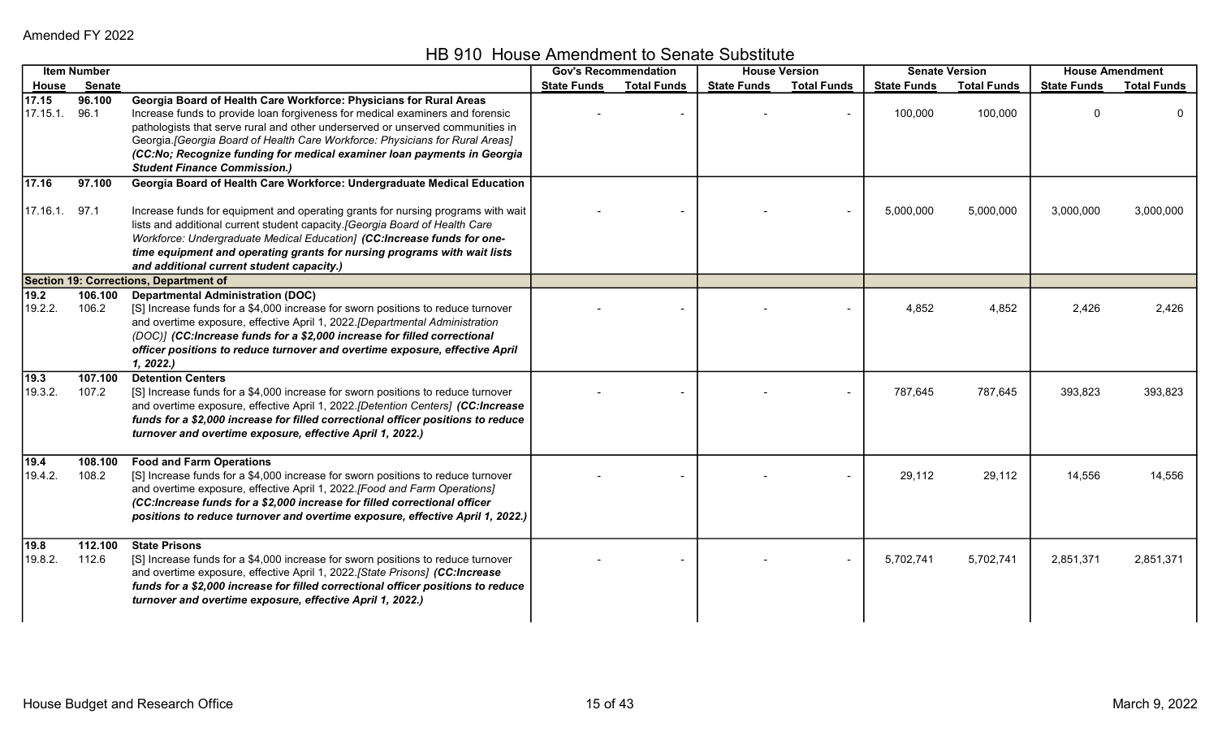HB 910 House Amendment to Senate Substitute

|                   | <b>Item Number</b> |                                                                                                                                                                                                                                                                                                                                                                                                                                         |                    | <b>Gov's Recommendation</b> |                    | <b>House Version</b> |                    | <b>Senate Version</b> |                    | <b>House Amendment</b> |
|-------------------|--------------------|-----------------------------------------------------------------------------------------------------------------------------------------------------------------------------------------------------------------------------------------------------------------------------------------------------------------------------------------------------------------------------------------------------------------------------------------|--------------------|-----------------------------|--------------------|----------------------|--------------------|-----------------------|--------------------|------------------------|
| House             | Senate             |                                                                                                                                                                                                                                                                                                                                                                                                                                         | <b>State Funds</b> | <b>Total Funds</b>          | <b>State Funds</b> | <b>Total Funds</b>   | <b>State Funds</b> | <b>Total Funds</b>    | <b>State Funds</b> | <b>Total Funds</b>     |
| 17.15<br>17.15.1. | 96.100<br>96.1     | Georgia Board of Health Care Workforce: Physicians for Rural Areas<br>Increase funds to provide loan forgiveness for medical examiners and forensic<br>pathologists that serve rural and other underserved or unserved communities in<br>Georgia.[Georgia Board of Health Care Workforce: Physicians for Rural Areas]<br>(CC:No; Recognize funding for medical examiner loan payments in Georgia<br><b>Student Finance Commission.)</b> |                    |                             |                    |                      | 100,000            | 100,000               | $\Omega$           |                        |
| 17.16             | 97.100             | Georgia Board of Health Care Workforce: Undergraduate Medical Education                                                                                                                                                                                                                                                                                                                                                                 |                    |                             |                    |                      |                    |                       |                    |                        |
| $17.16.1.$ 97.1   |                    | Increase funds for equipment and operating grants for nursing programs with wait<br>lists and additional current student capacity.[Georgia Board of Health Care<br>Workforce: Undergraduate Medical Education] (CC:Increase funds for one-<br>time equipment and operating grants for nursing programs with wait lists<br>and additional current student capacity.)                                                                     |                    |                             |                    |                      | 5,000,000          | 5,000,000             | 3,000,000          | 3,000,000              |
|                   |                    | <b>Section 19: Corrections, Department of</b>                                                                                                                                                                                                                                                                                                                                                                                           |                    |                             |                    |                      |                    |                       |                    |                        |
| 19.2<br>19.2.2.   | 106.100<br>106.2   | <b>Departmental Administration (DOC)</b><br>[S] Increase funds for a \$4,000 increase for sworn positions to reduce turnover<br>and overtime exposure, effective April 1, 2022.[Departmental Administration<br>(DOC)] (CC:Increase funds for a \$2,000 increase for filled correctional<br>officer positions to reduce turnover and overtime exposure, effective April<br>1, 2022.                                                      |                    |                             |                    |                      | 4,852              | 4,852                 | 2,426              | 2,426                  |
| 19.3 <br>19.3.2.  | 107.100<br>107.2   | <b>Detention Centers</b><br>[S] Increase funds for a \$4,000 increase for sworn positions to reduce turnover<br>and overtime exposure, effective April 1, 2022.[Detention Centers] (CC:Increase<br>funds for a \$2,000 increase for filled correctional officer positions to reduce<br>turnover and overtime exposure, effective April 1, 2022.)                                                                                        |                    |                             |                    |                      | 787,645            | 787,645               | 393,823            | 393,823                |
| 19.4 <br>19.4.2.  | 108.100<br>108.2   | <b>Food and Farm Operations</b><br>[S] Increase funds for a \$4,000 increase for sworn positions to reduce turnover<br>and overtime exposure, effective April 1, 2022.[Food and Farm Operations]<br>(CC:Increase funds for a \$2,000 increase for filled correctional officer<br>positions to reduce turnover and overtime exposure, effective April 1, 2022.)                                                                          |                    |                             |                    |                      | 29,112             | 29,112                | 14,556             | 14,556                 |
| 19.8 <br>19.8.2.  | 112.100<br>112.6   | <b>State Prisons</b><br>[S] Increase funds for a \$4,000 increase for sworn positions to reduce turnover<br>and overtime exposure, effective April 1, 2022.[State Prisons] (CC:Increase<br>funds for a \$2,000 increase for filled correctional officer positions to reduce<br>turnover and overtime exposure, effective April 1, 2022.)                                                                                                |                    |                             |                    |                      | 5,702,741          | 5,702,741             | 2,851,371          | 2,851,371              |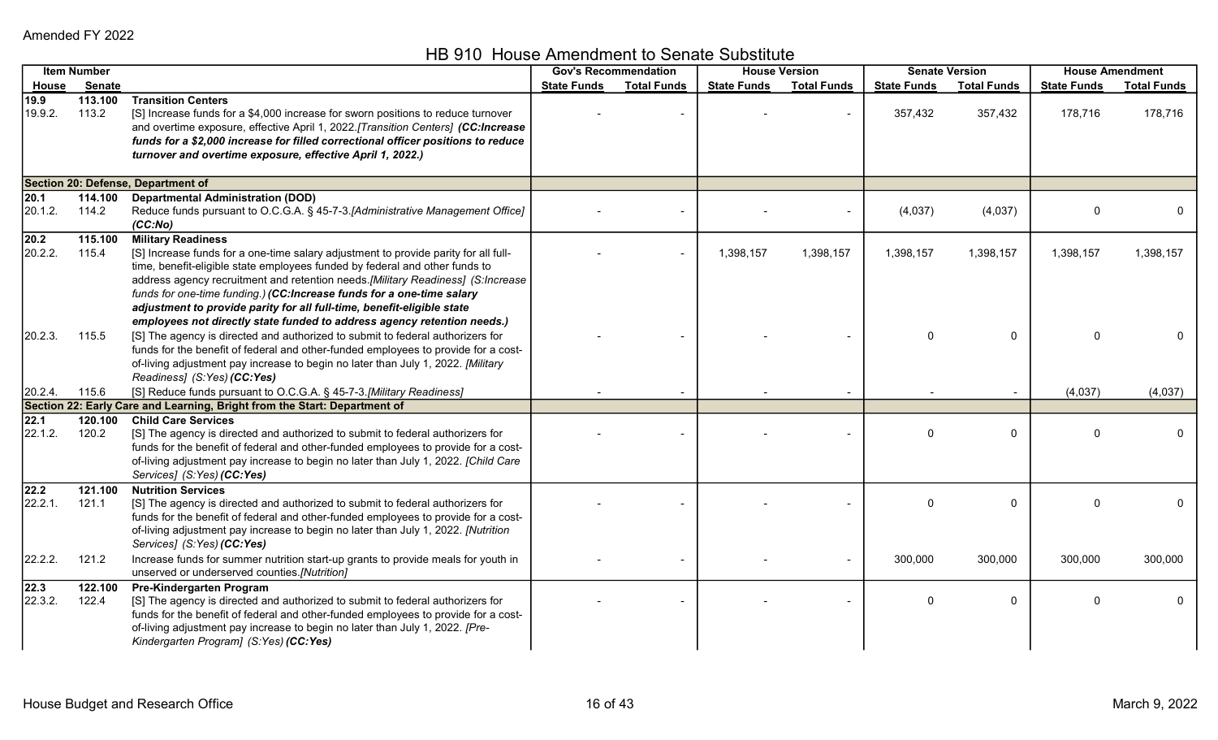HB 910 House Amendment to Senate Substitute

|                 | <b>Item Number</b> |                                                                                                                                                                                                                                                                                                                                                                                                                                                                                                                  | <b>Gov's Recommendation</b> |                    |                    | <b>House Version</b> |                    | <b>Senate Version</b> |                    | <b>House Amendment</b> |
|-----------------|--------------------|------------------------------------------------------------------------------------------------------------------------------------------------------------------------------------------------------------------------------------------------------------------------------------------------------------------------------------------------------------------------------------------------------------------------------------------------------------------------------------------------------------------|-----------------------------|--------------------|--------------------|----------------------|--------------------|-----------------------|--------------------|------------------------|
| House           | Senate             |                                                                                                                                                                                                                                                                                                                                                                                                                                                                                                                  | <b>State Funds</b>          | <b>Total Funds</b> | <b>State Funds</b> | <b>Total Funds</b>   | <b>State Funds</b> | <b>Total Funds</b>    | <b>State Funds</b> | <b>Total Funds</b>     |
| 19.9<br>19.9.2. | 113.100<br>113.2   | <b>Transition Centers</b><br>[S] Increase funds for a \$4,000 increase for sworn positions to reduce turnover<br>and overtime exposure, effective April 1, 2022.[Transition Centers] (CC:Increase<br>funds for a \$2,000 increase for filled correctional officer positions to reduce<br>turnover and overtime exposure, effective April 1, 2022.)                                                                                                                                                               |                             |                    |                    |                      | 357,432            | 357,432               | 178,716            | 178,716                |
|                 |                    | <b>Section 20: Defense, Department of</b>                                                                                                                                                                                                                                                                                                                                                                                                                                                                        |                             |                    |                    |                      |                    |                       |                    |                        |
| 20.1<br>20.1.2. | 114.100<br>114.2   | <b>Departmental Administration (DOD)</b><br>Reduce funds pursuant to O.C.G.A. § 45-7-3.[Administrative Management Office]<br>(CC:No)                                                                                                                                                                                                                                                                                                                                                                             |                             |                    |                    |                      | (4,037)            | (4,037)               | $\Omega$           | 0                      |
| 20.2<br>20.2.2. | 115.100<br>115.4   | <b>Military Readiness</b><br>[S] Increase funds for a one-time salary adjustment to provide parity for all full-<br>time, benefit-eligible state employees funded by federal and other funds to<br>address agency recruitment and retention needs.[Military Readiness] (S:Increase<br>funds for one-time funding.) (CC:Increase funds for a one-time salary<br>adjustment to provide parity for all full-time, benefit-eligible state<br>employees not directly state funded to address agency retention needs.) |                             |                    | 1,398,157          | 1,398,157            | 1,398,157          | 1,398,157             | 1,398,157          | 1,398,157              |
| 20.2.3.         | 115.5              | [S] The agency is directed and authorized to submit to federal authorizers for<br>funds for the benefit of federal and other-funded employees to provide for a cost-<br>of-living adjustment pay increase to begin no later than July 1, 2022. [Military<br>Readiness] (S:Yes) (CC:Yes)                                                                                                                                                                                                                          |                             |                    |                    |                      | 0                  | 0                     | $\Omega$           |                        |
| 20.2.4.         | 115.6              | [S] Reduce funds pursuant to O.C.G.A. § 45-7-3.[Military Readiness]                                                                                                                                                                                                                                                                                                                                                                                                                                              |                             |                    |                    |                      |                    |                       | (4,037)            | (4,037)                |
|                 |                    | Section 22: Early Care and Learning, Bright from the Start: Department of                                                                                                                                                                                                                                                                                                                                                                                                                                        |                             |                    |                    |                      |                    |                       |                    |                        |
| 22.1<br>22.1.2. | 120.100<br>120.2   | <b>Child Care Services</b><br>[S] The agency is directed and authorized to submit to federal authorizers for<br>funds for the benefit of federal and other-funded employees to provide for a cost-<br>of-living adjustment pay increase to begin no later than July 1, 2022. [Child Care<br>Services] (S:Yes) (CC:Yes)                                                                                                                                                                                           |                             |                    |                    |                      | 0                  | 0                     | $\Omega$           | 0                      |
| 22.2<br>22.2.1. | 121.100<br>121.1   | <b>Nutrition Services</b><br>[S] The agency is directed and authorized to submit to federal authorizers for<br>funds for the benefit of federal and other-funded employees to provide for a cost-<br>of-living adjustment pay increase to begin no later than July 1, 2022. [Nutrition<br>Services] (S:Yes) (CC:Yes)                                                                                                                                                                                             |                             |                    |                    |                      | 0                  | 0                     | $\Omega$           | 0                      |
| 22.2.2.         | 121.2              | Increase funds for summer nutrition start-up grants to provide meals for youth in<br>unserved or underserved counties.[Nutrition]                                                                                                                                                                                                                                                                                                                                                                                |                             |                    |                    | $\blacksquare$       | 300,000            | 300,000               | 300,000            | 300,000                |
| 22.3<br>22.3.2. | 122.100<br>122.4   | Pre-Kindergarten Program<br>[S] The agency is directed and authorized to submit to federal authorizers for<br>funds for the benefit of federal and other-funded employees to provide for a cost-<br>of-living adjustment pay increase to begin no later than July 1, 2022. [Pre-<br>Kindergarten Program] (S:Yes) (CC:Yes)                                                                                                                                                                                       |                             |                    |                    |                      | 0                  | $\mathbf{0}$          | $\Omega$           | 0                      |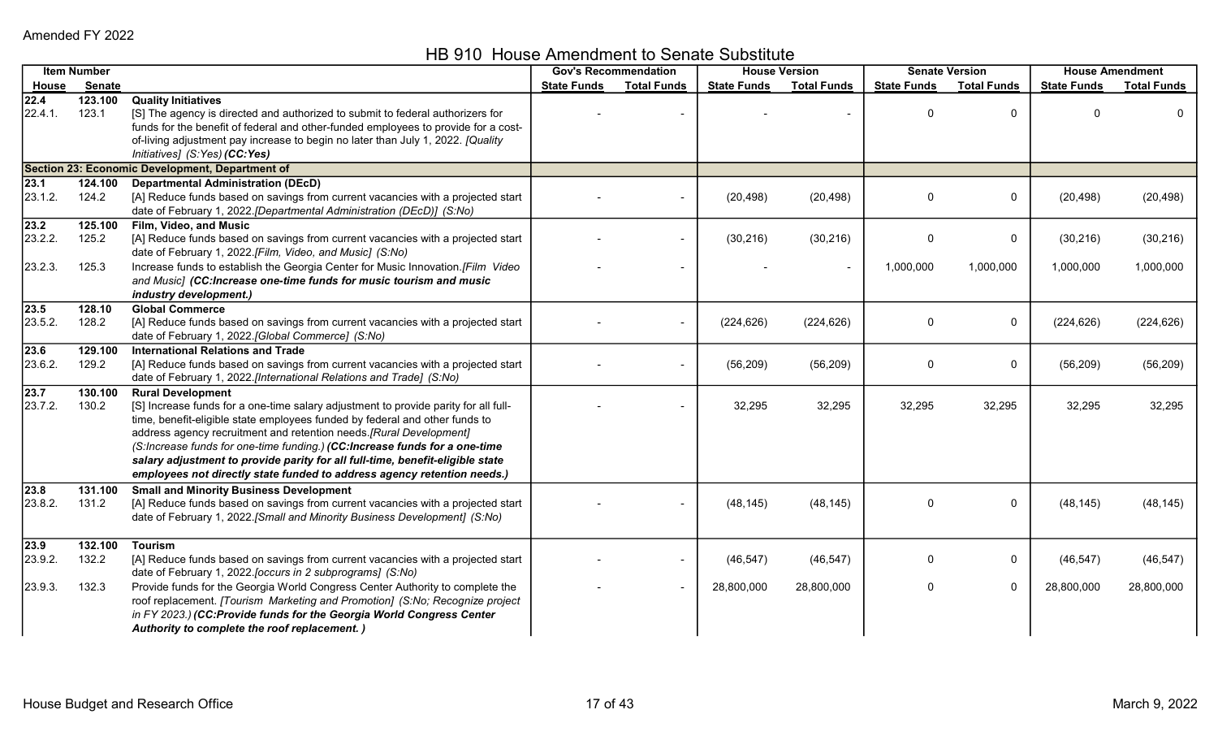HB 910 House Amendment to Senate Substitute

|                            | <b>Item Number</b>        |                                                                                                                                                                                                                                                                                                                                                                                                                                                                                                                | <b>Gov's Recommendation</b> |                    | <b>House Version</b>    |                          |                    | <b>Senate Version</b> |                         | <b>House Amendment</b>  |
|----------------------------|---------------------------|----------------------------------------------------------------------------------------------------------------------------------------------------------------------------------------------------------------------------------------------------------------------------------------------------------------------------------------------------------------------------------------------------------------------------------------------------------------------------------------------------------------|-----------------------------|--------------------|-------------------------|--------------------------|--------------------|-----------------------|-------------------------|-------------------------|
| <u>House</u>               | Senate                    |                                                                                                                                                                                                                                                                                                                                                                                                                                                                                                                | <b>State Funds</b>          | <b>Total Funds</b> | <b>State Funds</b>      | <b>Total Funds</b>       | <b>State Funds</b> | <b>Total Funds</b>    | <b>State Funds</b>      | <b>Total Funds</b>      |
| 22.4<br>22.4.1.            | 123.100<br>123.1          | <b>Quality Initiatives</b><br>[S] The agency is directed and authorized to submit to federal authorizers for<br>funds for the benefit of federal and other-funded employees to provide for a cost-<br>of-living adjustment pay increase to begin no later than July 1, 2022. [Quality<br>Initiatives] (S:Yes) (CC:Yes)                                                                                                                                                                                         |                             |                    |                         |                          | $\Omega$           | $\Omega$              |                         |                         |
|                            |                           | Section 23: Economic Development, Department of                                                                                                                                                                                                                                                                                                                                                                                                                                                                |                             |                    |                         |                          |                    |                       |                         |                         |
| 23.1<br>23.1.2.            | 124.100<br>124.2          | <b>Departmental Administration (DEcD)</b><br>[A] Reduce funds based on savings from current vacancies with a projected start<br>date of February 1, 2022.[Departmental Administration (DEcD)] (S:No)                                                                                                                                                                                                                                                                                                           |                             |                    | (20, 498)               | (20, 498)                | 0                  | 0                     | (20, 498)               | (20, 498)               |
| 23.2<br>23.2.2.            | 125.100<br>125.2          | Film, Video, and Music<br>[A] Reduce funds based on savings from current vacancies with a projected start<br>date of February 1, 2022.[Film, Video, and Music] (S:No)                                                                                                                                                                                                                                                                                                                                          |                             |                    | (30, 216)               | (30, 216)                | $\mathbf{0}$       | $\mathbf 0$           | (30, 216)               | (30, 216)               |
| 23.2.3.                    | 125.3                     | Increase funds to establish the Georgia Center for Music Innovation.[Film Video<br>and Music] (CC:Increase one-time funds for music tourism and music<br>industry development.)                                                                                                                                                                                                                                                                                                                                |                             |                    |                         | $\overline{\phantom{a}}$ | 1,000,000          | 1,000,000             | 1,000,000               | 1,000,000               |
| 23.5<br>23.5.2.            | 128.10<br>128.2           | <b>Global Commerce</b><br>[A] Reduce funds based on savings from current vacancies with a projected start<br>date of February 1, 2022. [Global Commerce] (S:No)                                                                                                                                                                                                                                                                                                                                                |                             |                    | (224, 626)              | (224, 626)               | $\Omega$           | $\mathbf 0$           | (224, 626)              | (224, 626)              |
| 23.6<br>23.6.2.            | 129.100<br>129.2          | <b>International Relations and Trade</b><br>[A] Reduce funds based on savings from current vacancies with a projected start<br>date of February 1, 2022.[International Relations and Trade] (S:No)                                                                                                                                                                                                                                                                                                             |                             |                    | (56, 209)               | (56, 209)                | 0                  | 0                     | (56, 209)               | (56, 209)               |
| 23.7<br>23.7.2.            | 130.100<br>130.2          | <b>Rural Development</b><br>[S] Increase funds for a one-time salary adjustment to provide parity for all full-<br>time, benefit-eligible state employees funded by federal and other funds to<br>address agency recruitment and retention needs.[Rural Development]<br>(S:Increase funds for one-time funding.) (CC:Increase funds for a one-time<br>salary adjustment to provide parity for all full-time, benefit-eligible state<br>employees not directly state funded to address agency retention needs.) |                             |                    | 32,295                  | 32,295                   | 32,295             | 32,295                | 32,295                  | 32,295                  |
| 23.8<br>23.8.2.            | 131.100<br>131.2          | <b>Small and Minority Business Development</b><br>[A] Reduce funds based on savings from current vacancies with a projected start<br>date of February 1, 2022. [Small and Minority Business Development] (S:No)                                                                                                                                                                                                                                                                                                |                             |                    | (48, 145)               | (48, 145)                | $\Omega$           | 0                     | (48, 145)               | (48, 145)               |
| 23.9<br>23.9.2.<br>23.9.3. | 132.100<br>132.2<br>132.3 | <b>Tourism</b><br>[A] Reduce funds based on savings from current vacancies with a projected start<br>date of February 1, 2022. [occurs in 2 subprograms] (S:No)<br>Provide funds for the Georgia World Congress Center Authority to complete the<br>roof replacement. [Tourism Marketing and Promotion] (S:No; Recognize project<br>in FY 2023.) (CC:Provide funds for the Georgia World Congress Center                                                                                                       |                             |                    | (46, 547)<br>28,800,000 | (46, 547)<br>28,800,000  | 0<br>0             | 0<br>$\mathbf 0$      | (46, 547)<br>28,800,000 | (46, 547)<br>28,800,000 |
|                            |                           | Authority to complete the roof replacement.)                                                                                                                                                                                                                                                                                                                                                                                                                                                                   |                             |                    |                         |                          |                    |                       |                         |                         |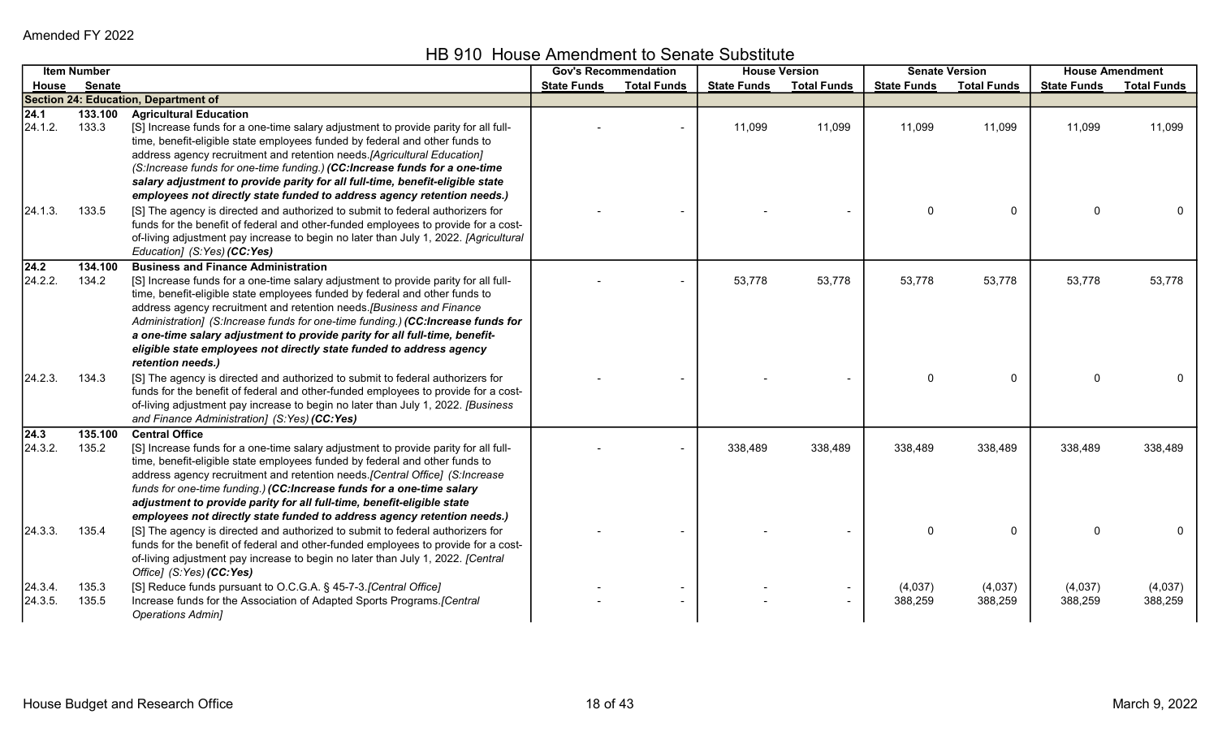HB 910 House Amendment to Senate Substitute

|                          | <b>Item Number</b> |                                                                                                                                                                                                                                                                                                                                                                                                                                                                                                                                                         |                    | <b>Gov's Recommendation</b> |                    | <b>House Version</b> |                    | <b>Senate Version</b> |                    | <b>House Amendment</b> |
|--------------------------|--------------------|---------------------------------------------------------------------------------------------------------------------------------------------------------------------------------------------------------------------------------------------------------------------------------------------------------------------------------------------------------------------------------------------------------------------------------------------------------------------------------------------------------------------------------------------------------|--------------------|-----------------------------|--------------------|----------------------|--------------------|-----------------------|--------------------|------------------------|
| House                    | Senate             |                                                                                                                                                                                                                                                                                                                                                                                                                                                                                                                                                         | <b>State Funds</b> | <b>Total Funds</b>          | <b>State Funds</b> | <b>Total Funds</b>   | <b>State Funds</b> | <b>Total Funds</b>    | <b>State Funds</b> | <b>Total Funds</b>     |
|                          |                    | <b>Section 24: Education, Department of</b>                                                                                                                                                                                                                                                                                                                                                                                                                                                                                                             |                    |                             |                    |                      |                    |                       |                    |                        |
| $\sqrt{24.1}$<br>24.1.2. | 133.100<br>133.3   | <b>Agricultural Education</b><br>[S] Increase funds for a one-time salary adjustment to provide parity for all full-<br>time, benefit-eligible state employees funded by federal and other funds to<br>address agency recruitment and retention needs. [Agricultural Education]<br>(S:Increase funds for one-time funding.) (CC:Increase funds for a one-time                                                                                                                                                                                           |                    |                             | 11,099             | 11,099               | 11,099             | 11,099                | 11,099             | 11,099                 |
| 24.1.3.                  | 133.5              | salary adjustment to provide parity for all full-time, benefit-eligible state<br>employees not directly state funded to address agency retention needs.)<br>[S] The agency is directed and authorized to submit to federal authorizers for<br>funds for the benefit of federal and other-funded employees to provide for a cost-<br>of-living adjustment pay increase to begin no later than July 1, 2022. [Agricultural<br>Education] (S:Yes) (CC:Yes)                                                                                                 |                    |                             |                    |                      |                    | $\mathbf 0$           | $\Omega$           |                        |
| 24.2 <br>24.2.2.         | 134.100<br>134.2   | <b>Business and Finance Administration</b><br>[S] Increase funds for a one-time salary adjustment to provide parity for all full-<br>time, benefit-eligible state employees funded by federal and other funds to<br>address agency recruitment and retention needs. [Business and Finance<br>Administration] (S:Increase funds for one-time funding.) (CC:Increase funds for<br>a one-time salary adjustment to provide parity for all full-time, benefit-<br>eligible state employees not directly state funded to address agency<br>retention needs.) |                    |                             | 53,778             | 53,778               | 53,778             | 53,778                | 53,778             | 53,778                 |
| [24.2.3]                 | 134.3              | [S] The agency is directed and authorized to submit to federal authorizers for<br>funds for the benefit of federal and other-funded employees to provide for a cost-<br>of-living adjustment pay increase to begin no later than July 1, 2022. [Business<br>and Finance Administration] (S:Yes) (CC:Yes)                                                                                                                                                                                                                                                |                    |                             |                    |                      |                    | $\mathbf 0$           | $\mathbf{0}$       |                        |
| 24.3 <br>24.3.2.         | 135.100<br>135.2   | <b>Central Office</b><br>[S] Increase funds for a one-time salary adjustment to provide parity for all full-<br>time, benefit-eligible state employees funded by federal and other funds to<br>address agency recruitment and retention needs. [Central Office] (S:Increase<br>funds for one-time funding.) (CC:Increase funds for a one-time salary<br>adjustment to provide parity for all full-time, benefit-eligible state<br>employees not directly state funded to address agency retention needs.)                                               |                    |                             | 338,489            | 338,489              | 338,489            | 338,489               | 338,489            | 338,489                |
| [24.3.3]                 | 135.4              | [S] The agency is directed and authorized to submit to federal authorizers for<br>funds for the benefit of federal and other-funded employees to provide for a cost-<br>of-living adjustment pay increase to begin no later than July 1, 2022. [Central<br>Office] (S:Yes) (CC:Yes)                                                                                                                                                                                                                                                                     |                    |                             |                    |                      | $\Omega$           | $\mathbf{0}$          | $\Omega$           |                        |
| [24.3.4]<br>24.3.5.      | 135.3<br>135.5     | [S] Reduce funds pursuant to O.C.G.A. § 45-7-3. [Central Office]<br>Increase funds for the Association of Adapted Sports Programs.[Central<br><b>Operations Admin]</b>                                                                                                                                                                                                                                                                                                                                                                                  |                    |                             |                    |                      | (4,037)<br>388,259 | (4,037)<br>388,259    | (4,037)<br>388,259 | (4,037)<br>388,259     |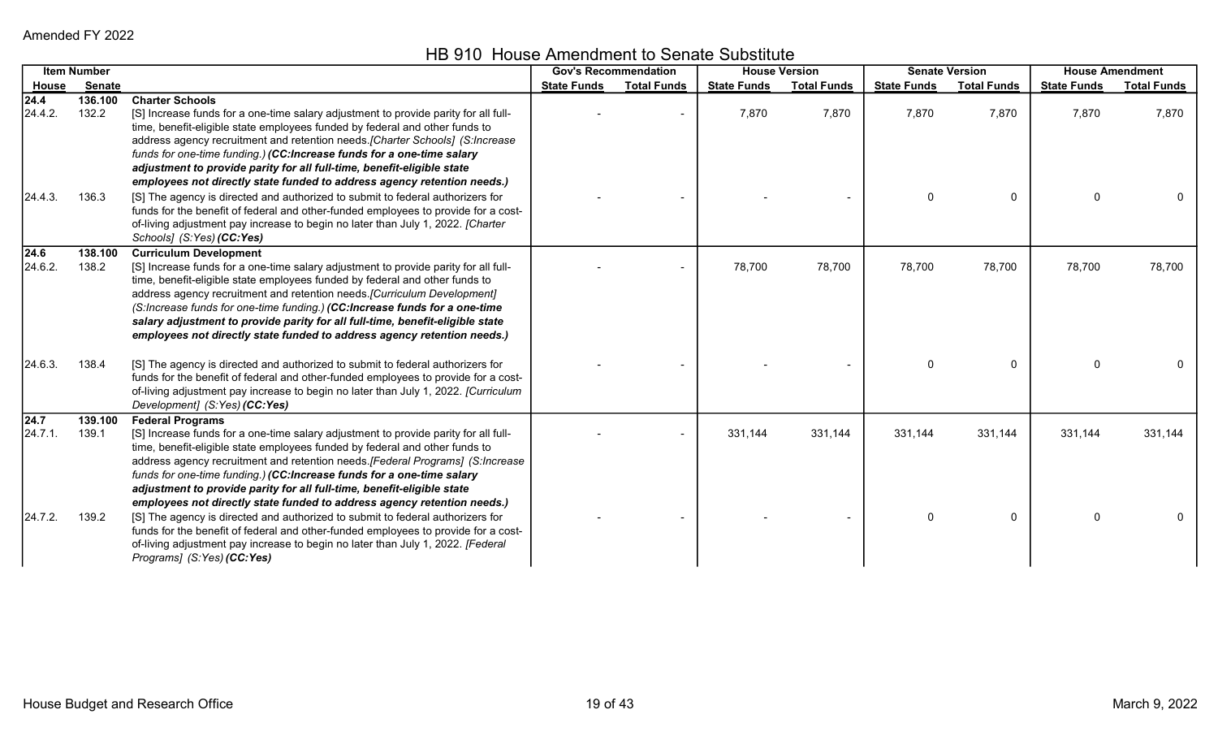HB 910 House Amendment to Senate Substitute

|                 | <b>Item Number</b> |                                                                                                                                                                                                                                                                                                                                                                                                                                                                                                                           | <b>Gov's Recommendation</b> |                    | <b>House Version</b> |                    |                    | <b>Senate Version</b> | <b>House Amendment</b> |                    |
|-----------------|--------------------|---------------------------------------------------------------------------------------------------------------------------------------------------------------------------------------------------------------------------------------------------------------------------------------------------------------------------------------------------------------------------------------------------------------------------------------------------------------------------------------------------------------------------|-----------------------------|--------------------|----------------------|--------------------|--------------------|-----------------------|------------------------|--------------------|
| House           | <b>Senate</b>      |                                                                                                                                                                                                                                                                                                                                                                                                                                                                                                                           | <b>State Funds</b>          | <b>Total Funds</b> | <b>State Funds</b>   | <b>Total Funds</b> | <b>State Funds</b> | <b>Total Funds</b>    | <b>State Funds</b>     | <b>Total Funds</b> |
| 24.4<br>24.4.2. | 136.100<br>132.2   | <b>Charter Schools</b><br>[S] Increase funds for a one-time salary adjustment to provide parity for all full-<br>time, benefit-eligible state employees funded by federal and other funds to                                                                                                                                                                                                                                                                                                                              |                             |                    | 7,870                | 7,870              | 7,870              | 7,870                 | 7,870                  | 7,870              |
| 24.4.3.         | 136.3              | address agency recruitment and retention needs. [Charter Schools] (S:Increase<br>funds for one-time funding.) (CC:Increase funds for a one-time salary<br>adjustment to provide parity for all full-time, benefit-eligible state<br>employees not directly state funded to address agency retention needs.)<br>[S] The agency is directed and authorized to submit to federal authorizers for                                                                                                                             |                             |                    |                      |                    | $\Omega$           | $\Omega$              | $\Omega$               |                    |
|                 |                    | funds for the benefit of federal and other-funded employees to provide for a cost-<br>of-living adjustment pay increase to begin no later than July 1, 2022. [Charter<br>Schools] (S:Yes) (CC:Yes)                                                                                                                                                                                                                                                                                                                        |                             |                    |                      |                    |                    |                       |                        |                    |
| 24.6<br>24.6.2. | 138.100<br>138.2   | <b>Curriculum Development</b><br>[S] Increase funds for a one-time salary adjustment to provide parity for all full-<br>time, benefit-eligible state employees funded by federal and other funds to<br>address agency recruitment and retention needs. [Curriculum Development]<br>(S:Increase funds for one-time funding.) (CC:Increase funds for a one-time<br>salary adjustment to provide parity for all full-time, benefit-eligible state<br>employees not directly state funded to address agency retention needs.) |                             |                    | 78,700               | 78,700             | 78,700             | 78,700                | 78,700                 | 78,700             |
| 24.6.3.         | 138.4              | [S] The agency is directed and authorized to submit to federal authorizers for<br>funds for the benefit of federal and other-funded employees to provide for a cost-<br>of-living adjustment pay increase to begin no later than July 1, 2022. [Curriculum<br>Development] (S:Yes) (CC:Yes)                                                                                                                                                                                                                               |                             |                    |                      |                    | $\mathbf{0}$       | $\Omega$              | $\mathbf{0}$           |                    |
| 24.7<br>24.7.1. | 139.100<br>139.1   | <b>Federal Programs</b><br>[S] Increase funds for a one-time salary adjustment to provide parity for all full-<br>time, benefit-eligible state employees funded by federal and other funds to<br>address agency recruitment and retention needs. [Federal Programs] (S:Increase<br>funds for one-time funding.) (CC:Increase funds for a one-time salary<br>adjustment to provide parity for all full-time, benefit-eligible state<br>employees not directly state funded to address agency retention needs.)             |                             |                    | 331,144              | 331,144            | 331,144            | 331,144               | 331,144                | 331,144            |
| 24.7.2.         | 139.2              | [S] The agency is directed and authorized to submit to federal authorizers for<br>funds for the benefit of federal and other-funded employees to provide for a cost-<br>of-living adjustment pay increase to begin no later than July 1, 2022. [Federal<br>Programs] (S:Yes) (CC:Yes)                                                                                                                                                                                                                                     |                             |                    |                      |                    | 0                  | $\mathbf{0}$          | $\mathbf{0}$           |                    |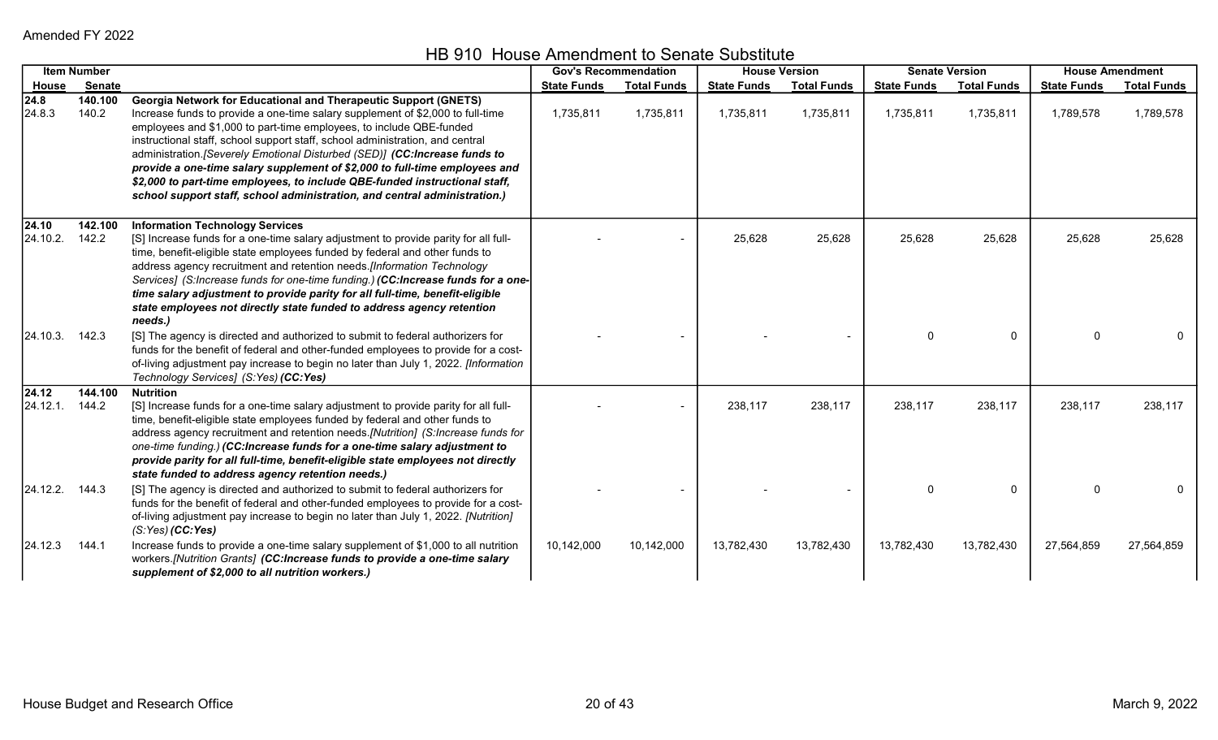|                     | <b>Item Number</b> |                                                                                                                                                                                                                                                                                                                                                                                                                                                                                                                                                                                                                                         |                    | <b>Gov's Recommendation</b> |                    | <b>House Version</b> |                    | <b>Senate Version</b> |                    | <b>House Amendment</b> |
|---------------------|--------------------|-----------------------------------------------------------------------------------------------------------------------------------------------------------------------------------------------------------------------------------------------------------------------------------------------------------------------------------------------------------------------------------------------------------------------------------------------------------------------------------------------------------------------------------------------------------------------------------------------------------------------------------------|--------------------|-----------------------------|--------------------|----------------------|--------------------|-----------------------|--------------------|------------------------|
| House               | Senate             |                                                                                                                                                                                                                                                                                                                                                                                                                                                                                                                                                                                                                                         | <b>State Funds</b> | <b>Total Funds</b>          | <b>State Funds</b> | <b>Total Funds</b>   | <b>State Funds</b> | <b>Total Funds</b>    | <b>State Funds</b> | <b>Total Funds</b>     |
| 24.8 <br>24.8.3     | 140.100<br>140.2   | <b>Georgia Network for Educational and Therapeutic Support (GNETS)</b><br>Increase funds to provide a one-time salary supplement of \$2,000 to full-time<br>employees and \$1,000 to part-time employees, to include QBE-funded<br>instructional staff, school support staff, school administration, and central<br>administration. [Severely Emotional Disturbed (SED)] (CC:Increase funds to<br>provide a one-time salary supplement of \$2,000 to full-time employees and<br>\$2,000 to part-time employees, to include QBE-funded instructional staff,<br>school support staff, school administration, and central administration.) | 1,735,811          | 1,735,811                   | 1,735,811          | 1,735,811            | 1,735,811          | 1,735,811             | 1,789,578          | 1,789,578              |
| 24.10 <br>24.10.2.  | 142.100<br>142.2   | <b>Information Technology Services</b><br>[S] Increase funds for a one-time salary adjustment to provide parity for all full-<br>time, benefit-eligible state employees funded by federal and other funds to<br>address agency recruitment and retention needs.[Information Technology<br>Services] (S:Increase funds for one-time funding.) (CC:Increase funds for a one-<br>time salary adjustment to provide parity for all full-time, benefit-eligible<br>state employees not directly state funded to address agency retention<br>needs.)                                                                                          |                    |                             | 25,628             | 25,628               | 25,628             | 25,628                | 25,628             | 25,628                 |
| [24.10.3. 142.3]    |                    | [S] The agency is directed and authorized to submit to federal authorizers for<br>funds for the benefit of federal and other-funded employees to provide for a cost-<br>of-living adjustment pay increase to begin no later than July 1, 2022. [Information<br>Technology Services] (S:Yes) (CC:Yes)                                                                                                                                                                                                                                                                                                                                    |                    |                             |                    |                      | $\Omega$           | $\mathbf{0}$          | $\Omega$           |                        |
| 24.12 <br>[24.12.1] | 144.100<br>144.2   | <b>Nutrition</b><br>[S] Increase funds for a one-time salary adjustment to provide parity for all full-<br>time, benefit-eligible state employees funded by federal and other funds to<br>address agency recruitment and retention needs.[Nutrition] (S:Increase funds for<br>one-time funding.) (CC:Increase funds for a one-time salary adjustment to<br>provide parity for all full-time, benefit-eligible state employees not directly<br>state funded to address agency retention needs.)                                                                                                                                          |                    |                             | 238,117            | 238,117              | 238,117            | 238,117               | 238,117            | 238,117                |
| $24.12.2.$ 144.3    |                    | [S] The agency is directed and authorized to submit to federal authorizers for<br>funds for the benefit of federal and other-funded employees to provide for a cost-<br>of-living adjustment pay increase to begin no later than July 1, 2022. [Nutrition]<br>$(S:Yes)$ (CC:Yes)                                                                                                                                                                                                                                                                                                                                                        |                    |                             |                    |                      | $\Omega$           | $\mathbf{0}$          | $\Omega$           |                        |
| 24.12.3             | 144.1              | Increase funds to provide a one-time salary supplement of \$1,000 to all nutrition<br>workers.[Nutrition Grants] (CC:Increase funds to provide a one-time salary<br>supplement of \$2,000 to all nutrition workers.)                                                                                                                                                                                                                                                                                                                                                                                                                    | 10,142,000         | 10,142,000                  | 13,782,430         | 13,782,430           | 13,782,430         | 13,782,430            | 27,564,859         | 27,564,859             |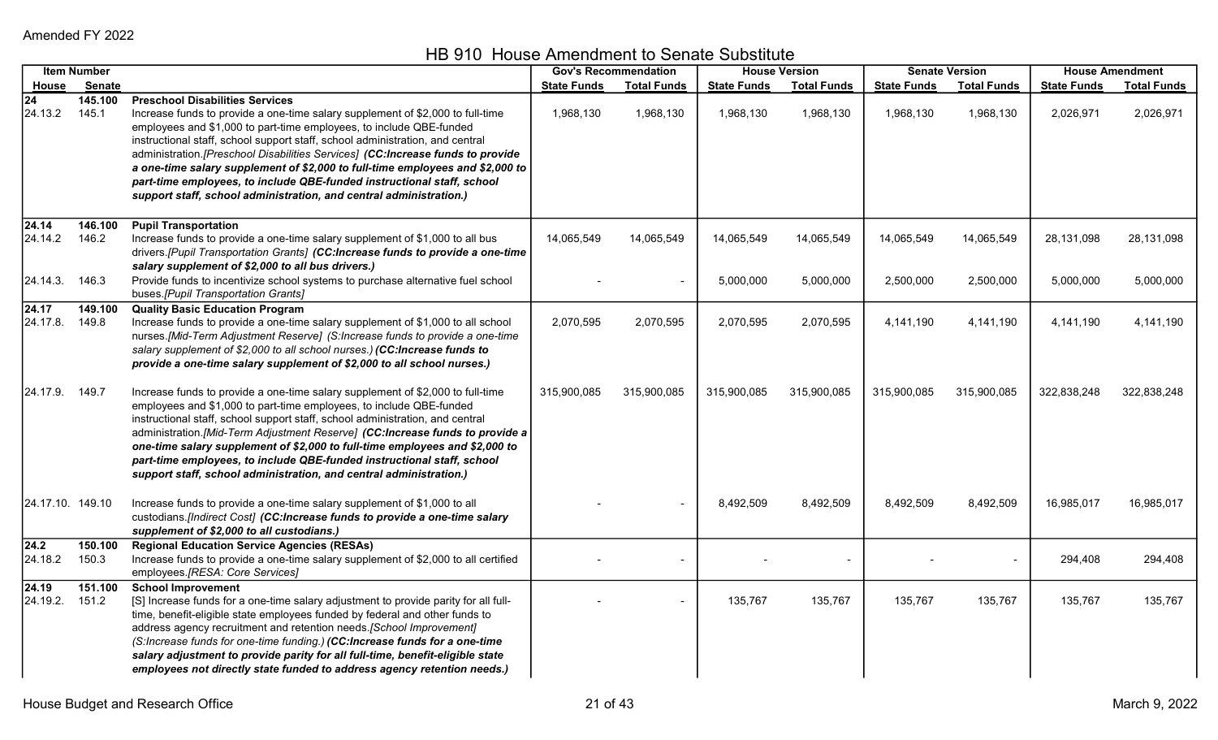|                              | <b>Item Number</b> |                                                                                                                                                                                                                                                                                                                                                                                                                                                                                                                                                                                                     |                    | <b>Gov's Recommendation</b> |                    | <b>House Version</b> |                    | <b>Senate Version</b> |                    | <b>House Amendment</b> |
|------------------------------|--------------------|-----------------------------------------------------------------------------------------------------------------------------------------------------------------------------------------------------------------------------------------------------------------------------------------------------------------------------------------------------------------------------------------------------------------------------------------------------------------------------------------------------------------------------------------------------------------------------------------------------|--------------------|-----------------------------|--------------------|----------------------|--------------------|-----------------------|--------------------|------------------------|
| House                        | Senate             |                                                                                                                                                                                                                                                                                                                                                                                                                                                                                                                                                                                                     | <b>State Funds</b> | <b>Total Funds</b>          | <b>State Funds</b> | <b>Total Funds</b>   | <b>State Funds</b> | <b>Total Funds</b>    | <b>State Funds</b> | <b>Total Funds</b>     |
| $\overline{24}$<br>24.13.2   | 145.100<br>145.1   | <b>Preschool Disabilities Services</b><br>Increase funds to provide a one-time salary supplement of \$2,000 to full-time<br>employees and \$1,000 to part-time employees, to include QBE-funded<br>instructional staff, school support staff, school administration, and central<br>administration.[Preschool Disabilities Services] (CC:Increase funds to provide<br>a one-time salary supplement of \$2,000 to full-time employees and \$2,000 to<br>part-time employees, to include QBE-funded instructional staff, school<br>support staff, school administration, and central administration.) | 1,968,130          | 1,968,130                   | 1,968,130          | 1,968,130            | 1,968,130          | 1,968,130             | 2,026,971          | 2,026,971              |
| 24.14<br>24.14.2             | 146.100<br>146.2   | <b>Pupil Transportation</b><br>Increase funds to provide a one-time salary supplement of \$1,000 to all bus<br>drivers.[Pupil Transportation Grants] (CC:Increase funds to provide a one-time<br>salary supplement of \$2,000 to all bus drivers.)                                                                                                                                                                                                                                                                                                                                                  | 14,065,549         | 14,065,549                  | 14,065,549         | 14,065,549           | 14,065,549         | 14,065,549            | 28,131,098         | 28,131,098             |
| 24.14.3. 146.3               |                    | Provide funds to incentivize school systems to purchase alternative fuel school<br>buses.[Pupil Transportation Grants]                                                                                                                                                                                                                                                                                                                                                                                                                                                                              |                    |                             | 5,000,000          | 5,000,000            | 2,500,000          | 2,500,000             | 5,000,000          | 5,000,000              |
| $\sqrt{24.17}$<br>24.17.8.   | 149.100<br>149.8   | <b>Quality Basic Education Program</b><br>Increase funds to provide a one-time salary supplement of \$1,000 to all school<br>nurses.[Mid-Term Adjustment Reserve] (S:Increase funds to provide a one-time<br>salary supplement of \$2,000 to all school nurses.) (CC:Increase funds to<br>provide a one-time salary supplement of \$2,000 to all school nurses.)                                                                                                                                                                                                                                    | 2,070,595          | 2,070,595                   | 2,070,595          | 2,070,595            | 4,141,190          | 4,141,190             | 4,141,190          | 4,141,190              |
| 24.17.9. 149.7               |                    | Increase funds to provide a one-time salary supplement of \$2,000 to full-time<br>employees and \$1,000 to part-time employees, to include QBE-funded<br>instructional staff, school support staff, school administration, and central<br>administration.[Mid-Term Adjustment Reserve] (CC:Increase funds to provide a<br>one-time salary supplement of \$2,000 to full-time employees and \$2,000 to<br>part-time employees, to include QBE-funded instructional staff, school<br>support staff, school administration, and central administration.)                                               | 315,900,085        | 315,900,085                 | 315,900,085        | 315,900,085          | 315,900,085        | 315,900,085           | 322,838,248        | 322,838,248            |
| 24.17.10. 149.10             |                    | Increase funds to provide a one-time salary supplement of \$1,000 to all<br>custodians.[Indirect Cost] (CC:Increase funds to provide a one-time salary<br>supplement of \$2,000 to all custodians.)                                                                                                                                                                                                                                                                                                                                                                                                 |                    |                             | 8,492,509          | 8,492,509            | 8,492,509          | 8,492,509             | 16,985,017         | 16,985,017             |
| $\overline{24.2}$<br>24.18.2 | 150.100<br>150.3   | <b>Regional Education Service Agencies (RESAs)</b><br>Increase funds to provide a one-time salary supplement of \$2,000 to all certified<br>employees.[RESA: Core Services]                                                                                                                                                                                                                                                                                                                                                                                                                         |                    |                             |                    |                      |                    |                       | 294,408            | 294,408                |
| $\sqrt{24.19}$<br>24.19.2.   | 151.100<br>151.2   | <b>School Improvement</b><br>[S] Increase funds for a one-time salary adjustment to provide parity for all full-<br>time, benefit-eligible state employees funded by federal and other funds to<br>address agency recruitment and retention needs. [School Improvement]<br>(S:Increase funds for one-time funding.) (CC:Increase funds for a one-time<br>salary adjustment to provide parity for all full-time, benefit-eligible state<br>employees not directly state funded to address agency retention needs.)                                                                                   |                    |                             | 135,767            | 135,767              | 135,767            | 135,767               | 135,767            | 135,767                |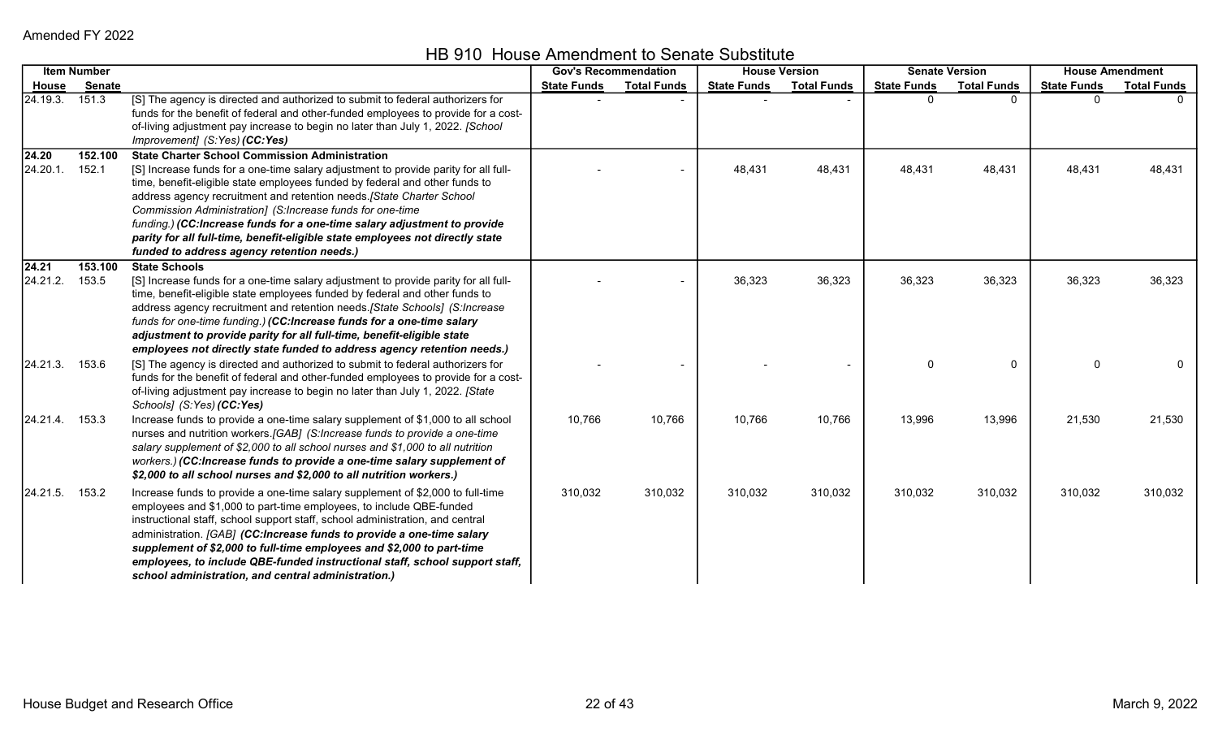HB 910 House Amendment to Senate Substitute

|                   | <b>Item Number</b> |                                                                                                                                                                                                                                                                                                                                                                                                                                                                                                                                                                              | <b>Gov's Recommendation</b> |                    | <b>House Version</b> |                    | <b>Senate Version</b> |                    | <b>House Amendment</b> |                    |
|-------------------|--------------------|------------------------------------------------------------------------------------------------------------------------------------------------------------------------------------------------------------------------------------------------------------------------------------------------------------------------------------------------------------------------------------------------------------------------------------------------------------------------------------------------------------------------------------------------------------------------------|-----------------------------|--------------------|----------------------|--------------------|-----------------------|--------------------|------------------------|--------------------|
| House             | <b>Senate</b>      |                                                                                                                                                                                                                                                                                                                                                                                                                                                                                                                                                                              | <b>State Funds</b>          | <b>Total Funds</b> | <b>State Funds</b>   | <b>Total Funds</b> | <b>State Funds</b>    | <b>Total Funds</b> | <b>State Funds</b>     | <b>Total Funds</b> |
| 24.19.3.          | 151.3              | [S] The agency is directed and authorized to submit to federal authorizers for<br>funds for the benefit of federal and other-funded employees to provide for a cost-<br>of-living adjustment pay increase to begin no later than July 1, 2022. [School<br>Improvement] (S:Yes) (CC:Yes)                                                                                                                                                                                                                                                                                      |                             |                    |                      |                    |                       |                    |                        |                    |
| 24.20<br>24.20.1. | 152.100<br>152.1   | <b>State Charter School Commission Administration</b><br>[S] Increase funds for a one-time salary adjustment to provide parity for all full-<br>time, benefit-eligible state employees funded by federal and other funds to<br>address agency recruitment and retention needs. [State Charter School<br>Commission Administration] (S:Increase funds for one-time<br>funding.) (CC:Increase funds for a one-time salary adjustment to provide<br>parity for all full-time, benefit-eligible state employees not directly state<br>funded to address agency retention needs.) |                             |                    | 48,431               | 48,431             | 48,431                | 48,431             | 48,431                 | 48,431             |
| 24.21<br>24.21.2. | 153.100<br>153.5   | <b>State Schools</b><br>[S] Increase funds for a one-time salary adjustment to provide parity for all full-<br>time, benefit-eligible state employees funded by federal and other funds to<br>address agency recruitment and retention needs. [State Schools] (S:Increase<br>funds for one-time funding.) (CC:Increase funds for a one-time salary<br>adjustment to provide parity for all full-time, benefit-eligible state<br>employees not directly state funded to address agency retention needs.)                                                                      |                             |                    | 36,323               | 36,323             | 36,323                | 36,323             | 36,323                 | 36,323             |
| 24.21.3.          | 153.6              | [S] The agency is directed and authorized to submit to federal authorizers for<br>funds for the benefit of federal and other-funded employees to provide for a cost-<br>of-living adjustment pay increase to begin no later than July 1, 2022. [State<br>Schools] (S:Yes) (CC:Yes)                                                                                                                                                                                                                                                                                           |                             |                    |                      |                    | $\Omega$              | $\mathbf{0}$       | $\Omega$               | 0                  |
| 24.21.4.          | 153.3              | Increase funds to provide a one-time salary supplement of \$1,000 to all school<br>nurses and nutrition workers.[GAB] (S:Increase funds to provide a one-time<br>salary supplement of \$2,000 to all school nurses and \$1,000 to all nutrition<br>workers.) (CC:Increase funds to provide a one-time salary supplement of<br>\$2,000 to all school nurses and \$2,000 to all nutrition workers.)                                                                                                                                                                            | 10,766                      | 10,766             | 10,766               | 10,766             | 13,996                | 13,996             | 21,530                 | 21,530             |
| 24.21.5.          | 153.2              | Increase funds to provide a one-time salary supplement of \$2,000 to full-time<br>employees and \$1,000 to part-time employees, to include QBE-funded<br>instructional staff, school support staff, school administration, and central<br>administration. [GAB] (CC:Increase funds to provide a one-time salary<br>supplement of \$2,000 to full-time employees and \$2,000 to part-time<br>employees, to include QBE-funded instructional staff, school support staff,<br>school administration, and central administration.)                                               | 310,032                     | 310,032            | 310,032              | 310,032            | 310,032               | 310,032            | 310,032                | 310,032            |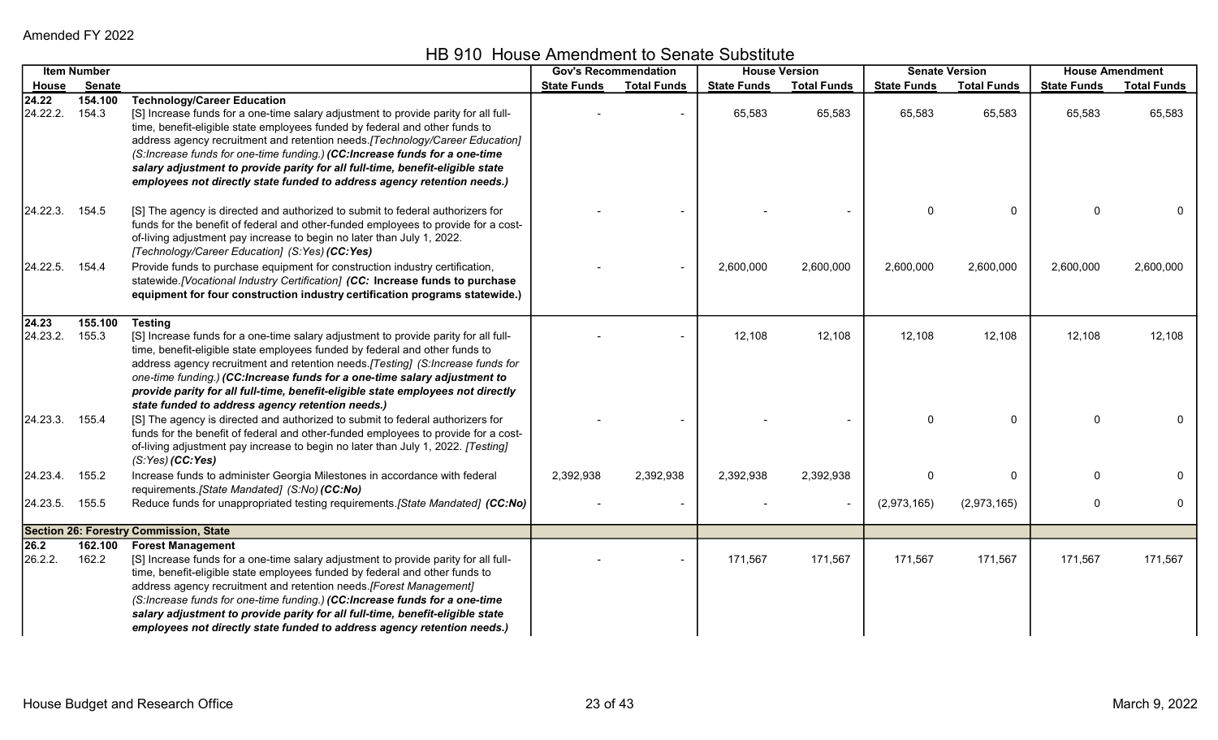HB 910 House Amendment to Senate Substitute

|                         | <b>Item Number</b> |                                                                                                                                                                                                                                                                                                                                                                                                                                                                                                                                     | <b>Gov's Recommendation</b> |                    | <b>House Version</b> |                    |                    | <b>Senate Version</b> | <b>House Amendment</b> |                    |
|-------------------------|--------------------|-------------------------------------------------------------------------------------------------------------------------------------------------------------------------------------------------------------------------------------------------------------------------------------------------------------------------------------------------------------------------------------------------------------------------------------------------------------------------------------------------------------------------------------|-----------------------------|--------------------|----------------------|--------------------|--------------------|-----------------------|------------------------|--------------------|
| House                   | <b>Senate</b>      |                                                                                                                                                                                                                                                                                                                                                                                                                                                                                                                                     | <b>State Funds</b>          | <b>Total Funds</b> | <b>State Funds</b>   | <b>Total Funds</b> | <b>State Funds</b> | <b>Total Funds</b>    | <b>State Funds</b>     | <b>Total Funds</b> |
| 24.22<br>24.22.2.       | 154.100<br>154.3   | <b>Technology/Career Education</b><br>[S] Increase funds for a one-time salary adjustment to provide parity for all full-<br>time, benefit-eligible state employees funded by federal and other funds to<br>address agency recruitment and retention needs. [Technology/Career Education]<br>(S:Increase funds for one-time funding.) (CC:Increase funds for a one-time<br>salary adjustment to provide parity for all full-time, benefit-eligible state<br>employees not directly state funded to address agency retention needs.) |                             |                    | 65,583               | 65,583             | 65,583             | 65,583                | 65,583                 | 65,583             |
| 24.22.3. 154.5          |                    | [S] The agency is directed and authorized to submit to federal authorizers for<br>funds for the benefit of federal and other-funded employees to provide for a cost-<br>of-living adjustment pay increase to begin no later than July 1, 2022.<br>[Technology/Career Education] (S:Yes) (CC:Yes)                                                                                                                                                                                                                                    |                             |                    |                      |                    | 0                  | 0                     | $\Omega$               |                    |
| 24.22.5.                | 154.4              | Provide funds to purchase equipment for construction industry certification,<br>statewide.[Vocational Industry Certification] (CC: Increase funds to purchase<br>equipment for four construction industry certification programs statewide.)                                                                                                                                                                                                                                                                                        |                             |                    | 2,600,000            | 2,600,000          | 2,600,000          | 2,600,000             | 2,600,000              | 2,600,000          |
| 24.23<br>24.23.2. 155.3 | 155.100            | <b>Testing</b><br>[S] Increase funds for a one-time salary adjustment to provide parity for all full-<br>time, benefit-eligible state employees funded by federal and other funds to<br>address agency recruitment and retention needs.[Testing] (S:Increase funds for<br>one-time funding.) (CC:Increase funds for a one-time salary adjustment to<br>provide parity for all full-time, benefit-eligible state employees not directly<br>state funded to address agency retention needs.)                                          |                             |                    | 12,108               | 12,108             | 12,108             | 12,108                | 12,108                 | 12,108             |
| 24.23.3.                | 155.4              | [S] The agency is directed and authorized to submit to federal authorizers for<br>funds for the benefit of federal and other-funded employees to provide for a cost-<br>of-living adjustment pay increase to begin no later than July 1, 2022. [Testing]<br>$(S:Yes)$ (CC:Yes)                                                                                                                                                                                                                                                      |                             |                    |                      |                    |                    | $\mathbf 0$           | $\Omega$               |                    |
| 24.23.4.                | 155.2              | Increase funds to administer Georgia Milestones in accordance with federal<br>requirements. [State Mandated] (S:No) (CC:No)                                                                                                                                                                                                                                                                                                                                                                                                         | 2,392,938                   | 2,392,938          | 2,392,938            | 2,392,938          | 0                  | 0                     | $\Omega$               |                    |
| 24.23.5. 155.5          |                    | Reduce funds for unappropriated testing requirements.[State Mandated] (CC:No)                                                                                                                                                                                                                                                                                                                                                                                                                                                       |                             |                    |                      |                    | (2,973,165)        | (2,973,165)           | 0                      | 0                  |
|                         |                    | <b>Section 26: Forestry Commission, State</b>                                                                                                                                                                                                                                                                                                                                                                                                                                                                                       |                             |                    |                      |                    |                    |                       |                        |                    |
| 26.2<br>26.2.2.         | 162.100<br>162.2   | <b>Forest Management</b><br>[S] Increase funds for a one-time salary adjustment to provide parity for all full-<br>time, benefit-eligible state employees funded by federal and other funds to<br>address agency recruitment and retention needs. [Forest Management]<br>(S:Increase funds for one-time funding.) (CC:Increase funds for a one-time<br>salary adjustment to provide parity for all full-time, benefit-eligible state<br>employees not directly state funded to address agency retention needs.)                     |                             |                    | 171,567              | 171,567            | 171,567            | 171,567               | 171,567                | 171,567            |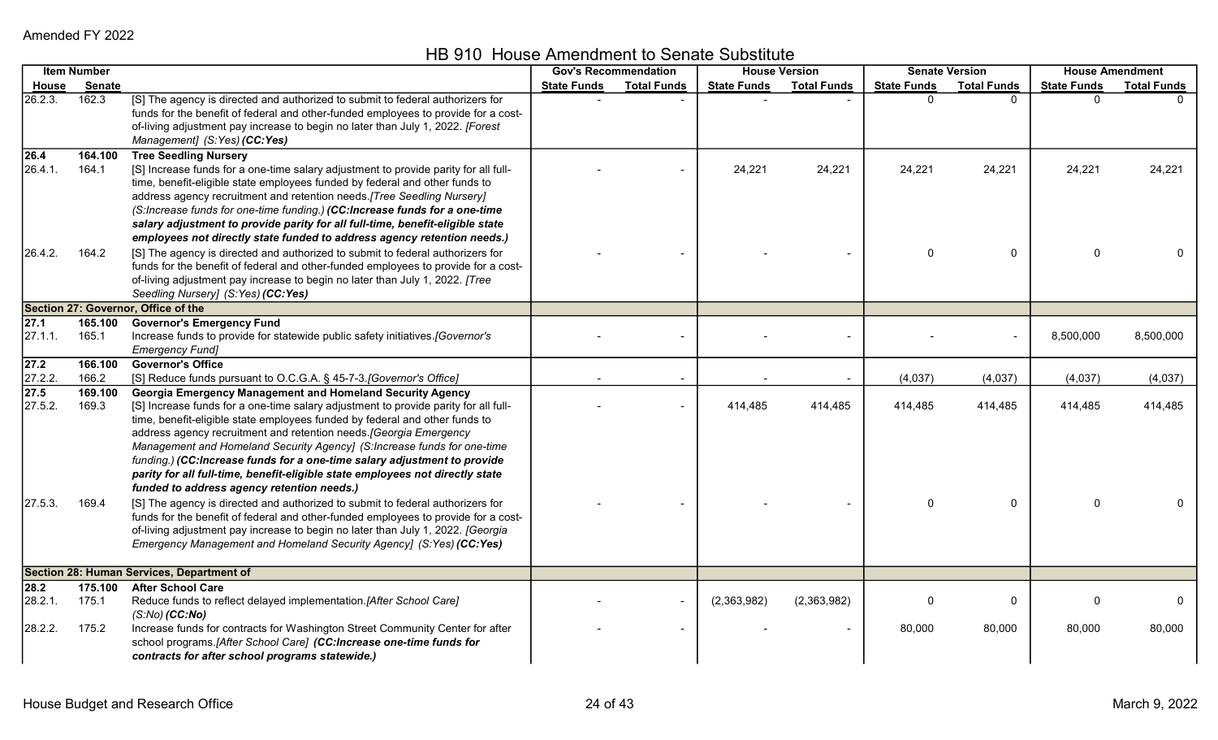HB 910 House Amendment to Senate Substitute

|                 | <b>Item Number</b> |                                                                                                                                                                                                                                                                                                                                                                                                                                                                                                                                                                                                    |                    | <b>Gov's Recommendation</b> |                    | <b>House Version</b> |                    | <b>Senate Version</b> |                    | <b>House Amendment</b> |
|-----------------|--------------------|----------------------------------------------------------------------------------------------------------------------------------------------------------------------------------------------------------------------------------------------------------------------------------------------------------------------------------------------------------------------------------------------------------------------------------------------------------------------------------------------------------------------------------------------------------------------------------------------------|--------------------|-----------------------------|--------------------|----------------------|--------------------|-----------------------|--------------------|------------------------|
| House           | <b>Senate</b>      |                                                                                                                                                                                                                                                                                                                                                                                                                                                                                                                                                                                                    | <b>State Funds</b> | <b>Total Funds</b>          | <b>State Funds</b> | <b>Total Funds</b>   | <b>State Funds</b> | <b>Total Funds</b>    | <b>State Funds</b> | <b>Total Funds</b>     |
| 26.2.3.         | 162.3              | [S] The agency is directed and authorized to submit to federal authorizers for<br>funds for the benefit of federal and other-funded employees to provide for a cost-<br>of-living adjustment pay increase to begin no later than July 1, 2022. [Forest<br>Management] (S:Yes) (CC:Yes)                                                                                                                                                                                                                                                                                                             |                    |                             |                    |                      | <sup>0</sup>       | $\Omega$              | $\Omega$           |                        |
| 26.4<br>26.4.1. | 164.100<br>164.1   | <b>Tree Seedling Nursery</b><br>[S] Increase funds for a one-time salary adjustment to provide parity for all full-<br>time, benefit-eligible state employees funded by federal and other funds to<br>address agency recruitment and retention needs. [Tree Seedling Nursery]<br>(S:Increase funds for one-time funding.) (CC:Increase funds for a one-time<br>salary adjustment to provide parity for all full-time, benefit-eligible state<br>employees not directly state funded to address agency retention needs.)                                                                            |                    |                             | 24,221             | 24,221               | 24,221             | 24,221                | 24,221             | 24,221                 |
| 26.4.2.         | 164.2              | [S] The agency is directed and authorized to submit to federal authorizers for<br>funds for the benefit of federal and other-funded employees to provide for a cost-<br>of-living adjustment pay increase to begin no later than July 1, 2022. [Tree<br>Seedling Nursery] (S:Yes) (CC:Yes)                                                                                                                                                                                                                                                                                                         |                    |                             |                    |                      |                    | 0                     | $\Omega$           |                        |
|                 |                    | Section 27: Governor, Office of the                                                                                                                                                                                                                                                                                                                                                                                                                                                                                                                                                                |                    |                             |                    |                      |                    |                       |                    |                        |
| 27.1<br>27.1.1. | 165.100<br>165.1   | <b>Governor's Emergency Fund</b><br>Increase funds to provide for statewide public safety initiatives.[Governor's<br><b>Emergency Fund]</b>                                                                                                                                                                                                                                                                                                                                                                                                                                                        |                    |                             |                    |                      |                    |                       | 8,500,000          | 8,500,000              |
| 27.2<br>27.2.2. | 166.100<br>166.2   | <b>Governor's Office</b><br>[S] Reduce funds pursuant to O.C.G.A. § 45-7-3. [Governor's Office]                                                                                                                                                                                                                                                                                                                                                                                                                                                                                                    |                    |                             |                    |                      | (4,037)            | (4,037)               | (4,037)            | (4,037)                |
| 27.5<br>27.5.2. | 169.100<br>169.3   | <b>Georgia Emergency Management and Homeland Security Agency</b><br>[S] Increase funds for a one-time salary adjustment to provide parity for all full-<br>time, benefit-eligible state employees funded by federal and other funds to<br>address agency recruitment and retention needs. [Georgia Emergency<br>Management and Homeland Security Agency] (S:Increase funds for one-time<br>funding.) (CC:Increase funds for a one-time salary adjustment to provide<br>parity for all full-time, benefit-eligible state employees not directly state<br>funded to address agency retention needs.) |                    |                             | 414,485            | 414,485              | 414,485            | 414,485               | 414,485            | 414,485                |
| 27.5.3.         | 169.4              | [S] The agency is directed and authorized to submit to federal authorizers for<br>funds for the benefit of federal and other-funded employees to provide for a cost-<br>of-living adjustment pay increase to begin no later than July 1, 2022. [Georgia<br>Emergency Management and Homeland Security Agency] (S:Yes) (CC:Yes)                                                                                                                                                                                                                                                                     |                    |                             |                    |                      |                    | $\mathbf{0}$          | $\Omega$           |                        |
|                 |                    | Section 28: Human Services, Department of                                                                                                                                                                                                                                                                                                                                                                                                                                                                                                                                                          |                    |                             |                    |                      |                    |                       |                    |                        |
| 28.2<br>28.2.1. | 175.100<br>175.1   | <b>After School Care</b><br>Reduce funds to reflect delayed implementation. [After School Care]<br>$(S:No)$ (CC:No)                                                                                                                                                                                                                                                                                                                                                                                                                                                                                |                    |                             | (2,363,982)        | (2,363,982)          | 0                  | 0                     | $\Omega$           |                        |
| 28.2.2.         | 175.2              | Increase funds for contracts for Washington Street Community Center for after<br>school programs.[After School Care] (CC:Increase one-time funds for<br>contracts for after school programs statewide.)                                                                                                                                                                                                                                                                                                                                                                                            |                    |                             |                    |                      | 80,000             | 80,000                | 80,000             | 80,000                 |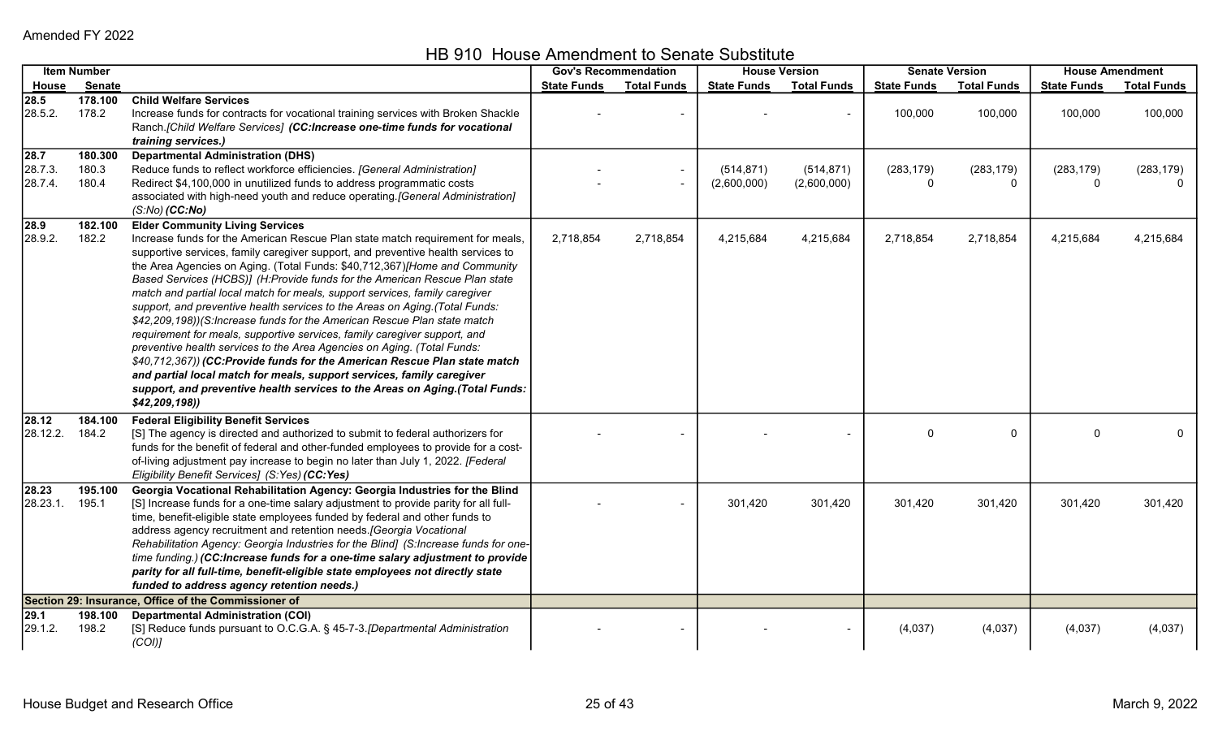HB 910 House Amendment to Senate Substitute

|                                         | <b>Item Number</b>        |                                                                                                                                                                                                                                                                                                                                                                                                                                                                                                                                                                                                                                                                                                                                                                                                                                                                                                                                                                                                                                  |                    | <b>Gov's Recommendation</b> |                           | <b>House Version</b>      |                    | <b>Senate Version</b> | <b>House Amendment</b> |                    |
|-----------------------------------------|---------------------------|----------------------------------------------------------------------------------------------------------------------------------------------------------------------------------------------------------------------------------------------------------------------------------------------------------------------------------------------------------------------------------------------------------------------------------------------------------------------------------------------------------------------------------------------------------------------------------------------------------------------------------------------------------------------------------------------------------------------------------------------------------------------------------------------------------------------------------------------------------------------------------------------------------------------------------------------------------------------------------------------------------------------------------|--------------------|-----------------------------|---------------------------|---------------------------|--------------------|-----------------------|------------------------|--------------------|
| <b>House</b>                            | Senate                    |                                                                                                                                                                                                                                                                                                                                                                                                                                                                                                                                                                                                                                                                                                                                                                                                                                                                                                                                                                                                                                  | <b>State Funds</b> | <b>Total Funds</b>          | <b>State Funds</b>        | <b>Total Funds</b>        | <b>State Funds</b> | <b>Total Funds</b>    | <b>State Funds</b>     | <b>Total Funds</b> |
| 28.5<br>28.5.2.                         | 178.100<br>178.2          | <b>Child Welfare Services</b><br>Increase funds for contracts for vocational training services with Broken Shackle<br>Ranch.[Child Welfare Services] (CC:Increase one-time funds for vocational<br>training services.)                                                                                                                                                                                                                                                                                                                                                                                                                                                                                                                                                                                                                                                                                                                                                                                                           |                    |                             |                           |                           | 100,000            | 100,000               | 100,000                | 100,000            |
| $\overline{28.7}$<br>28.7.3.<br>28.7.4. | 180.300<br>180.3<br>180.4 | <b>Departmental Administration (DHS)</b><br>Reduce funds to reflect workforce efficiencies. [General Administration]<br>Redirect \$4,100,000 in unutilized funds to address programmatic costs<br>associated with high-need youth and reduce operating.[General Administration]<br>$(S:No)$ (CC:No)                                                                                                                                                                                                                                                                                                                                                                                                                                                                                                                                                                                                                                                                                                                              |                    |                             | (514, 871)<br>(2,600,000) | (514, 871)<br>(2,600,000) | (283, 179)         | (283, 179)<br>0       | (283, 179)<br>$\Omega$ | (283, 179)         |
| 28.9<br>28.9.2.                         | 182.100<br>182.2          | <b>Elder Community Living Services</b><br>Increase funds for the American Rescue Plan state match requirement for meals,<br>supportive services, family caregiver support, and preventive health services to<br>the Area Agencies on Aging. (Total Funds: \$40,712,367)[Home and Community<br>Based Services (HCBS)] (H:Provide funds for the American Rescue Plan state<br>match and partial local match for meals, support services, family caregiver<br>support, and preventive health services to the Areas on Aging.(Total Funds:<br>\$42,209,198))(S:Increase funds for the American Rescue Plan state match<br>requirement for meals, supportive services, family caregiver support, and<br>preventive health services to the Area Agencies on Aging. (Total Funds:<br>\$40,712,367)) (CC:Provide funds for the American Rescue Plan state match<br>and partial local match for meals, support services, family caregiver<br>support, and preventive health services to the Areas on Aging.(Total Funds:<br>\$42,209,198) | 2,718,854          | 2,718,854                   | 4,215,684                 | 4,215,684                 | 2,718,854          | 2,718,854             | 4,215,684              | 4,215,684          |
| 28.12<br>28.12.2.                       | 184.100<br>184.2          | <b>Federal Eligibility Benefit Services</b><br>[S] The agency is directed and authorized to submit to federal authorizers for<br>funds for the benefit of federal and other-funded employees to provide for a cost-<br>of-living adjustment pay increase to begin no later than July 1, 2022. [Federal<br>Eligibility Benefit Services] (S:Yes) (CC:Yes)                                                                                                                                                                                                                                                                                                                                                                                                                                                                                                                                                                                                                                                                         |                    |                             |                           |                           | 0                  | 0                     | $\Omega$               | $\mathbf{0}$       |
| 28.23<br>28.23.1.                       | 195.100<br>195.1          | Georgia Vocational Rehabilitation Agency: Georgia Industries for the Blind<br>[S] Increase funds for a one-time salary adjustment to provide parity for all full-<br>time, benefit-eligible state employees funded by federal and other funds to<br>address agency recruitment and retention needs. [Georgia Vocational<br>Rehabilitation Agency: Georgia Industries for the Blind] (S:Increase funds for one-<br>time funding.) (CC:Increase funds for a one-time salary adjustment to provide<br>parity for all full-time, benefit-eligible state employees not directly state<br>funded to address agency retention needs.)                                                                                                                                                                                                                                                                                                                                                                                                   |                    |                             | 301,420                   | 301,420                   | 301,420            | 301,420               | 301,420                | 301,420            |
|                                         |                           | Section 29: Insurance, Office of the Commissioner of                                                                                                                                                                                                                                                                                                                                                                                                                                                                                                                                                                                                                                                                                                                                                                                                                                                                                                                                                                             |                    |                             |                           |                           |                    |                       |                        |                    |
| 29.1<br>29.1.2.                         | 198.100<br>198.2          | <b>Departmental Administration (COI)</b><br>[S] Reduce funds pursuant to O.C.G.A. § 45-7-3. [Departmental Administration<br>(COI)                                                                                                                                                                                                                                                                                                                                                                                                                                                                                                                                                                                                                                                                                                                                                                                                                                                                                                |                    |                             |                           |                           | (4,037)            | (4,037)               | (4,037)                | (4,037)            |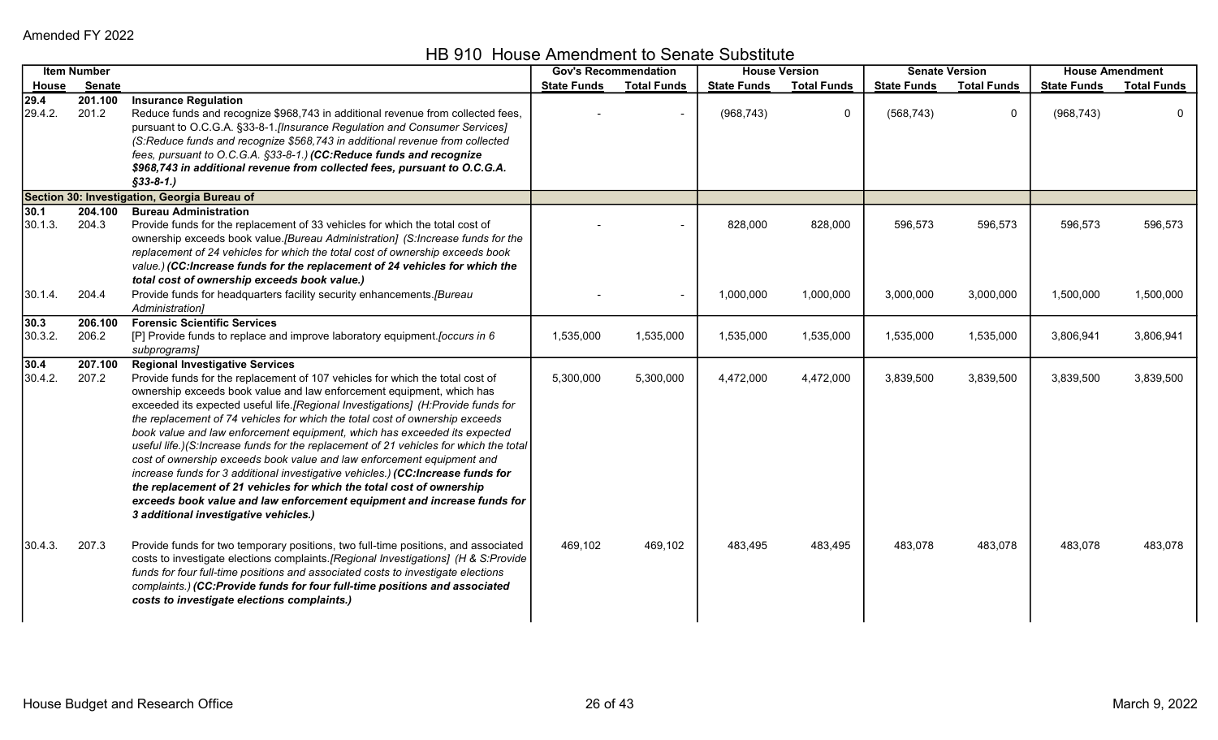HB 910 House Amendment to Senate Substitute

|                 | <b>Item Number</b> |                                                                                                                                                                                                                                                                                                                                                                                                                                                                                                                                                                                                                                                                                                                                                                                                                                                                                                     | <b>Gov's Recommendation</b> |                    |                    | <b>House Version</b> |                    | <b>Senate Version</b> | <b>House Amendment</b> |                    |
|-----------------|--------------------|-----------------------------------------------------------------------------------------------------------------------------------------------------------------------------------------------------------------------------------------------------------------------------------------------------------------------------------------------------------------------------------------------------------------------------------------------------------------------------------------------------------------------------------------------------------------------------------------------------------------------------------------------------------------------------------------------------------------------------------------------------------------------------------------------------------------------------------------------------------------------------------------------------|-----------------------------|--------------------|--------------------|----------------------|--------------------|-----------------------|------------------------|--------------------|
| House           | Senate             |                                                                                                                                                                                                                                                                                                                                                                                                                                                                                                                                                                                                                                                                                                                                                                                                                                                                                                     | <b>State Funds</b>          | <b>Total Funds</b> | <b>State Funds</b> | <b>Total Funds</b>   | <b>State Funds</b> | <b>Total Funds</b>    | <b>State Funds</b>     | <b>Total Funds</b> |
| 29.4<br>29.4.2. | 201.100<br>201.2   | <b>Insurance Regulation</b><br>Reduce funds and recognize \$968,743 in additional revenue from collected fees,<br>pursuant to O.C.G.A. §33-8-1.[Insurance Regulation and Consumer Services]<br>(S:Reduce funds and recognize \$568,743 in additional revenue from collected<br>fees, pursuant to O.C.G.A. §33-8-1.) (CC:Reduce funds and recognize<br>\$968,743 in additional revenue from collected fees, pursuant to O.C.G.A.<br>$$33-8-1.$ )                                                                                                                                                                                                                                                                                                                                                                                                                                                     |                             |                    | (968, 743)         | $\mathbf 0$          | (568, 743)         | $\mathbf 0$           | (968, 743)             | 0                  |
|                 |                    | Section 30: Investigation, Georgia Bureau of                                                                                                                                                                                                                                                                                                                                                                                                                                                                                                                                                                                                                                                                                                                                                                                                                                                        |                             |                    |                    |                      |                    |                       |                        |                    |
| 30.1<br>30.1.3. | 204.100<br>204.3   | <b>Bureau Administration</b><br>Provide funds for the replacement of 33 vehicles for which the total cost of<br>ownership exceeds book value. [Bureau Administration] (S:Increase funds for the<br>replacement of 24 vehicles for which the total cost of ownership exceeds book<br>value.) (CC:Increase funds for the replacement of 24 vehicles for which the<br>total cost of ownership exceeds book value.)                                                                                                                                                                                                                                                                                                                                                                                                                                                                                     |                             |                    | 828,000            | 828,000              | 596,573            | 596,573               | 596,573                | 596,573            |
| 30.1.4.         | 204.4              | Provide funds for headquarters facility security enhancements.[Bureau<br>Administration]                                                                                                                                                                                                                                                                                                                                                                                                                                                                                                                                                                                                                                                                                                                                                                                                            |                             |                    | 1,000,000          | 1,000,000            | 3,000,000          | 3,000,000             | 1,500,000              | 1,500,000          |
| 30.3<br>30.3.2. | 206.100<br>206.2   | <b>Forensic Scientific Services</b><br>[P] Provide funds to replace and improve laboratory equipment. [occurs in 6<br>subprograms]                                                                                                                                                                                                                                                                                                                                                                                                                                                                                                                                                                                                                                                                                                                                                                  | 1,535,000                   | 1,535,000          | 1,535,000          | 1,535,000            | 1,535,000          | 1,535,000             | 3,806,941              | 3,806,941          |
| 30.4<br>30.4.2. | 207.100<br>207.2   | <b>Regional Investigative Services</b><br>Provide funds for the replacement of 107 vehicles for which the total cost of<br>ownership exceeds book value and law enforcement equipment, which has<br>exceeded its expected useful life.[Regional Investigations] (H:Provide funds for<br>the replacement of 74 vehicles for which the total cost of ownership exceeds<br>book value and law enforcement equipment, which has exceeded its expected<br>useful life.)(S:Increase funds for the replacement of 21 vehicles for which the total<br>cost of ownership exceeds book value and law enforcement equipment and<br>increase funds for 3 additional investigative vehicles.) (CC:Increase funds for<br>the replacement of 21 vehicles for which the total cost of ownership<br>exceeds book value and law enforcement equipment and increase funds for<br>3 additional investigative vehicles.) | 5,300,000                   | 5,300,000          | 4,472,000          | 4,472,000            | 3,839,500          | 3,839,500             | 3,839,500              | 3,839,500          |
| 30.4.3.         | 207.3              | Provide funds for two temporary positions, two full-time positions, and associated<br>costs to investigate elections complaints.[Regional Investigations] (H & S:Provide<br>funds for four full-time positions and associated costs to investigate elections<br>complaints.) (CC:Provide funds for four full-time positions and associated<br>costs to investigate elections complaints.)                                                                                                                                                                                                                                                                                                                                                                                                                                                                                                           | 469,102                     | 469,102            | 483,495            | 483,495              | 483,078            | 483,078               | 483,078                | 483,078            |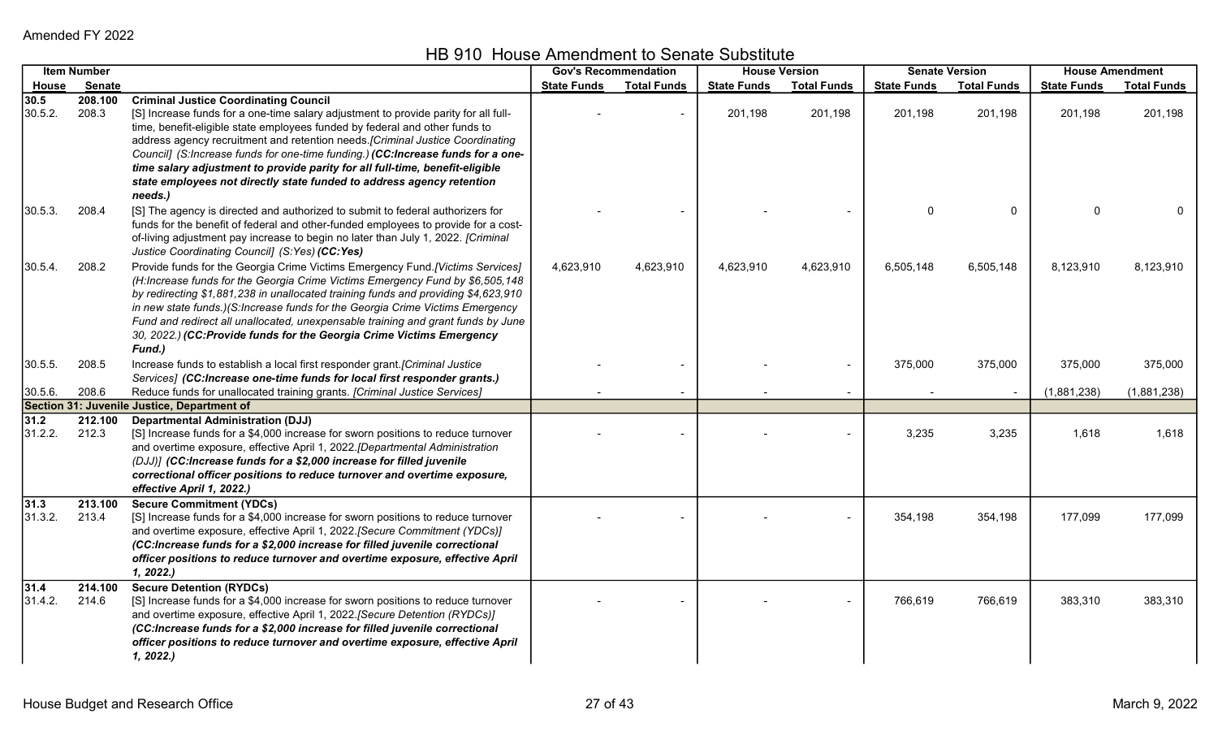HB 910 House Amendment to Senate Substitute

|                 | <b>Item Number</b> |                                                                                                                                                          |                    | <b>Gov's Recommendation</b> |                    | <b>House Version</b> |                    | <b>Senate Version</b> |                    | <b>House Amendment</b> |
|-----------------|--------------------|----------------------------------------------------------------------------------------------------------------------------------------------------------|--------------------|-----------------------------|--------------------|----------------------|--------------------|-----------------------|--------------------|------------------------|
| House           | <b>Senate</b>      |                                                                                                                                                          | <b>State Funds</b> | <b>Total Funds</b>          | <b>State Funds</b> | <b>Total Funds</b>   | <b>State Funds</b> | <b>Total Funds</b>    | <b>State Funds</b> | <b>Total Funds</b>     |
| 30.5            | 208.100            | <b>Criminal Justice Coordinating Council</b>                                                                                                             |                    |                             |                    |                      |                    |                       |                    |                        |
| 30.5.2.         | 208.3              | [S] Increase funds for a one-time salary adjustment to provide parity for all full-                                                                      |                    |                             | 201,198            | 201,198              | 201,198            | 201,198               | 201,198            | 201,198                |
|                 |                    | time, benefit-eligible state employees funded by federal and other funds to                                                                              |                    |                             |                    |                      |                    |                       |                    |                        |
|                 |                    | address agency recruitment and retention needs. [Criminal Justice Coordinating                                                                           |                    |                             |                    |                      |                    |                       |                    |                        |
|                 |                    | Council] (S:Increase funds for one-time funding.) (CC:Increase funds for a one-                                                                          |                    |                             |                    |                      |                    |                       |                    |                        |
|                 |                    | time salary adjustment to provide parity for all full-time, benefit-eligible                                                                             |                    |                             |                    |                      |                    |                       |                    |                        |
|                 |                    | state employees not directly state funded to address agency retention<br>needs.)                                                                         |                    |                             |                    |                      |                    |                       |                    |                        |
| 30.5.3.         | 208.4              | [S] The agency is directed and authorized to submit to federal authorizers for                                                                           |                    |                             |                    |                      |                    | $\Omega$              | $\Omega$           |                        |
|                 |                    | funds for the benefit of federal and other-funded employees to provide for a cost-                                                                       |                    |                             |                    |                      |                    |                       |                    |                        |
|                 |                    | of-living adjustment pay increase to begin no later than July 1, 2022. [Criminal                                                                         |                    |                             |                    |                      |                    |                       |                    |                        |
|                 |                    | Justice Coordinating Council] (S:Yes) (CC:Yes)                                                                                                           |                    |                             |                    |                      |                    |                       |                    |                        |
| $30.5.4$ .      | 208.2              | Provide funds for the Georgia Crime Victims Emergency Fund. [Victims Services]                                                                           | 4,623,910          | 4,623,910                   | 4,623,910          | 4,623,910            | 6,505,148          | 6,505,148             | 8,123,910          | 8,123,910              |
|                 |                    | (H:Increase funds for the Georgia Crime Victims Emergency Fund by \$6,505,148                                                                            |                    |                             |                    |                      |                    |                       |                    |                        |
|                 |                    | by redirecting \$1,881,238 in unallocated training funds and providing \$4,623,910                                                                       |                    |                             |                    |                      |                    |                       |                    |                        |
|                 |                    | in new state funds.)(S:Increase funds for the Georgia Crime Victims Emergency                                                                            |                    |                             |                    |                      |                    |                       |                    |                        |
|                 |                    | Fund and redirect all unallocated, unexpensable training and grant funds by June<br>30, 2022.) (CC:Provide funds for the Georgia Crime Victims Emergency |                    |                             |                    |                      |                    |                       |                    |                        |
|                 |                    | Fund.)                                                                                                                                                   |                    |                             |                    |                      |                    |                       |                    |                        |
| 30.5.5.         | 208.5              | Increase funds to establish a local first responder grant.[Criminal Justice                                                                              |                    |                             |                    |                      | 375,000            | 375,000               | 375,000            | 375,000                |
|                 |                    | Services] (CC:Increase one-time funds for local first responder grants.)                                                                                 |                    |                             |                    |                      |                    |                       |                    |                        |
| 30.5.6.         | 208.6              | Reduce funds for unallocated training grants. [Criminal Justice Services]                                                                                |                    |                             |                    |                      |                    |                       | (1,881,238)        | (1,881,238)            |
|                 |                    | Section 31: Juvenile Justice, Department of                                                                                                              |                    |                             |                    |                      |                    |                       |                    |                        |
| 31.2            | 212.100            | <b>Departmental Administration (DJJ)</b>                                                                                                                 |                    |                             |                    |                      |                    |                       |                    |                        |
| 31.2.2.         | 212.3              | [S] Increase funds for a \$4,000 increase for sworn positions to reduce turnover                                                                         |                    |                             |                    |                      | 3,235              | 3,235                 | 1,618              | 1,618                  |
|                 |                    | and overtime exposure, effective April 1, 2022. [Departmental Administration                                                                             |                    |                             |                    |                      |                    |                       |                    |                        |
|                 |                    | (DJJ)] (CC:Increase funds for a \$2,000 increase for filled juvenile                                                                                     |                    |                             |                    |                      |                    |                       |                    |                        |
|                 |                    | correctional officer positions to reduce turnover and overtime exposure,                                                                                 |                    |                             |                    |                      |                    |                       |                    |                        |
|                 |                    | effective April 1, 2022.)                                                                                                                                |                    |                             |                    |                      |                    |                       |                    |                        |
| 31.3<br>31.3.2. | 213.100<br>213.4   | <b>Secure Commitment (YDCs)</b><br>[S] Increase funds for a \$4,000 increase for sworn positions to reduce turnover                                      |                    |                             |                    |                      | 354,198            | 354,198               | 177,099            | 177,099                |
|                 |                    | and overtime exposure, effective April 1, 2022. [Secure Commitment (YDCs)]                                                                               |                    |                             |                    |                      |                    |                       |                    |                        |
|                 |                    | (CC:Increase funds for a \$2,000 increase for filled juvenile correctional                                                                               |                    |                             |                    |                      |                    |                       |                    |                        |
|                 |                    | officer positions to reduce turnover and overtime exposure, effective April                                                                              |                    |                             |                    |                      |                    |                       |                    |                        |
|                 |                    | 1, 2022.                                                                                                                                                 |                    |                             |                    |                      |                    |                       |                    |                        |
| 31.4            | 214.100            | <b>Secure Detention (RYDCs)</b>                                                                                                                          |                    |                             |                    |                      |                    |                       |                    |                        |
| 31.4.2.         | 214.6              | [S] Increase funds for a \$4,000 increase for sworn positions to reduce turnover                                                                         |                    |                             |                    |                      | 766,619            | 766,619               | 383,310            | 383,310                |
|                 |                    | and overtime exposure, effective April 1, 2022. [Secure Detention (RYDCs)]                                                                               |                    |                             |                    |                      |                    |                       |                    |                        |
|                 |                    | (CC:Increase funds for a \$2,000 increase for filled juvenile correctional                                                                               |                    |                             |                    |                      |                    |                       |                    |                        |
|                 |                    | officer positions to reduce turnover and overtime exposure, effective April                                                                              |                    |                             |                    |                      |                    |                       |                    |                        |
|                 |                    | 1, 2022.                                                                                                                                                 |                    |                             |                    |                      |                    |                       |                    |                        |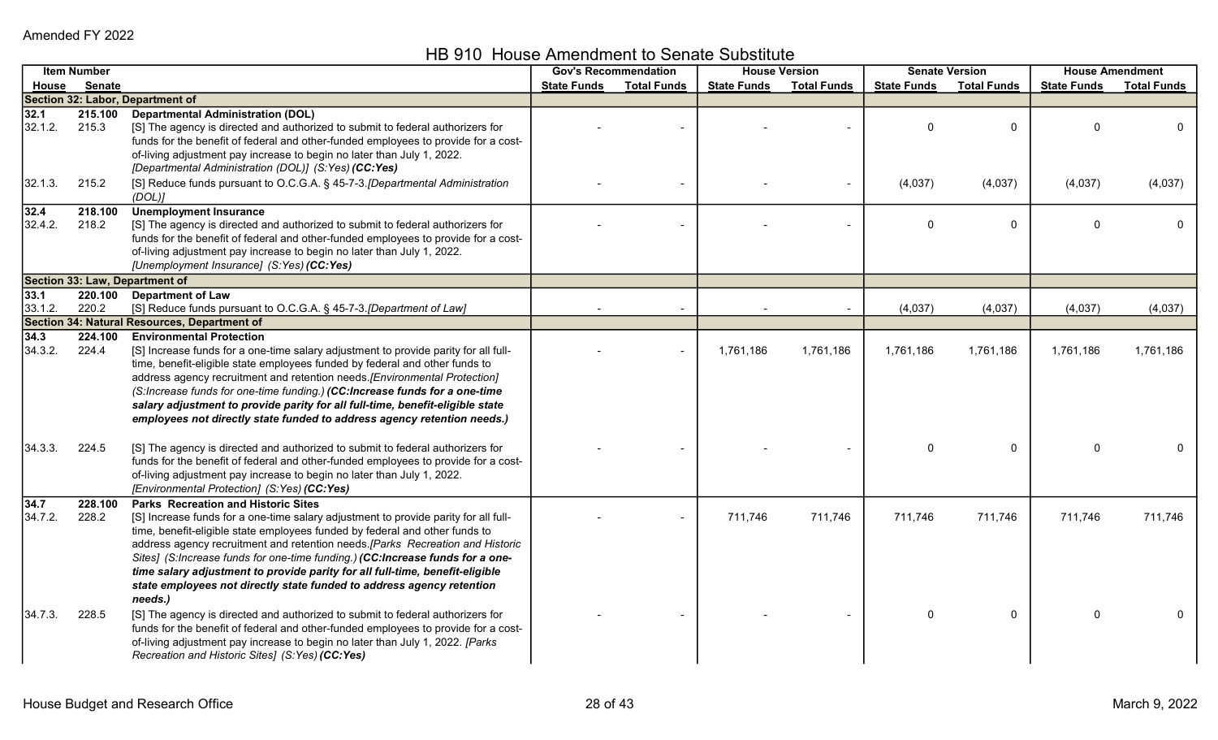HB 910 House Amendment to Senate Substitute

|         | <b>Item Number</b> |                                                                                                                                                               | <b>Gov's Recommendation</b> |                    |                    | <b>House Version</b> |                    | <b>Senate Version</b> |                    | <b>House Amendment</b> |
|---------|--------------------|---------------------------------------------------------------------------------------------------------------------------------------------------------------|-----------------------------|--------------------|--------------------|----------------------|--------------------|-----------------------|--------------------|------------------------|
| House   | <b>Senate</b>      |                                                                                                                                                               | <b>State Funds</b>          | <b>Total Funds</b> | <b>State Funds</b> | <b>Total Funds</b>   | <b>State Funds</b> | <b>Total Funds</b>    | <b>State Funds</b> | <b>Total Funds</b>     |
|         |                    | Section 32: Labor, Department of                                                                                                                              |                             |                    |                    |                      |                    |                       |                    |                        |
| 32.1    | 215.100            | <b>Departmental Administration (DOL)</b>                                                                                                                      |                             |                    |                    |                      |                    |                       |                    |                        |
| 32.1.2. | 215.3              | [S] The agency is directed and authorized to submit to federal authorizers for                                                                                |                             |                    |                    |                      | 0                  | $\mathbf 0$           | $\Omega$           | 0                      |
|         |                    | funds for the benefit of federal and other-funded employees to provide for a cost-                                                                            |                             |                    |                    |                      |                    |                       |                    |                        |
|         |                    | of-living adjustment pay increase to begin no later than July 1, 2022.                                                                                        |                             |                    |                    |                      |                    |                       |                    |                        |
|         |                    | [Departmental Administration (DOL)] (S:Yes) (CC:Yes)                                                                                                          |                             |                    |                    |                      |                    |                       |                    |                        |
| 32.1.3. | 215.2              | [S] Reduce funds pursuant to O.C.G.A. § 45-7-3. [Departmental Administration<br>(DOL)                                                                         |                             |                    |                    |                      | (4,037)            | (4,037)               | (4,037)            | (4,037)                |
| 32.4    | 218.100            | <b>Unemployment Insurance</b>                                                                                                                                 |                             |                    |                    |                      |                    |                       |                    |                        |
| 32.4.2. | 218.2              | [S] The agency is directed and authorized to submit to federal authorizers for                                                                                |                             |                    |                    |                      | 0                  | $\mathbf{0}$          | $\Omega$           |                        |
|         |                    | funds for the benefit of federal and other-funded employees to provide for a cost-                                                                            |                             |                    |                    |                      |                    |                       |                    |                        |
|         |                    | of-living adjustment pay increase to begin no later than July 1, 2022.                                                                                        |                             |                    |                    |                      |                    |                       |                    |                        |
|         |                    | [Unemployment Insurance] (S:Yes) (CC:Yes)                                                                                                                     |                             |                    |                    |                      |                    |                       |                    |                        |
|         |                    | Section 33: Law, Department of                                                                                                                                |                             |                    |                    |                      |                    |                       |                    |                        |
| 33.1    |                    | 220.100 Department of Law                                                                                                                                     |                             |                    |                    |                      |                    |                       |                    |                        |
| 33.1.2. | 220.2              | [S] Reduce funds pursuant to O.C.G.A. § 45-7-3. [Department of Law]                                                                                           |                             |                    |                    |                      | (4,037)            | (4,037)               | (4,037)            | (4,037)                |
|         |                    | Section 34: Natural Resources, Department of                                                                                                                  |                             |                    |                    |                      |                    |                       |                    |                        |
| 34.3    | 224.100            | <b>Environmental Protection</b>                                                                                                                               |                             |                    |                    |                      |                    |                       |                    |                        |
| 34.3.2. | 224.4              | [S] Increase funds for a one-time salary adjustment to provide parity for all full-                                                                           |                             |                    | 1,761,186          | 1,761,186            | 1,761,186          | 1,761,186             | 1,761,186          | 1,761,186              |
|         |                    | time, benefit-eligible state employees funded by federal and other funds to                                                                                   |                             |                    |                    |                      |                    |                       |                    |                        |
|         |                    | address agency recruitment and retention needs. [Environmental Protection]<br>(S:Increase funds for one-time funding.) (CC:Increase funds for a one-time      |                             |                    |                    |                      |                    |                       |                    |                        |
|         |                    | salary adjustment to provide parity for all full-time, benefit-eligible state                                                                                 |                             |                    |                    |                      |                    |                       |                    |                        |
|         |                    | employees not directly state funded to address agency retention needs.)                                                                                       |                             |                    |                    |                      |                    |                       |                    |                        |
|         |                    |                                                                                                                                                               |                             |                    |                    |                      |                    |                       |                    |                        |
| 34.3.3. | 224.5              | [S] The agency is directed and authorized to submit to federal authorizers for                                                                                |                             |                    |                    |                      | 0                  | $\mathbf 0$           | $\mathbf 0$        |                        |
|         |                    | funds for the benefit of federal and other-funded employees to provide for a cost-                                                                            |                             |                    |                    |                      |                    |                       |                    |                        |
|         |                    | of-living adjustment pay increase to begin no later than July 1, 2022.                                                                                        |                             |                    |                    |                      |                    |                       |                    |                        |
|         |                    | [Environmental Protection] (S:Yes) (CC:Yes)                                                                                                                   |                             |                    |                    |                      |                    |                       |                    |                        |
| 34.7    | 228.100            | <b>Parks Recreation and Historic Sites</b>                                                                                                                    |                             |                    |                    |                      |                    |                       |                    |                        |
| 34.7.2. | 228.2              | [S] Increase funds for a one-time salary adjustment to provide parity for all full-                                                                           |                             |                    | 711,746            | 711,746              | 711,746            | 711,746               | 711,746            | 711,746                |
|         |                    | time, benefit-eligible state employees funded by federal and other funds to                                                                                   |                             |                    |                    |                      |                    |                       |                    |                        |
|         |                    | address agency recruitment and retention needs.[Parks Recreation and Historic                                                                                 |                             |                    |                    |                      |                    |                       |                    |                        |
|         |                    | Sites] (S:Increase funds for one-time funding.) (CC:Increase funds for a one-<br>time salary adjustment to provide parity for all full-time, benefit-eligible |                             |                    |                    |                      |                    |                       |                    |                        |
|         |                    | state employees not directly state funded to address agency retention                                                                                         |                             |                    |                    |                      |                    |                       |                    |                        |
|         |                    | needs.)                                                                                                                                                       |                             |                    |                    |                      |                    |                       |                    |                        |
| 34.7.3. | 228.5              | [S] The agency is directed and authorized to submit to federal authorizers for                                                                                |                             |                    |                    |                      | 0                  | 0                     | $\Omega$           |                        |
|         |                    | funds for the benefit of federal and other-funded employees to provide for a cost-                                                                            |                             |                    |                    |                      |                    |                       |                    |                        |
|         |                    | of-living adjustment pay increase to begin no later than July 1, 2022. [Parks                                                                                 |                             |                    |                    |                      |                    |                       |                    |                        |
|         |                    | Recreation and Historic Sites] (S:Yes) (CC:Yes)                                                                                                               |                             |                    |                    |                      |                    |                       |                    |                        |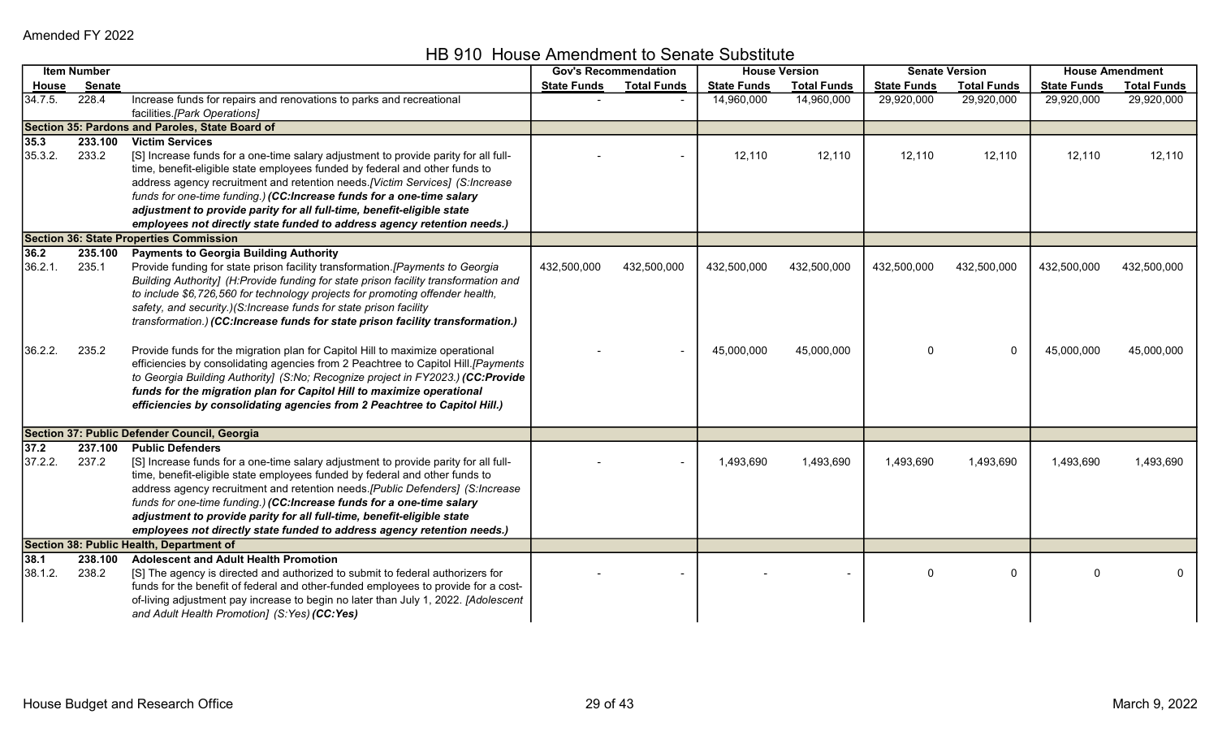HB 910 House Amendment to Senate Substitute

|                 | <b>Item Number</b> |                                                                                                                                                                                                                                                                                                                                                                                                                                                                                                              |                    | <b>Gov's Recommendation</b> |                    | <b>House Version</b> |                    | <b>Senate Version</b> |                    | <b>House Amendment</b> |
|-----------------|--------------------|--------------------------------------------------------------------------------------------------------------------------------------------------------------------------------------------------------------------------------------------------------------------------------------------------------------------------------------------------------------------------------------------------------------------------------------------------------------------------------------------------------------|--------------------|-----------------------------|--------------------|----------------------|--------------------|-----------------------|--------------------|------------------------|
| <u>House</u>    | Senate             |                                                                                                                                                                                                                                                                                                                                                                                                                                                                                                              | <b>State Funds</b> | <b>Total Funds</b>          | <b>State Funds</b> | <b>Total Funds</b>   | <b>State Funds</b> | <b>Total Funds</b>    | <b>State Funds</b> | <b>Total Funds</b>     |
| 34.7.5.         | 228.4              | Increase funds for repairs and renovations to parks and recreational<br>facilities.[Park Operations]                                                                                                                                                                                                                                                                                                                                                                                                         |                    |                             | 14,960,000         | 14,960,000           | 29,920,000         | 29,920,000            | 29,920,000         | 29,920,000             |
|                 |                    | Section 35: Pardons and Paroles, State Board of                                                                                                                                                                                                                                                                                                                                                                                                                                                              |                    |                             |                    |                      |                    |                       |                    |                        |
| 35.3<br>35.3.2. | 233.100<br>233.2   | <b>Victim Services</b><br>[S] Increase funds for a one-time salary adjustment to provide parity for all full-<br>time, benefit-eligible state employees funded by federal and other funds to<br>address agency recruitment and retention needs.[Victim Services] (S:Increase<br>funds for one-time funding.) (CC:Increase funds for a one-time salary<br>adjustment to provide parity for all full-time, benefit-eligible state<br>employees not directly state funded to address agency retention needs.)   |                    |                             | 12,110             | 12,110               | 12,110             | 12,110                | 12,110             | 12,110                 |
|                 |                    | <b>Section 36: State Properties Commission</b>                                                                                                                                                                                                                                                                                                                                                                                                                                                               |                    |                             |                    |                      |                    |                       |                    |                        |
| 36.2            |                    | <b>Payments to Georgia Building Authority</b>                                                                                                                                                                                                                                                                                                                                                                                                                                                                |                    |                             |                    |                      |                    |                       |                    |                        |
| 36.2.1.         | 235.100<br>235.1   | Provide funding for state prison facility transformation. [Payments to Georgia<br>Building Authority] (H:Provide funding for state prison facility transformation and<br>to include \$6,726,560 for technology projects for promoting offender health,<br>safety, and security.)(S:Increase funds for state prison facility<br>transformation.) (CC:Increase funds for state prison facility transformation.)                                                                                                | 432,500,000        | 432,500,000                 | 432,500,000        | 432,500,000          | 432,500,000        | 432,500,000           | 432,500,000        | 432,500,000            |
| 36.2.2.         | 235.2              | Provide funds for the migration plan for Capitol Hill to maximize operational<br>efficiencies by consolidating agencies from 2 Peachtree to Capitol Hill.[Payments<br>to Georgia Building Authority] (S:No; Recognize project in FY2023.) (CC:Provide<br>funds for the migration plan for Capitol Hill to maximize operational<br>efficiencies by consolidating agencies from 2 Peachtree to Capitol Hill.)                                                                                                  |                    |                             | 45,000,000         | 45,000,000           | 0                  | $\mathbf 0$           | 45,000,000         | 45,000,000             |
|                 |                    | Section 37: Public Defender Council, Georgia                                                                                                                                                                                                                                                                                                                                                                                                                                                                 |                    |                             |                    |                      |                    |                       |                    |                        |
| 37.2<br>37.2.2. | 237.100<br>237.2   | <b>Public Defenders</b><br>[S] Increase funds for a one-time salary adjustment to provide parity for all full-<br>time, benefit-eligible state employees funded by federal and other funds to<br>address agency recruitment and retention needs.[Public Defenders] (S:Increase<br>funds for one-time funding.) (CC:Increase funds for a one-time salary<br>adjustment to provide parity for all full-time, benefit-eligible state<br>employees not directly state funded to address agency retention needs.) |                    |                             | 1,493,690          | 1,493,690            | 1,493,690          | 1,493,690             | 1,493,690          | 1,493,690              |
|                 |                    | Section 38: Public Health, Department of                                                                                                                                                                                                                                                                                                                                                                                                                                                                     |                    |                             |                    |                      |                    |                       |                    |                        |
| 38.1<br>38.1.2. | 238.100<br>238.2   | <b>Adolescent and Adult Health Promotion</b><br>[S] The agency is directed and authorized to submit to federal authorizers for<br>funds for the benefit of federal and other-funded employees to provide for a cost-<br>of-living adjustment pay increase to begin no later than July 1, 2022. [Adolescent<br>and Adult Health Promotion] (S:Yes) (CC:Yes)                                                                                                                                                   |                    |                             |                    |                      | 0                  | $\mathbf 0$           | $\Omega$           |                        |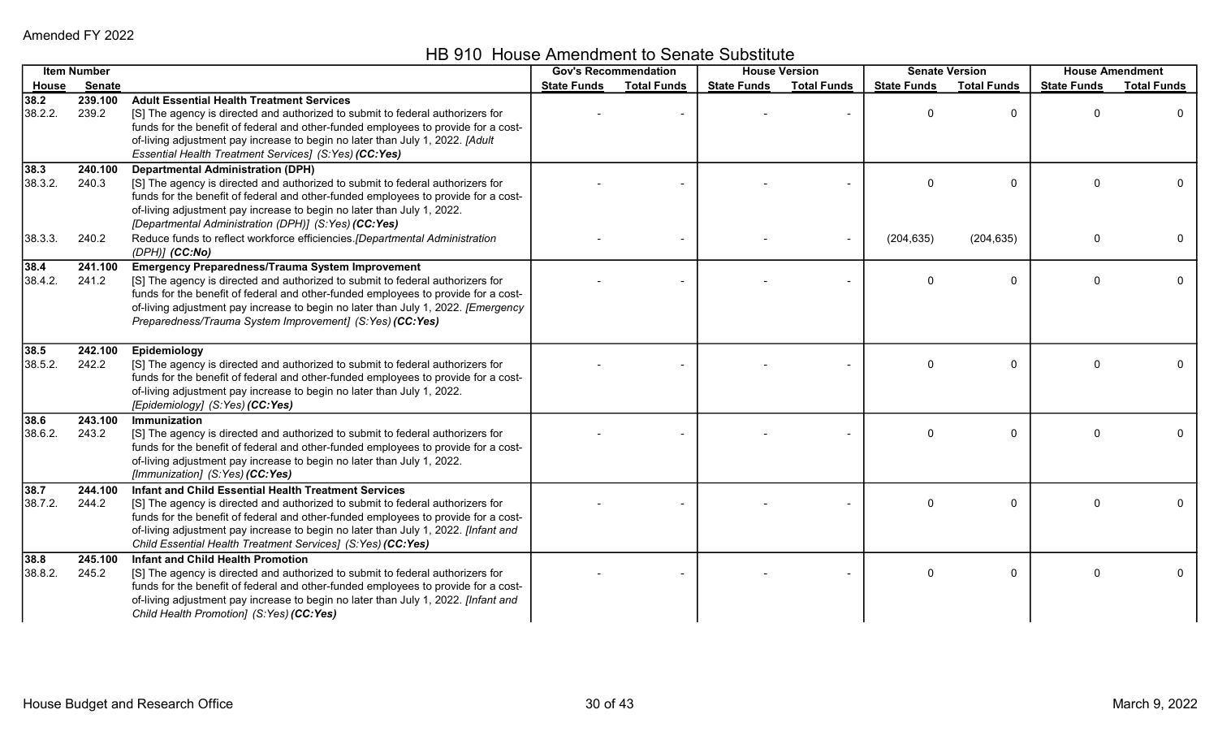HB 910 House Amendment to Senate Substitute

|                   | <b>Item Number</b> |                                                                                                                                                                                                                                                                                                                                                                                   |                    | <b>Gov's Recommendation</b> |                    | <b>House Version</b> |                    | <b>Senate Version</b> |                    | <b>House Amendment</b> |
|-------------------|--------------------|-----------------------------------------------------------------------------------------------------------------------------------------------------------------------------------------------------------------------------------------------------------------------------------------------------------------------------------------------------------------------------------|--------------------|-----------------------------|--------------------|----------------------|--------------------|-----------------------|--------------------|------------------------|
| <b>House</b>      | <b>Senate</b>      |                                                                                                                                                                                                                                                                                                                                                                                   | <b>State Funds</b> | <b>Total Funds</b>          | <b>State Funds</b> | <b>Total Funds</b>   | <b>State Funds</b> | <b>Total Funds</b>    | <b>State Funds</b> | <b>Total Funds</b>     |
| 38.2<br>38.2.2.   | 239.100<br>239.2   | <b>Adult Essential Health Treatment Services</b><br>[S] The agency is directed and authorized to submit to federal authorizers for<br>funds for the benefit of federal and other-funded employees to provide for a cost-<br>of-living adjustment pay increase to begin no later than July 1, 2022. [Adult<br>Essential Health Treatment Services] (S:Yes) (CC:Yes)                |                    |                             |                    |                      | $\Omega$           | $\Omega$              | $\Omega$           | $\mathbf{0}$           |
| 38.3<br>38.3.2.   | 240.100<br>240.3   | <b>Departmental Administration (DPH)</b><br>[S] The agency is directed and authorized to submit to federal authorizers for<br>funds for the benefit of federal and other-funded employees to provide for a cost-<br>of-living adjustment pay increase to begin no later than July 1, 2022.<br>[Departmental Administration (DPH)] (S:Yes) (CC:Yes)                                |                    |                             |                    |                      |                    | $\Omega$              |                    | 0                      |
| 38.3.3.           | 240.2              | Reduce funds to reflect workforce efficiencies.[Departmental Administration<br>$(DPH)$ ] $(CC:No)$                                                                                                                                                                                                                                                                                |                    |                             |                    |                      | (204, 635)         | (204, 635)            | $\Omega$           | $\mathbf{0}$           |
| 38.4<br>38.4.2.   | 241.100<br>241.2   | <b>Emergency Preparedness/Trauma System Improvement</b><br>[S] The agency is directed and authorized to submit to federal authorizers for<br>funds for the benefit of federal and other-funded employees to provide for a cost-<br>of-living adjustment pay increase to begin no later than July 1, 2022. [Emergency<br>Preparedness/Trauma System Improvement] (S:Yes) (CC:Yes)  |                    |                             |                    |                      | 0                  | $\Omega$              | $\Omega$           | $\mathbf{0}$           |
| 38.5<br>38.5.2.   | 242.100<br>242.2   | Epidemiology<br>[S] The agency is directed and authorized to submit to federal authorizers for<br>funds for the benefit of federal and other-funded employees to provide for a cost-<br>of-living adjustment pay increase to begin no later than July 1, 2022.<br>[Epidemiology] (S:Yes) (CC:Yes)                                                                                 |                    |                             |                    |                      |                    | $\Omega$              |                    | 0                      |
| 38.6<br>38.6.2.   | 243.100<br>243.2   | Immunization<br>[S] The agency is directed and authorized to submit to federal authorizers for<br>funds for the benefit of federal and other-funded employees to provide for a cost-<br>of-living adjustment pay increase to begin no later than July 1, 2022.<br>[Immunization] (S:Yes) (CC:Yes)                                                                                 |                    |                             |                    |                      | $\Omega$           | 0                     | U                  | 0                      |
| $38.7$<br>38.7.2. | 244.100<br>244.2   | Infant and Child Essential Health Treatment Services<br>[S] The agency is directed and authorized to submit to federal authorizers for<br>funds for the benefit of federal and other-funded employees to provide for a cost-<br>of-living adjustment pay increase to begin no later than July 1, 2022. [Infant and<br>Child Essential Health Treatment Services] (S:Yes) (CC:Yes) |                    |                             |                    |                      | $\Omega$           | $\Omega$              | $\Omega$           | $\overline{0}$         |
| $38.8$<br>38.8.2. | 245.100<br>245.2   | <b>Infant and Child Health Promotion</b><br>[S] The agency is directed and authorized to submit to federal authorizers for<br>funds for the benefit of federal and other-funded employees to provide for a cost-<br>of-living adjustment pay increase to begin no later than July 1, 2022. [Infant and<br>Child Health Promotion] (S:Yes) (CC:Yes)                                |                    |                             |                    |                      | $\Omega$           | $\Omega$              | O                  | $\mathbf 0$            |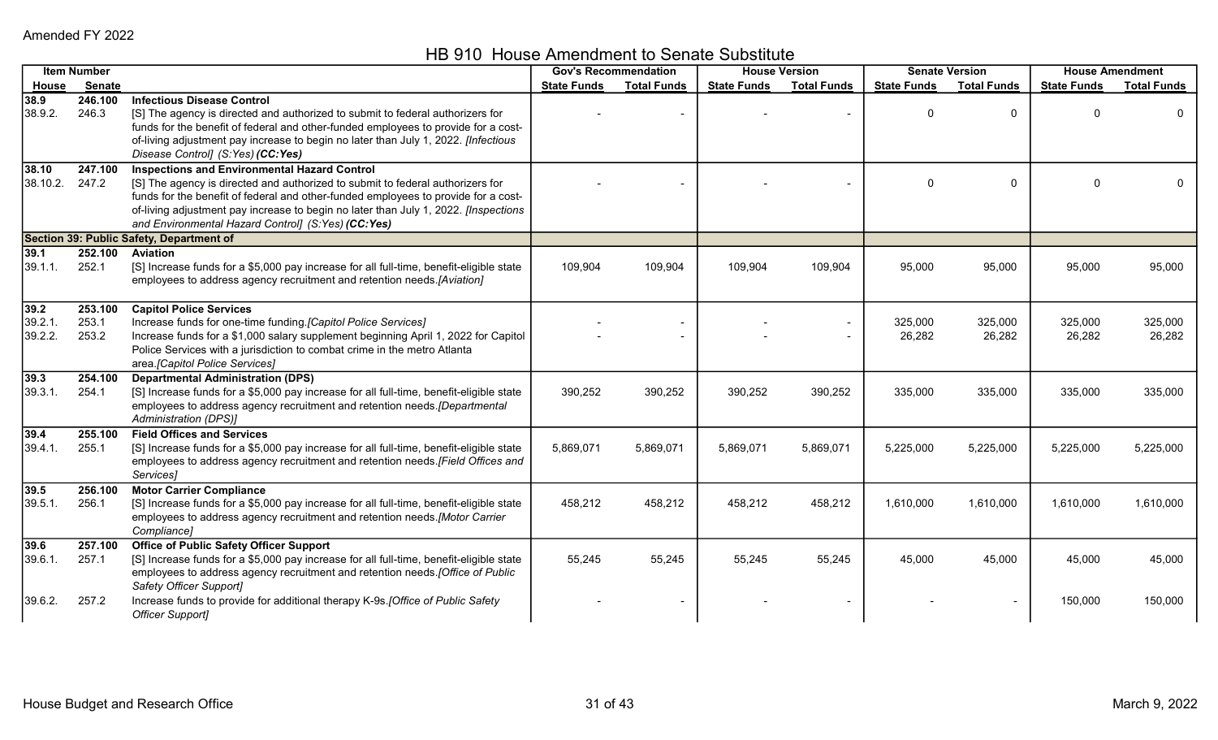HB 910 House Amendment to Senate Substitute

|                            | <b>Item Number</b>        |                                                                                                                                                                                                                                                                                                                                                                          | <b>Gov's Recommendation</b> |                    | <b>House Version</b> |                    |                    | <b>Senate Version</b> | <b>House Amendment</b> |                    |
|----------------------------|---------------------------|--------------------------------------------------------------------------------------------------------------------------------------------------------------------------------------------------------------------------------------------------------------------------------------------------------------------------------------------------------------------------|-----------------------------|--------------------|----------------------|--------------------|--------------------|-----------------------|------------------------|--------------------|
| House                      | Senate                    |                                                                                                                                                                                                                                                                                                                                                                          | <b>State Funds</b>          | <b>Total Funds</b> | <b>State Funds</b>   | <b>Total Funds</b> | <b>State Funds</b> | <b>Total Funds</b>    | <b>State Funds</b>     | <b>Total Funds</b> |
| 38.9<br>38.9.2.            | 246.100<br>246.3          | <b>Infectious Disease Control</b><br>[S] The agency is directed and authorized to submit to federal authorizers for<br>funds for the benefit of federal and other-funded employees to provide for a cost-<br>of-living adjustment pay increase to begin no later than July 1, 2022. [Infectious<br>Disease Control] (S:Yes) (CC:Yes)                                     |                             |                    |                      |                    | $\Omega$           | $\mathbf{0}$          |                        | 0                  |
| 38.10<br>38.10.2.          | 247.100<br>247.2          | <b>Inspections and Environmental Hazard Control</b><br>[S] The agency is directed and authorized to submit to federal authorizers for<br>funds for the benefit of federal and other-funded employees to provide for a cost-<br>of-living adjustment pay increase to begin no later than July 1, 2022. [Inspections<br>and Environmental Hazard Control] (S:Yes) (CC:Yes) |                             |                    |                      |                    | $\Omega$           | $\mathbf{0}$          | $\Omega$               |                    |
|                            |                           | Section 39: Public Safety, Department of                                                                                                                                                                                                                                                                                                                                 |                             |                    |                      |                    |                    |                       |                        |                    |
| 39.1<br>39.1.1.            | 252.100<br>252.1          | <b>Aviation</b><br>[S] Increase funds for a \$5,000 pay increase for all full-time, benefit-eligible state<br>employees to address agency recruitment and retention needs.[Aviation]                                                                                                                                                                                     | 109,904                     | 109,904            | 109,904              | 109,904            | 95,000             | 95,000                | 95,000                 | 95,000             |
| 39.2<br>39.2.1.<br>39.2.2. | 253.100<br>253.1<br>253.2 | <b>Capitol Police Services</b><br>Increase funds for one-time funding.[Capitol Police Services]<br>Increase funds for a \$1,000 salary supplement beginning April 1, 2022 for Capitol<br>Police Services with a jurisdiction to combat crime in the metro Atlanta<br>area.[Capitol Police Services]                                                                      |                             |                    |                      |                    | 325,000<br>26,282  | 325,000<br>26,282     | 325,000<br>26,282      | 325,000<br>26,282  |
| 39.3<br>39.3.1.            | 254.100<br>254.1          | <b>Departmental Administration (DPS)</b><br>[S] Increase funds for a \$5,000 pay increase for all full-time, benefit-eligible state<br>employees to address agency recruitment and retention needs.[Departmental<br>Administration (DPS)]                                                                                                                                | 390,252                     | 390,252            | 390,252              | 390,252            | 335,000            | 335,000               | 335,000                | 335,000            |
| 39.4<br>39.4.1.            | 255.100<br>255.1          | <b>Field Offices and Services</b><br>[S] Increase funds for a \$5,000 pay increase for all full-time, benefit-eligible state<br>employees to address agency recruitment and retention needs. [Field Offices and<br>Services]                                                                                                                                             | 5,869,071                   | 5,869,071          | 5,869,071            | 5,869,071          | 5,225,000          | 5,225,000             | 5,225,000              | 5,225,000          |
| 39.5<br>39.5.1.            | 256.100<br>256.1          | <b>Motor Carrier Compliance</b><br>[S] Increase funds for a \$5,000 pay increase for all full-time, benefit-eligible state<br>employees to address agency recruitment and retention needs.[Motor Carrier<br>Compliance]                                                                                                                                                  | 458,212                     | 458,212            | 458,212              | 458,212            | 1,610,000          | 1,610,000             | 1,610,000              | 1,610,000          |
| 39.6<br>39.6.1.            | 257.100<br>257.1          | <b>Office of Public Safety Officer Support</b><br>[S] Increase funds for a \$5,000 pay increase for all full-time, benefit-eligible state<br>employees to address agency recruitment and retention needs. [Office of Public<br>Safety Officer Support]                                                                                                                   | 55,245                      | 55,245             | 55,245               | 55,245             | 45,000             | 45,000                | 45,000                 | 45,000             |
| 39.6.2.                    | 257.2                     | Increase funds to provide for additional therapy K-9s. [Office of Public Safety<br><b>Officer Support]</b>                                                                                                                                                                                                                                                               |                             |                    |                      |                    |                    |                       | 150,000                | 150,000            |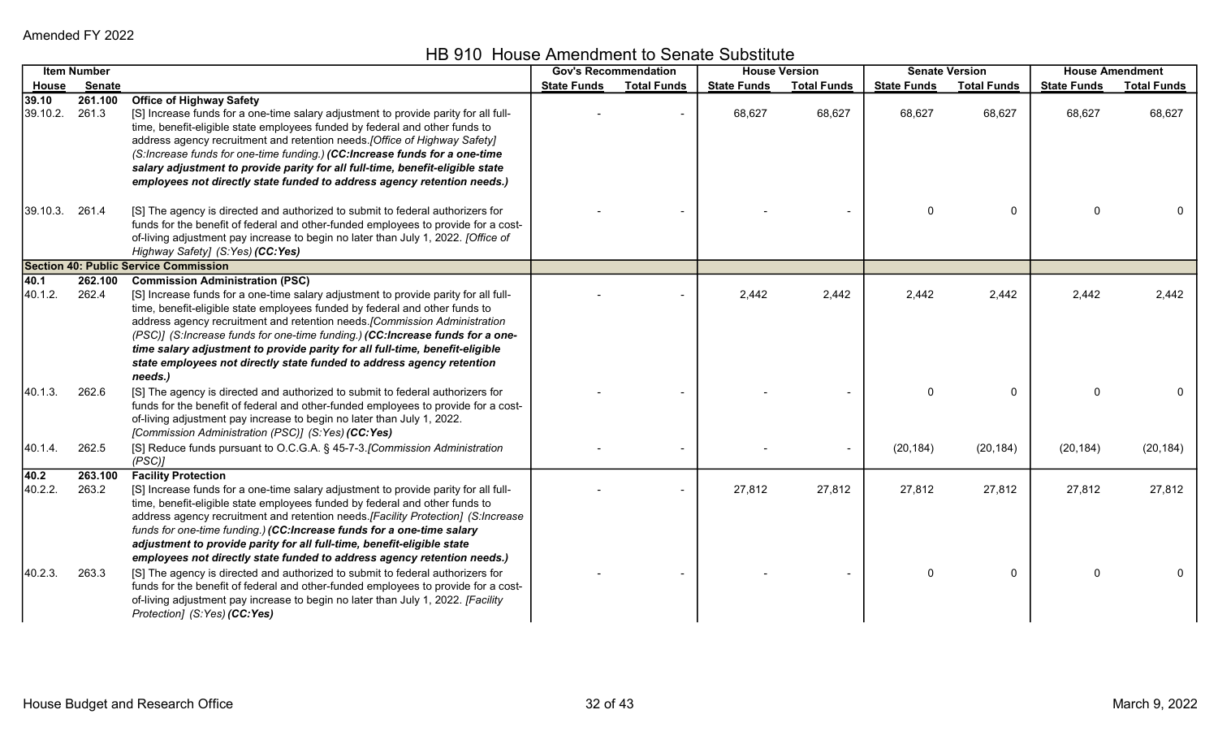HB 910 House Amendment to Senate Substitute

|                   | <b>Item Number</b> |                                                                                                                                                                                                                                                                                                                                                                                                                                                                                                                                                 |                    | <b>Gov's Recommendation</b> |                    | <b>House Version</b> |                    | <b>Senate Version</b> |                    | <b>House Amendment</b> |
|-------------------|--------------------|-------------------------------------------------------------------------------------------------------------------------------------------------------------------------------------------------------------------------------------------------------------------------------------------------------------------------------------------------------------------------------------------------------------------------------------------------------------------------------------------------------------------------------------------------|--------------------|-----------------------------|--------------------|----------------------|--------------------|-----------------------|--------------------|------------------------|
| House             | <b>Senate</b>      |                                                                                                                                                                                                                                                                                                                                                                                                                                                                                                                                                 | <b>State Funds</b> | <b>Total Funds</b>          | <b>State Funds</b> | <b>Total Funds</b>   | <b>State Funds</b> | <b>Total Funds</b>    | <b>State Funds</b> | <b>Total Funds</b>     |
| 39.10<br>39.10.2. | 261.100<br>261.3   | <b>Office of Highway Safety</b><br>[S] Increase funds for a one-time salary adjustment to provide parity for all full-<br>time, benefit-eligible state employees funded by federal and other funds to<br>address agency recruitment and retention needs. [Office of Highway Safety]<br>(S:Increase funds for one-time funding.) (CC:Increase funds for a one-time<br>salary adjustment to provide parity for all full-time, benefit-eligible state<br>employees not directly state funded to address agency retention needs.)                   |                    |                             | 68,627             | 68,627               | 68,627             | 68,627                | 68,627             | 68,627                 |
| 39.10.3. 261.4    |                    | [S] The agency is directed and authorized to submit to federal authorizers for<br>funds for the benefit of federal and other-funded employees to provide for a cost-<br>of-living adjustment pay increase to begin no later than July 1, 2022. [Office of<br>Highway Safety] (S:Yes) (CC:Yes)                                                                                                                                                                                                                                                   |                    |                             |                    |                      | $\Omega$           | 0                     | $\Omega$           |                        |
|                   |                    | <b>Section 40: Public Service Commission</b>                                                                                                                                                                                                                                                                                                                                                                                                                                                                                                    |                    |                             |                    |                      |                    |                       |                    |                        |
| 40.1<br>40.1.2.   | 262.100<br>262.4   | <b>Commission Administration (PSC)</b><br>[S] Increase funds for a one-time salary adjustment to provide parity for all full-<br>time, benefit-eligible state employees funded by federal and other funds to<br>address agency recruitment and retention needs. [Commission Administration<br>(PSC)] (S:Increase funds for one-time funding.) (CC:Increase funds for a one-<br>time salary adjustment to provide parity for all full-time, benefit-eligible<br>state employees not directly state funded to address agency retention<br>needs.) |                    |                             | 2,442              | 2,442                | 2,442              | 2,442                 | 2,442              | 2,442                  |
| 40.1.3.           | 262.6              | [S] The agency is directed and authorized to submit to federal authorizers for<br>funds for the benefit of federal and other-funded employees to provide for a cost-<br>of-living adjustment pay increase to begin no later than July 1, 2022.<br>[Commission Administration (PSC)] (S:Yes) (CC:Yes)                                                                                                                                                                                                                                            |                    |                             |                    |                      | $\Omega$           | $\Omega$              | $\Omega$           |                        |
| 40.1.4            | 262.5              | [S] Reduce funds pursuant to O.C.G.A. § 45-7-3. [Commission Administration<br>(PSC)                                                                                                                                                                                                                                                                                                                                                                                                                                                             |                    |                             |                    |                      | (20, 184)          | (20, 184)             | (20, 184)          | (20, 184)              |
| 140.2<br>40.2.2.  | 263.100<br>263.2   | <b>Facility Protection</b><br>[S] Increase funds for a one-time salary adjustment to provide parity for all full-<br>time, benefit-eligible state employees funded by federal and other funds to<br>address agency recruitment and retention needs. [Facility Protection] (S:Increase<br>funds for one-time funding.) (CC:Increase funds for a one-time salary<br>adjustment to provide parity for all full-time, benefit-eligible state<br>employees not directly state funded to address agency retention needs.)                             |                    |                             | 27,812             | 27,812               | 27,812             | 27,812                | 27,812             | 27,812                 |
| [40.2.3]          | 263.3              | [S] The agency is directed and authorized to submit to federal authorizers for<br>funds for the benefit of federal and other-funded employees to provide for a cost-<br>of-living adjustment pay increase to begin no later than July 1, 2022. [Facility<br>Protection] (S:Yes) (CC:Yes)                                                                                                                                                                                                                                                        |                    |                             |                    |                      | $\mathbf{0}$       | $\mathbf 0$           | $\mathbf{0}$       |                        |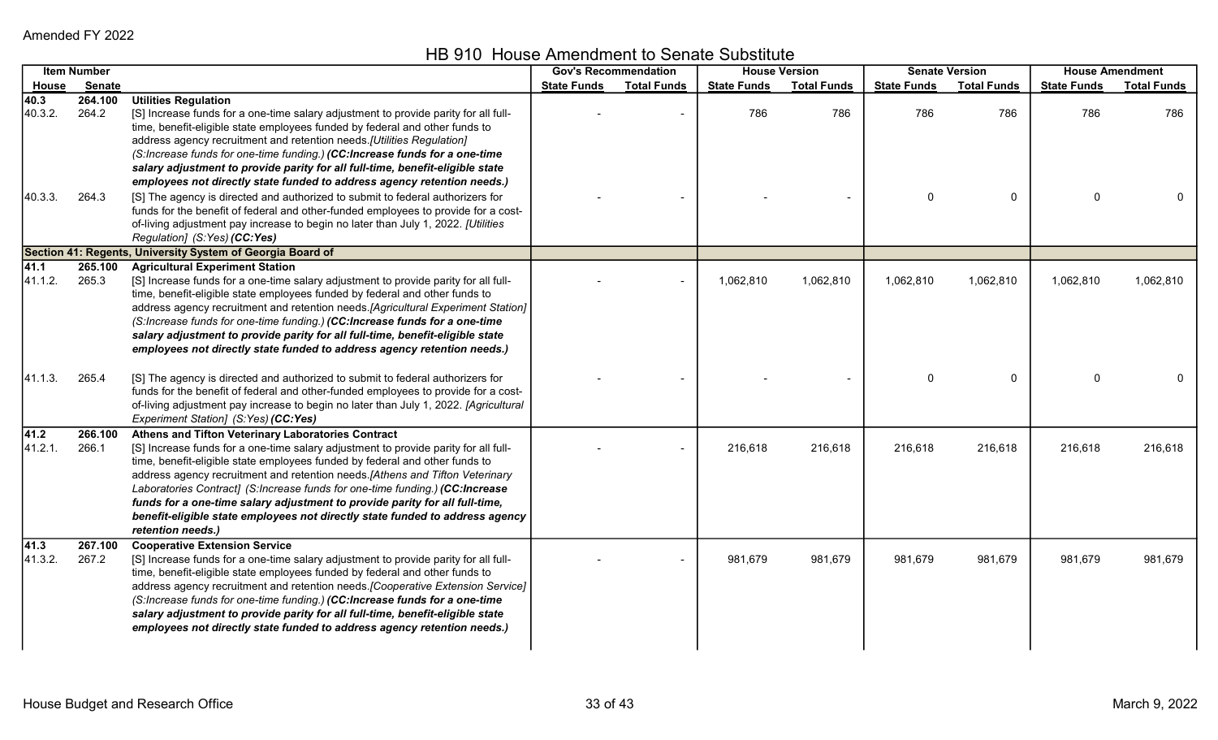|                  | <b>Item Number</b> |                                                                                                                                                                                                                                                                                                                                                                                                                                                                                                                                                                              | <b>Gov's Recommendation</b> |                    |                    | <b>House Version</b> |                    | <b>Senate Version</b> |                    | <b>House Amendment</b> |
|------------------|--------------------|------------------------------------------------------------------------------------------------------------------------------------------------------------------------------------------------------------------------------------------------------------------------------------------------------------------------------------------------------------------------------------------------------------------------------------------------------------------------------------------------------------------------------------------------------------------------------|-----------------------------|--------------------|--------------------|----------------------|--------------------|-----------------------|--------------------|------------------------|
| House            | Senate             |                                                                                                                                                                                                                                                                                                                                                                                                                                                                                                                                                                              | <b>State Funds</b>          | <b>Total Funds</b> | <b>State Funds</b> | <b>Total Funds</b>   | <b>State Funds</b> | <b>Total Funds</b>    | <b>State Funds</b> | <b>Total Funds</b>     |
| 40.3<br>40.3.2.  | 264.100<br>264.2   | <b>Utilities Regulation</b><br>[S] Increase funds for a one-time salary adjustment to provide parity for all full-<br>time, benefit-eligible state employees funded by federal and other funds to<br>address agency recruitment and retention needs.[Utilities Regulation]<br>(S:Increase funds for one-time funding.) (CC:Increase funds for a one-time                                                                                                                                                                                                                     |                             |                    | 786                | 786                  | 786                | 786                   | 786                | 786                    |
| 40.3.3.          | 264.3              | salary adjustment to provide parity for all full-time, benefit-eligible state<br>employees not directly state funded to address agency retention needs.)<br>[S] The agency is directed and authorized to submit to federal authorizers for<br>funds for the benefit of federal and other-funded employees to provide for a cost-<br>of-living adjustment pay increase to begin no later than July 1, 2022. [Utilities<br>Regulation] (S:Yes) (CC:Yes)                                                                                                                        |                             |                    |                    |                      | 0                  | $\mathbf 0$           | $\mathbf 0$        |                        |
|                  |                    | Section 41: Regents, University System of Georgia Board of                                                                                                                                                                                                                                                                                                                                                                                                                                                                                                                   |                             |                    |                    |                      |                    |                       |                    |                        |
| 41.1<br>41.1.2.  | 265.100<br>265.3   | <b>Agricultural Experiment Station</b><br>[S] Increase funds for a one-time salary adjustment to provide parity for all full-<br>time, benefit-eligible state employees funded by federal and other funds to<br>address agency recruitment and retention needs.[Agricultural Experiment Station]<br>(S:Increase funds for one-time funding.) (CC:Increase funds for a one-time<br>salary adjustment to provide parity for all full-time, benefit-eligible state<br>employees not directly state funded to address agency retention needs.)                                   |                             |                    | 1,062,810          | 1,062,810            | 1,062,810          | 1,062,810             | 1,062,810          | 1,062,810              |
| 41.1.3.          | 265.4              | [S] The agency is directed and authorized to submit to federal authorizers for<br>funds for the benefit of federal and other-funded employees to provide for a cost-<br>of-living adjustment pay increase to begin no later than July 1, 2022. [Agricultural<br>Experiment Station] (S:Yes) (CC:Yes)                                                                                                                                                                                                                                                                         |                             |                    |                    |                      |                    | $\mathbf 0$           | $\Omega$           |                        |
| 41.2 <br>41.2.1. | 266.100<br>266.1   | Athens and Tifton Veterinary Laboratories Contract<br>[S] Increase funds for a one-time salary adjustment to provide parity for all full-<br>time, benefit-eligible state employees funded by federal and other funds to<br>address agency recruitment and retention needs.[Athens and Tifton Veterinary<br>Laboratories Contract] (S:Increase funds for one-time funding.) (CC:Increase<br>funds for a one-time salary adjustment to provide parity for all full-time,<br>benefit-eligible state employees not directly state funded to address agency<br>retention needs.) |                             |                    | 216,618            | 216,618              | 216,618            | 216,618               | 216,618            | 216,618                |
| 41.3<br>41.3.2.  | 267.100<br>267.2   | <b>Cooperative Extension Service</b><br>[S] Increase funds for a one-time salary adjustment to provide parity for all full-<br>time, benefit-eligible state employees funded by federal and other funds to<br>address agency recruitment and retention needs. [Cooperative Extension Service]<br>(S:Increase funds for one-time funding.) (CC:Increase funds for a one-time<br>salary adjustment to provide parity for all full-time, benefit-eligible state<br>employees not directly state funded to address agency retention needs.)                                      |                             |                    | 981,679            | 981,679              | 981,679            | 981,679               | 981,679            | 981,679                |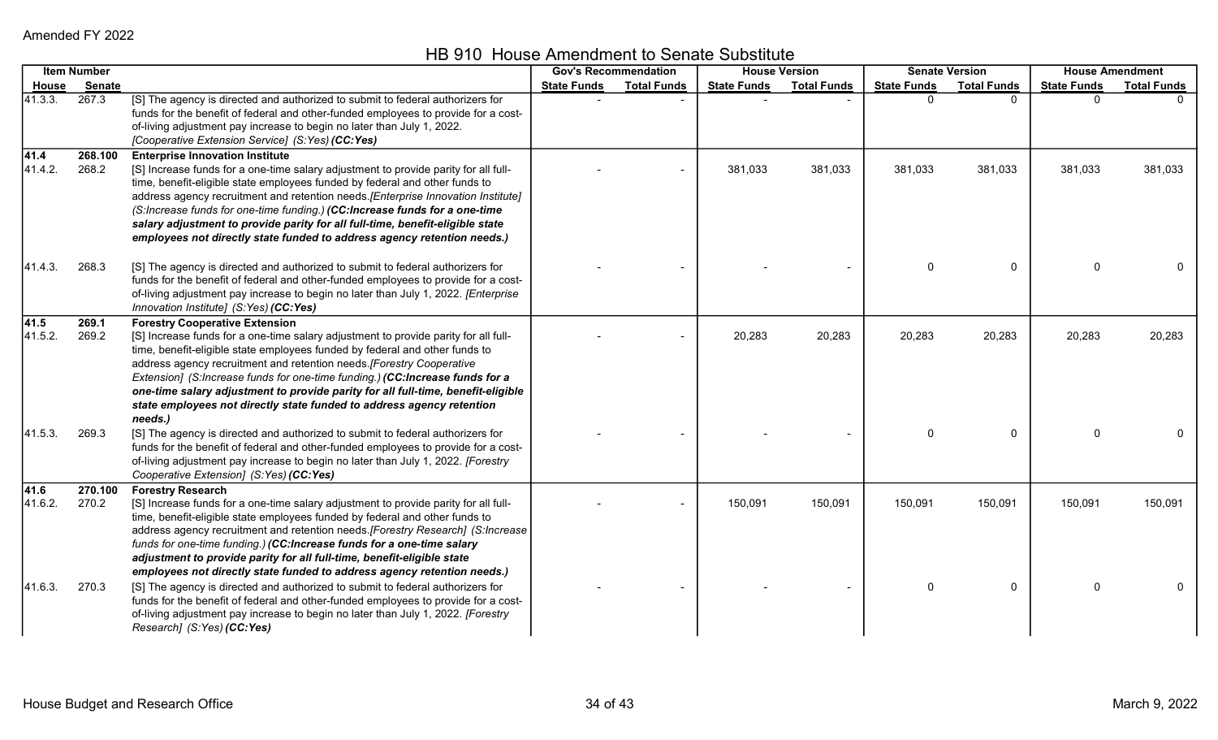HB 910 House Amendment to Senate Substitute

|                 | <b>Item Number</b> |                                                                                                                                                                                                                                                                                                                                                                                                                                                                                                                                              | <b>Gov's Recommendation</b> |                    | <b>House Version</b> |                    |                    | <b>Senate Version</b> | <b>House Amendment</b> |                    |
|-----------------|--------------------|----------------------------------------------------------------------------------------------------------------------------------------------------------------------------------------------------------------------------------------------------------------------------------------------------------------------------------------------------------------------------------------------------------------------------------------------------------------------------------------------------------------------------------------------|-----------------------------|--------------------|----------------------|--------------------|--------------------|-----------------------|------------------------|--------------------|
| <u>House</u>    | <b>Senate</b>      |                                                                                                                                                                                                                                                                                                                                                                                                                                                                                                                                              | <b>State Funds</b>          | <b>Total Funds</b> | <b>State Funds</b>   | <b>Total Funds</b> | <b>State Funds</b> | <b>Total Funds</b>    | <b>State Funds</b>     | <b>Total Funds</b> |
| 41.3.3.         | 267.3              | [S] The agency is directed and authorized to submit to federal authorizers for<br>funds for the benefit of federal and other-funded employees to provide for a cost-<br>of-living adjustment pay increase to begin no later than July 1, 2022.<br>[Cooperative Extension Service] (S:Yes) (CC:Yes)                                                                                                                                                                                                                                           |                             |                    |                      |                    | 0                  | $\Omega$              | $\Omega$               |                    |
| 41.4<br>41.4.2. | 268.100<br>268.2   | <b>Enterprise Innovation Institute</b><br>[S] Increase funds for a one-time salary adjustment to provide parity for all full-<br>time, benefit-eligible state employees funded by federal and other funds to<br>address agency recruitment and retention needs. [Enterprise Innovation Institute]<br>(S:Increase funds for one-time funding.) (CC:Increase funds for a one-time<br>salary adjustment to provide parity for all full-time, benefit-eligible state<br>employees not directly state funded to address agency retention needs.)  |                             |                    | 381,033              | 381,033            | 381,033            | 381,033               | 381,033                | 381,033            |
| 41.4.3.         | 268.3              | [S] The agency is directed and authorized to submit to federal authorizers for<br>funds for the benefit of federal and other-funded employees to provide for a cost-<br>of-living adjustment pay increase to begin no later than July 1, 2022. [Enterprise<br>Innovation Institute] (S:Yes) (CC:Yes)                                                                                                                                                                                                                                         |                             |                    |                      |                    | 0                  | 0                     | $\Omega$               | $\Omega$           |
| 41.5<br>41.5.2. | 269.1<br>269.2     | <b>Forestry Cooperative Extension</b><br>[S] Increase funds for a one-time salary adjustment to provide parity for all full-<br>time, benefit-eligible state employees funded by federal and other funds to<br>address agency recruitment and retention needs. [Forestry Cooperative<br>Extension] (S:Increase funds for one-time funding.) (CC:Increase funds for a<br>one-time salary adjustment to provide parity for all full-time, benefit-eligible<br>state employees not directly state funded to address agency retention<br>needs.) |                             |                    | 20,283               | 20,283             | 20,283             | 20,283                | 20,283                 | 20,283             |
| 41.5.3.         | 269.3              | [S] The agency is directed and authorized to submit to federal authorizers for<br>funds for the benefit of federal and other-funded employees to provide for a cost-<br>of-living adjustment pay increase to begin no later than July 1, 2022. [Forestry<br>Cooperative Extension] (S:Yes) (CC:Yes)                                                                                                                                                                                                                                          |                             |                    |                      |                    | 0                  | 0                     | $\Omega$               |                    |
| 41.6<br>41.6.2. | 270.100<br>270.2   | <b>Forestry Research</b><br>[S] Increase funds for a one-time salary adjustment to provide parity for all full-<br>time, benefit-eligible state employees funded by federal and other funds to<br>address agency recruitment and retention needs. [Forestry Research] (S:Increase<br>funds for one-time funding.) (CC:Increase funds for a one-time salary<br>adjustment to provide parity for all full-time, benefit-eligible state<br>employees not directly state funded to address agency retention needs.)                              |                             |                    | 150,091              | 150,091            | 150,091            | 150,091               | 150,091                | 150,091            |
| 41.6.3.         | 270.3              | [S] The agency is directed and authorized to submit to federal authorizers for<br>funds for the benefit of federal and other-funded employees to provide for a cost-<br>of-living adjustment pay increase to begin no later than July 1, 2022. [Forestry<br>Research] (S:Yes) (CC:Yes)                                                                                                                                                                                                                                                       |                             |                    |                      |                    | 0                  | 0                     | $\Omega$               | $\Omega$           |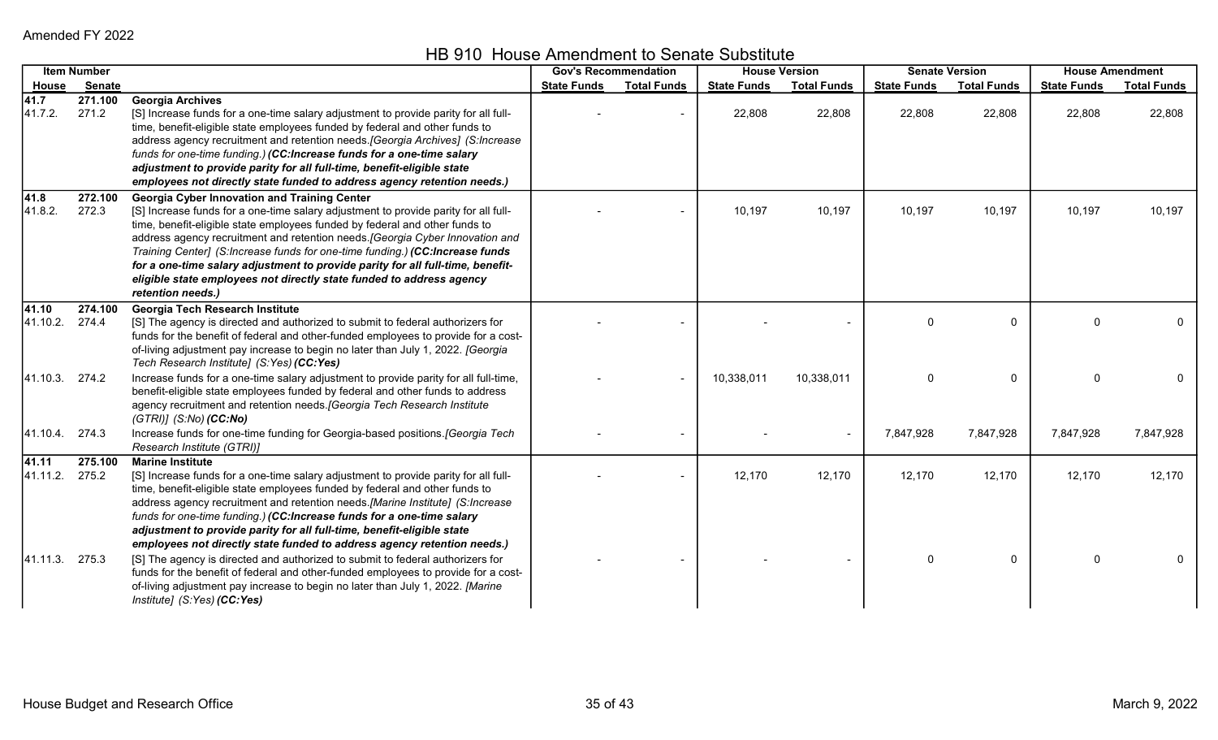HB 910 House Amendment to Senate Substitute

|                | <b>Item Number</b> |                                                                                      | <b>Gov's Recommendation</b> |                    | <b>House Version</b> |                    |                    | <b>Senate Version</b> | <b>House Amendment</b> |                    |
|----------------|--------------------|--------------------------------------------------------------------------------------|-----------------------------|--------------------|----------------------|--------------------|--------------------|-----------------------|------------------------|--------------------|
| <u>House</u>   | <b>Senate</b>      |                                                                                      | <b>State Funds</b>          | <b>Total Funds</b> | <b>State Funds</b>   | <b>Total Funds</b> | <b>State Funds</b> | <b>Total Funds</b>    | <b>State Funds</b>     | <b>Total Funds</b> |
| 41.7           | 271.100            | <b>Georgia Archives</b>                                                              |                             |                    |                      |                    |                    |                       |                        |                    |
| 41.7.2.        | 271.2              | [S] Increase funds for a one-time salary adjustment to provide parity for all full-  |                             |                    | 22,808               | 22,808             | 22,808             | 22,808                | 22,808                 | 22,808             |
|                |                    | time, benefit-eligible state employees funded by federal and other funds to          |                             |                    |                      |                    |                    |                       |                        |                    |
|                |                    | address agency recruitment and retention needs. [Georgia Archives] (S:Increase       |                             |                    |                      |                    |                    |                       |                        |                    |
|                |                    | funds for one-time funding.) (CC:Increase funds for a one-time salary                |                             |                    |                      |                    |                    |                       |                        |                    |
|                |                    | adjustment to provide parity for all full-time, benefit-eligible state               |                             |                    |                      |                    |                    |                       |                        |                    |
|                |                    | employees not directly state funded to address agency retention needs.)              |                             |                    |                      |                    |                    |                       |                        |                    |
| 41.8           | 272.100            | <b>Georgia Cyber Innovation and Training Center</b>                                  |                             |                    |                      |                    |                    |                       |                        |                    |
| 41.8.2.        | 272.3              | [S] Increase funds for a one-time salary adjustment to provide parity for all full-  |                             |                    | 10,197               | 10,197             | 10,197             | 10,197                | 10,197                 | 10,197             |
|                |                    | time, benefit-eligible state employees funded by federal and other funds to          |                             |                    |                      |                    |                    |                       |                        |                    |
|                |                    | address agency recruitment and retention needs. [Georgia Cyber Innovation and        |                             |                    |                      |                    |                    |                       |                        |                    |
|                |                    | Training Center] (S:Increase funds for one-time funding.) (CC:Increase funds         |                             |                    |                      |                    |                    |                       |                        |                    |
|                |                    | for a one-time salary adjustment to provide parity for all full-time, benefit-       |                             |                    |                      |                    |                    |                       |                        |                    |
|                |                    | eligible state employees not directly state funded to address agency                 |                             |                    |                      |                    |                    |                       |                        |                    |
|                |                    | retention needs.)                                                                    |                             |                    |                      |                    |                    |                       |                        |                    |
| 41.10          | 274.100            | <b>Georgia Tech Research Institute</b>                                               |                             |                    |                      |                    |                    |                       |                        |                    |
| 41.10.2.       | 274.4              | [S] The agency is directed and authorized to submit to federal authorizers for       |                             |                    |                      |                    | 0                  | $\Omega$              | $\Omega$               | 0                  |
|                |                    | funds for the benefit of federal and other-funded employees to provide for a cost-   |                             |                    |                      |                    |                    |                       |                        |                    |
|                |                    | of-living adjustment pay increase to begin no later than July 1, 2022. [Georgia      |                             |                    |                      |                    |                    |                       |                        |                    |
|                |                    | Tech Research Institute] (S:Yes) (CC:Yes)                                            |                             |                    |                      |                    |                    |                       |                        |                    |
| 41.10.3. 274.2 |                    | Increase funds for a one-time salary adjustment to provide parity for all full-time, |                             |                    | 10,338,011           | 10,338,011         | 0                  | 0                     | $\Omega$               |                    |
|                |                    | benefit-eligible state employees funded by federal and other funds to address        |                             |                    |                      |                    |                    |                       |                        |                    |
|                |                    | agency recruitment and retention needs. [Georgia Tech Research Institute             |                             |                    |                      |                    |                    |                       |                        |                    |
|                |                    | $(GTRI)$ ] $(S:No)$ $(CC:No)$                                                        |                             |                    |                      |                    |                    |                       |                        |                    |
| 41.10.4.       | 274.3              | Increase funds for one-time funding for Georgia-based positions. [Georgia Tech       |                             |                    |                      |                    | 7,847,928          | 7,847,928             | 7,847,928              | 7,847,928          |
|                |                    | Research Institute (GTRI)]                                                           |                             |                    |                      |                    |                    |                       |                        |                    |
| 41.11          | 275.100            | <b>Marine Institute</b>                                                              |                             |                    |                      |                    |                    |                       |                        |                    |
| 41.11.2.       | 275.2              | [S] Increase funds for a one-time salary adjustment to provide parity for all full-  |                             |                    | 12,170               | 12,170             | 12,170             | 12,170                | 12,170                 | 12,170             |
|                |                    | time, benefit-eligible state employees funded by federal and other funds to          |                             |                    |                      |                    |                    |                       |                        |                    |
|                |                    | address agency recruitment and retention needs.[Marine Institute] (S:Increase        |                             |                    |                      |                    |                    |                       |                        |                    |
|                |                    | funds for one-time funding.) (CC:Increase funds for a one-time salary                |                             |                    |                      |                    |                    |                       |                        |                    |
|                |                    | adjustment to provide parity for all full-time, benefit-eligible state               |                             |                    |                      |                    |                    |                       |                        |                    |
|                |                    | employees not directly state funded to address agency retention needs.)              |                             |                    |                      |                    |                    |                       |                        |                    |
| 41.11.3.       | 275.3              | [S] The agency is directed and authorized to submit to federal authorizers for       |                             |                    |                      |                    | 0                  | $\Omega$              | $\Omega$               |                    |
|                |                    | funds for the benefit of federal and other-funded employees to provide for a cost-   |                             |                    |                      |                    |                    |                       |                        |                    |
|                |                    | of-living adjustment pay increase to begin no later than July 1, 2022. [Marine       |                             |                    |                      |                    |                    |                       |                        |                    |
|                |                    | Institute] (S:Yes) (CC:Yes)                                                          |                             |                    |                      |                    |                    |                       |                        |                    |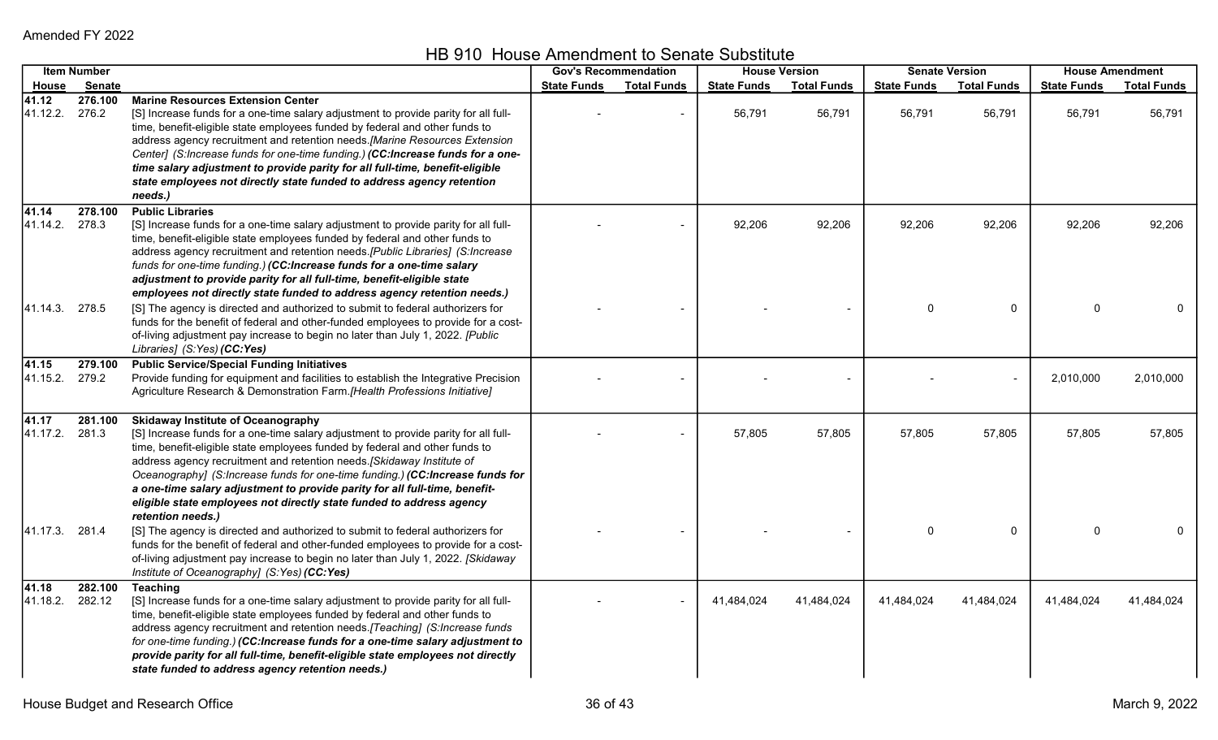HB 910 House Amendment to Senate Substitute

|                   | <b>Item Number</b> |                                                                                                                                                                                                                                                                                                                                                                                                                                                                                                                                                       | <b>Gov's Recommendation</b> |                    |                    | <b>House Version</b> |                    | <b>Senate Version</b> |                    | <b>House Amendment</b> |
|-------------------|--------------------|-------------------------------------------------------------------------------------------------------------------------------------------------------------------------------------------------------------------------------------------------------------------------------------------------------------------------------------------------------------------------------------------------------------------------------------------------------------------------------------------------------------------------------------------------------|-----------------------------|--------------------|--------------------|----------------------|--------------------|-----------------------|--------------------|------------------------|
| <b>House</b>      | <b>Senate</b>      |                                                                                                                                                                                                                                                                                                                                                                                                                                                                                                                                                       | <b>State Funds</b>          | <b>Total Funds</b> | <b>State Funds</b> | <b>Total Funds</b>   | <b>State Funds</b> | <b>Total Funds</b>    | <b>State Funds</b> | <b>Total Funds</b>     |
| 41.12<br>41.12.2. | 276.100<br>276.2   | <b>Marine Resources Extension Center</b><br>[S] Increase funds for a one-time salary adjustment to provide parity for all full-<br>time, benefit-eligible state employees funded by federal and other funds to<br>address agency recruitment and retention needs.[Marine Resources Extension<br>Center] (S:Increase funds for one-time funding.) (CC:Increase funds for a one-<br>time salary adjustment to provide parity for all full-time, benefit-eligible<br>state employees not directly state funded to address agency retention<br>needs.)    |                             |                    | 56,791             | 56,791               | 56,791             | 56,791                | 56,791             | 56,791                 |
| 41.14<br>41.14.2. | 278.100<br>278.3   | <b>Public Libraries</b><br>[S] Increase funds for a one-time salary adjustment to provide parity for all full-<br>time, benefit-eligible state employees funded by federal and other funds to<br>address agency recruitment and retention needs.[Public Libraries] (S:Increase<br>funds for one-time funding.) (CC:Increase funds for a one-time salary<br>adjustment to provide parity for all full-time, benefit-eligible state<br>employees not directly state funded to address agency retention needs.)                                          |                             |                    | 92,206             | 92,206               | 92,206             | 92,206                | 92,206             | 92,206                 |
| 41.14.3.          | 278.5              | [S] The agency is directed and authorized to submit to federal authorizers for<br>funds for the benefit of federal and other-funded employees to provide for a cost-<br>of-living adjustment pay increase to begin no later than July 1, 2022. [Public<br>Libraries] (S:Yes) (CC:Yes)                                                                                                                                                                                                                                                                 |                             |                    |                    |                      | $\Omega$           | $\mathbf 0$           | $\Omega$           | $\mathbf{0}$           |
| 41.15<br>41.15.2. | 279.100<br>279.2   | <b>Public Service/Special Funding Initiatives</b><br>Provide funding for equipment and facilities to establish the Integrative Precision<br>Agriculture Research & Demonstration Farm.[Health Professions Initiative]                                                                                                                                                                                                                                                                                                                                 |                             |                    |                    |                      |                    |                       | 2,010,000          | 2,010,000              |
| 41.17<br>41.17.2. | 281.100<br>281.3   | <b>Skidaway Institute of Oceanography</b><br>[S] Increase funds for a one-time salary adjustment to provide parity for all full-<br>time, benefit-eligible state employees funded by federal and other funds to<br>address agency recruitment and retention needs. [Skidaway Institute of<br>Oceanography] (S:Increase funds for one-time funding.) (CC:Increase funds for<br>a one-time salary adjustment to provide parity for all full-time, benefit-<br>eligible state employees not directly state funded to address agency<br>retention needs.) |                             |                    | 57,805             | 57,805               | 57,805             | 57,805                | 57,805             | 57,805                 |
| 41.17.3. 281.4    |                    | [S] The agency is directed and authorized to submit to federal authorizers for<br>funds for the benefit of federal and other-funded employees to provide for a cost-<br>of-living adjustment pay increase to begin no later than July 1, 2022. [Skidaway<br>Institute of Oceanography] (S:Yes) (CC:Yes)                                                                                                                                                                                                                                               |                             |                    |                    |                      | 0                  | $\Omega$              | $\Omega$           | 0                      |
| 41.18<br>41.18.2. | 282.100<br>282.12  | <b>Teaching</b><br>[S] Increase funds for a one-time salary adjustment to provide parity for all full-<br>time, benefit-eligible state employees funded by federal and other funds to<br>address agency recruitment and retention needs. [Teaching] (S:Increase funds<br>for one-time funding.) (CC:Increase funds for a one-time salary adjustment to<br>provide parity for all full-time, benefit-eligible state employees not directly<br>state funded to address agency retention needs.)                                                         |                             |                    | 41,484,024         | 41,484,024           | 41,484,024         | 41,484,024            | 41,484,024         | 41,484,024             |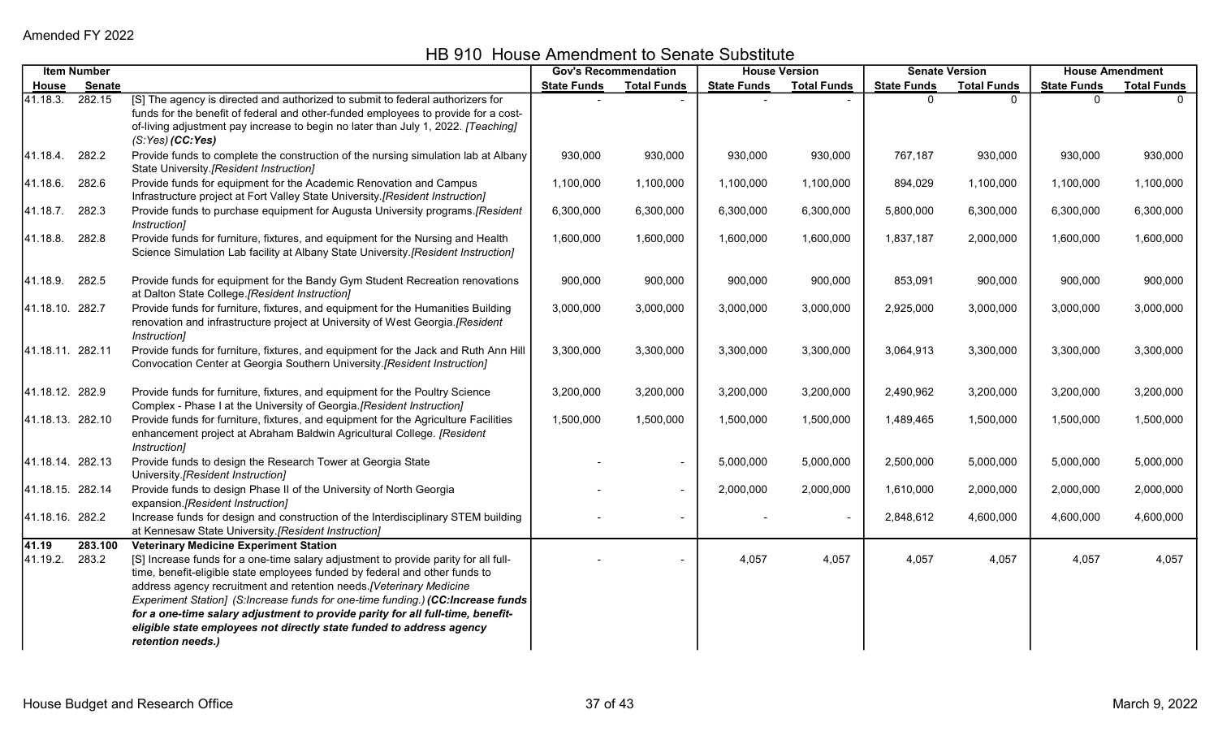|                   | <b>Item Number</b> |                                                                                                                                                                                                                                                                                                                                                                                                                                                                                                                                                               | <b>Gov's Recommendation</b> |                          | <b>House Version</b> |                    | <b>Senate Version</b> |                    | <b>House Amendment</b> |                    |
|-------------------|--------------------|---------------------------------------------------------------------------------------------------------------------------------------------------------------------------------------------------------------------------------------------------------------------------------------------------------------------------------------------------------------------------------------------------------------------------------------------------------------------------------------------------------------------------------------------------------------|-----------------------------|--------------------------|----------------------|--------------------|-----------------------|--------------------|------------------------|--------------------|
|                   | House Senate       |                                                                                                                                                                                                                                                                                                                                                                                                                                                                                                                                                               | <b>State Funds</b>          | <b>Total Funds</b>       | <b>State Funds</b>   | <b>Total Funds</b> | <b>State Funds</b>    | <b>Total Funds</b> | <b>State Funds</b>     | <b>Total Funds</b> |
| 41.18.3. 282.15   |                    | [S] The agency is directed and authorized to submit to federal authorizers for<br>funds for the benefit of federal and other-funded employees to provide for a cost-<br>of-living adjustment pay increase to begin no later than July 1, 2022. [Teaching]<br>$(S:Yes)$ (CC:Yes)                                                                                                                                                                                                                                                                               |                             |                          |                      |                    | U                     | $\Omega$           |                        |                    |
| 41.18.4. 282.2    |                    | Provide funds to complete the construction of the nursing simulation lab at Albany<br>State University.[Resident Instruction]                                                                                                                                                                                                                                                                                                                                                                                                                                 | 930,000                     | 930,000                  | 930,000              | 930,000            | 767,187               | 930,000            | 930,000                | 930,000            |
| 41.18.6. 282.6    |                    | Provide funds for equipment for the Academic Renovation and Campus<br>Infrastructure project at Fort Valley State University.[Resident Instruction]                                                                                                                                                                                                                                                                                                                                                                                                           | 1,100,000                   | 1,100,000                | 1,100,000            | 1,100,000          | 894,029               | 1,100,000          | 1,100,000              | 1,100,000          |
| 41.18.7. 282.3    |                    | Provide funds to purchase equipment for Augusta University programs.[Resident<br>Instruction]                                                                                                                                                                                                                                                                                                                                                                                                                                                                 | 6,300,000                   | 6,300,000                | 6,300,000            | 6,300,000          | 5,800,000             | 6,300,000          | 6,300,000              | 6,300,000          |
| 41.18.8. 282.8    |                    | Provide funds for furniture, fixtures, and equipment for the Nursing and Health<br>Science Simulation Lab facility at Albany State University.[Resident Instruction]                                                                                                                                                                                                                                                                                                                                                                                          | 1,600,000                   | 1,600,000                | 1,600,000            | 1,600,000          | 1,837,187             | 2,000,000          | 1,600,000              | 1,600,000          |
| 41.18.9. 282.5    |                    | Provide funds for equipment for the Bandy Gym Student Recreation renovations<br>at Dalton State College.[Resident Instruction]                                                                                                                                                                                                                                                                                                                                                                                                                                | 900,000                     | 900,000                  | 900,000              | 900,000            | 853,091               | 900,000            | 900,000                | 900,000            |
| 41.18.10. 282.7   |                    | Provide funds for furniture, fixtures, and equipment for the Humanities Building<br>renovation and infrastructure project at University of West Georgia.[Resident<br>Instruction]                                                                                                                                                                                                                                                                                                                                                                             | 3,000,000                   | 3,000,000                | 3,000,000            | 3,000,000          | 2,925,000             | 3,000,000          | 3,000,000              | 3,000,000          |
| 41.18.11. 282.11  |                    | Provide funds for furniture, fixtures, and equipment for the Jack and Ruth Ann Hill<br>Convocation Center at Georgia Southern University.[Resident Instruction]                                                                                                                                                                                                                                                                                                                                                                                               | 3,300,000                   | 3,300,000                | 3,300,000            | 3,300,000          | 3,064,913             | 3,300,000          | 3,300,000              | 3,300,000          |
| 41.18.12. 282.9   |                    | Provide funds for furniture, fixtures, and equipment for the Poultry Science<br>Complex - Phase I at the University of Georgia.[Resident Instruction]                                                                                                                                                                                                                                                                                                                                                                                                         | 3,200,000                   | 3,200,000                | 3,200,000            | 3,200,000          | 2,490,962             | 3,200,000          | 3,200,000              | 3,200,000          |
| 41.18.13. 282.10  |                    | Provide funds for furniture, fixtures, and equipment for the Agriculture Facilities<br>enhancement project at Abraham Baldwin Agricultural College. [Resident<br>Instruction]                                                                                                                                                                                                                                                                                                                                                                                 | 1,500,000                   | 1,500,000                | 1,500,000            | 1,500,000          | 1,489,465             | 1,500,000          | 1,500,000              | 1,500,000          |
| 41.18.14. 282.13  |                    | Provide funds to design the Research Tower at Georgia State<br>University.[Resident Instruction]                                                                                                                                                                                                                                                                                                                                                                                                                                                              |                             | $\blacksquare$           | 5,000,000            | 5,000,000          | 2,500,000             | 5,000,000          | 5,000,000              | 5,000,000          |
| 41.18.15. 282.14  |                    | Provide funds to design Phase II of the University of North Georgia<br>expansion.[Resident Instruction]                                                                                                                                                                                                                                                                                                                                                                                                                                                       |                             | $\overline{\phantom{a}}$ | 2,000,000            | 2,000,000          | 1,610,000             | 2,000,000          | 2,000,000              | 2,000,000          |
| 41.18.16. 282.2   |                    | Increase funds for design and construction of the Interdisciplinary STEM building<br>at Kennesaw State University.[Resident Instruction]                                                                                                                                                                                                                                                                                                                                                                                                                      |                             | $\overline{\phantom{0}}$ |                      |                    | 2,848,612             | 4,600,000          | 4,600,000              | 4,600,000          |
| 41.19<br>41.19.2. | 283.100<br>283.2   | <b>Veterinary Medicine Experiment Station</b><br>[S] Increase funds for a one-time salary adjustment to provide parity for all full-<br>time, benefit-eligible state employees funded by federal and other funds to<br>address agency recruitment and retention needs. [Veterinary Medicine<br>Experiment Station] (S:Increase funds for one-time funding.) (CC:Increase funds<br>for a one-time salary adjustment to provide parity for all full-time, benefit-<br>eligible state employees not directly state funded to address agency<br>retention needs.) |                             |                          | 4,057                | 4,057              | 4,057                 | 4,057              | 4,057                  | 4,057              |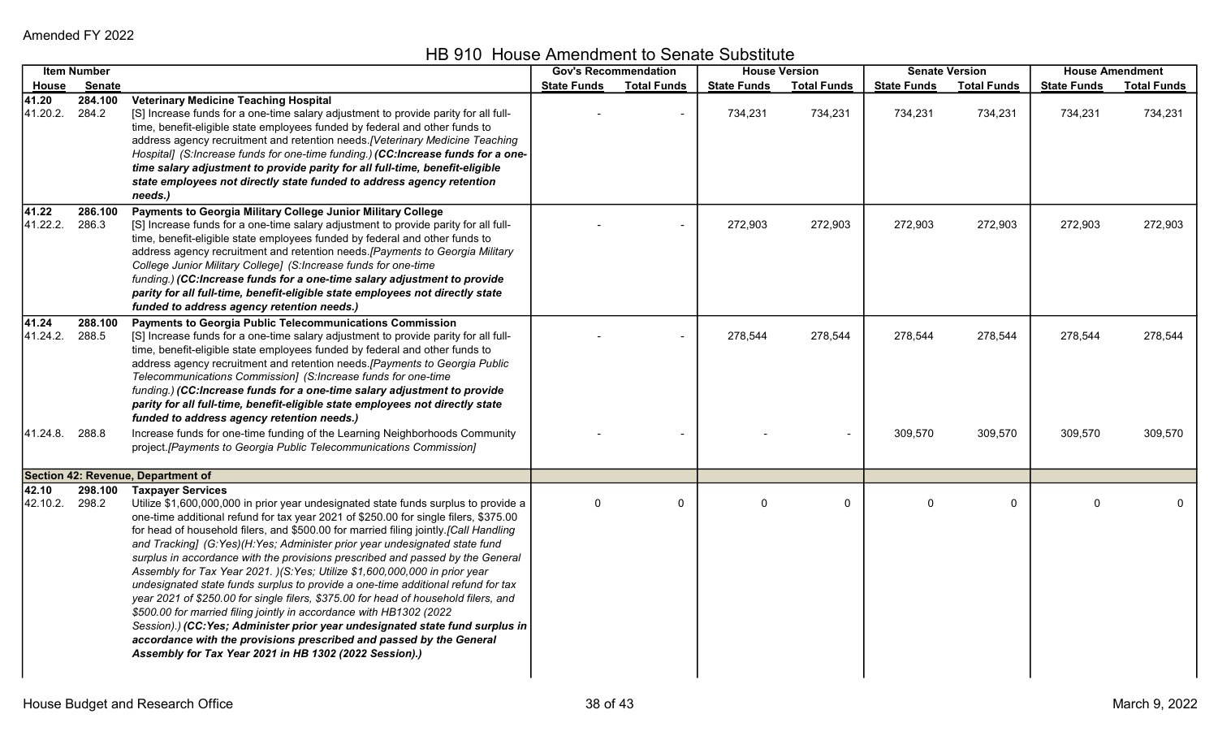HB 910 House Amendment to Senate Substitute

|                                     | <b>Item Number</b> |                                                                                                                                                                                                                                                                                                                                                                                                                                                                                                                                                                                                                                                                                                                                                                                                                                                                                                                                                                                                                   |                    | <b>House Version</b><br><b>Gov's Recommendation</b> |                    |                    | <b>Senate Version</b> |                    | <b>House Amendment</b> |                    |
|-------------------------------------|--------------------|-------------------------------------------------------------------------------------------------------------------------------------------------------------------------------------------------------------------------------------------------------------------------------------------------------------------------------------------------------------------------------------------------------------------------------------------------------------------------------------------------------------------------------------------------------------------------------------------------------------------------------------------------------------------------------------------------------------------------------------------------------------------------------------------------------------------------------------------------------------------------------------------------------------------------------------------------------------------------------------------------------------------|--------------------|-----------------------------------------------------|--------------------|--------------------|-----------------------|--------------------|------------------------|--------------------|
| House                               | <b>Senate</b>      |                                                                                                                                                                                                                                                                                                                                                                                                                                                                                                                                                                                                                                                                                                                                                                                                                                                                                                                                                                                                                   | <b>State Funds</b> | <b>Total Funds</b>                                  | <b>State Funds</b> | <b>Total Funds</b> | <b>State Funds</b>    | <b>Total Funds</b> | <b>State Funds</b>     | <b>Total Funds</b> |
| 41.20<br>41.20.2. 284.2             | 284.100            | <b>Veterinary Medicine Teaching Hospital</b><br>[S] Increase funds for a one-time salary adjustment to provide parity for all full-<br>time, benefit-eligible state employees funded by federal and other funds to<br>address agency recruitment and retention needs. [Veterinary Medicine Teaching<br>Hospital] (S:Increase funds for one-time funding.) (CC:Increase funds for a one-<br>time salary adjustment to provide parity for all full-time, benefit-eligible<br>state employees not directly state funded to address agency retention<br>needs.)                                                                                                                                                                                                                                                                                                                                                                                                                                                       |                    |                                                     | 734,231            | 734,231            | 734,231               | 734,231            | 734,231                | 734,231            |
| 41.22<br>41.22.2.                   | 286.100<br>286.3   | Payments to Georgia Military College Junior Military College<br>[S] Increase funds for a one-time salary adjustment to provide parity for all full-<br>time, benefit-eligible state employees funded by federal and other funds to<br>address agency recruitment and retention needs. [Payments to Georgia Military<br>College Junior Military College] (S:Increase funds for one-time<br>funding.) (CC:Increase funds for a one-time salary adjustment to provide<br>parity for all full-time, benefit-eligible state employees not directly state<br>funded to address agency retention needs.)                                                                                                                                                                                                                                                                                                                                                                                                                 |                    |                                                     | 272,903            | 272,903            | 272,903               | 272,903            | 272,903                | 272,903            |
| 41.24<br>41.24.2.<br>41.24.8. 288.8 | 288.100<br>288.5   | <b>Payments to Georgia Public Telecommunications Commission</b><br>[S] Increase funds for a one-time salary adjustment to provide parity for all full-<br>time, benefit-eligible state employees funded by federal and other funds to<br>address agency recruitment and retention needs. [Payments to Georgia Public<br>Telecommunications Commission] (S:Increase funds for one-time<br>funding.) (CC:Increase funds for a one-time salary adjustment to provide<br>parity for all full-time, benefit-eligible state employees not directly state<br>funded to address agency retention needs.)<br>Increase funds for one-time funding of the Learning Neighborhoods Community                                                                                                                                                                                                                                                                                                                                   |                    |                                                     | 278,544            | 278,544            | 278,544<br>309,570    | 278,544<br>309,570 | 278,544<br>309,570     | 278,544<br>309,570 |
|                                     |                    | project.[Payments to Georgia Public Telecommunications Commission]                                                                                                                                                                                                                                                                                                                                                                                                                                                                                                                                                                                                                                                                                                                                                                                                                                                                                                                                                |                    |                                                     |                    |                    |                       |                    |                        |                    |
|                                     |                    | Section 42: Revenue, Department of                                                                                                                                                                                                                                                                                                                                                                                                                                                                                                                                                                                                                                                                                                                                                                                                                                                                                                                                                                                |                    |                                                     |                    |                    |                       |                    |                        |                    |
| 42.10<br>42.10.2.                   | 298.2              | 298.100 Taxpayer Services<br>Utilize \$1,600,000,000 in prior year undesignated state funds surplus to provide a<br>one-time additional refund for tax year 2021 of \$250.00 for single filers, \$375.00<br>for head of household filers, and \$500.00 for married filing jointly.[Call Handling<br>and Tracking] (G:Yes)(H:Yes; Administer prior year undesignated state fund<br>surplus in accordance with the provisions prescribed and passed by the General<br>Assembly for Tax Year 2021. )(S:Yes; Utilize \$1,600,000,000 in prior year<br>undesignated state funds surplus to provide a one-time additional refund for tax<br>year 2021 of \$250.00 for single filers, \$375.00 for head of household filers, and<br>\$500.00 for married filing jointly in accordance with HB1302 (2022<br>Session).) (CC:Yes; Administer prior year undesignated state fund surplus in<br>accordance with the provisions prescribed and passed by the General<br>Assembly for Tax Year 2021 in HB 1302 (2022 Session).) | $\Omega$           | 0                                                   | $\Omega$           | $\Omega$           | $\Omega$              | $\mathbf 0$        | $\Omega$               |                    |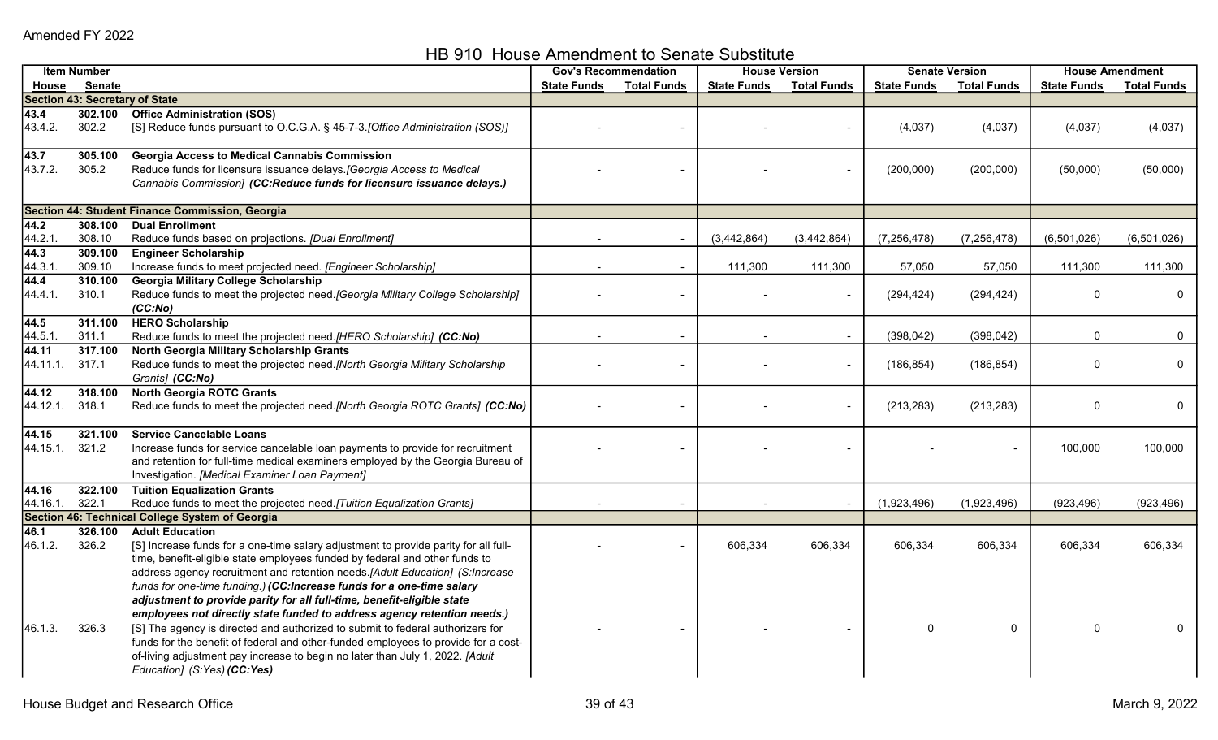HB 910 House Amendment to Senate Substitute

|          | <b>Item Number</b> |                                                                                                                                                                     | <b>Gov's Recommendation</b> |                    | <b>House Version</b> |                    | <b>Senate Version</b> |                    | <b>House Amendment</b> |                    |
|----------|--------------------|---------------------------------------------------------------------------------------------------------------------------------------------------------------------|-----------------------------|--------------------|----------------------|--------------------|-----------------------|--------------------|------------------------|--------------------|
| House    | <b>Senate</b>      |                                                                                                                                                                     | <b>State Funds</b>          | <b>Total Funds</b> | <b>State Funds</b>   | <b>Total Funds</b> | <b>State Funds</b>    | <b>Total Funds</b> | <b>State Funds</b>     | <b>Total Funds</b> |
|          |                    | <b>Section 43: Secretary of State</b>                                                                                                                               |                             |                    |                      |                    |                       |                    |                        |                    |
| 43.4     | 302.100            | <b>Office Administration (SOS)</b>                                                                                                                                  |                             |                    |                      |                    |                       |                    |                        |                    |
| 43.4.2.  | 302.2              | [S] Reduce funds pursuant to O.C.G.A. § 45-7-3. [Office Administration (SOS)]                                                                                       |                             |                    |                      |                    | (4,037)               | (4,037)            | (4,037)                | (4,037)            |
| 43.7     | 305.100            | <b>Georgia Access to Medical Cannabis Commission</b>                                                                                                                |                             |                    |                      |                    |                       |                    |                        |                    |
| 43.7.2.  | 305.2              | Reduce funds for licensure issuance delays. [Georgia Access to Medical<br>Cannabis Commission] (CC:Reduce funds for licensure issuance delays.)                     |                             |                    |                      |                    | (200,000)             | (200,000)          | (50,000)               | (50,000)           |
|          |                    | Section 44: Student Finance Commission, Georgia                                                                                                                     |                             |                    |                      |                    |                       |                    |                        |                    |
| 44.2     | 308.100            | <b>Dual Enrollment</b>                                                                                                                                              |                             |                    |                      |                    |                       |                    |                        |                    |
| 44.2.1   | 308.10             | Reduce funds based on projections. [Dual Enrollment]                                                                                                                |                             |                    | (3,442,864)          | (3,442,864)        | (7, 256, 478)         | (7, 256, 478)      | (6,501,026)            | (6,501,026)        |
| 44.3     | 309.100            | <b>Engineer Scholarship</b>                                                                                                                                         |                             |                    |                      |                    |                       |                    |                        |                    |
| 44.3.1.  | 309.10             | Increase funds to meet projected need. [Engineer Scholarship]                                                                                                       |                             |                    | 111,300              | 111,300            | 57,050                | 57,050             | 111,300                | 111,300            |
| 44.4     | 310.100            | Georgia Military College Scholarship                                                                                                                                |                             |                    |                      |                    |                       |                    |                        |                    |
| 44.4.1.  | 310.1              | Reduce funds to meet the projected need. [Georgia Military College Scholarship]<br>(CC:No)                                                                          |                             |                    |                      |                    | (294, 424)            | (294, 424)         | $\Omega$               | 0                  |
| 44.5     | 311.100            | <b>HERO Scholarship</b>                                                                                                                                             |                             |                    |                      |                    |                       |                    |                        |                    |
| 44.5.1.  | 311.1              | Reduce funds to meet the projected need.[HERO Scholarship] (CC:No)                                                                                                  |                             |                    |                      |                    | (398, 042)            | (398, 042)         | $\Omega$               | 0                  |
| 44.11    | 317.100            | North Georgia Military Scholarship Grants                                                                                                                           |                             |                    |                      |                    |                       |                    |                        |                    |
| 44.11.1. | 317.1              | Reduce funds to meet the projected need.[North Georgia Military Scholarship<br>Grants] (CC:No)                                                                      |                             |                    |                      |                    | (186, 854)            | (186, 854)         | $\Omega$               | $\mathbf 0$        |
| 44.12    | 318.100            | <b>North Georgia ROTC Grants</b>                                                                                                                                    |                             |                    |                      |                    |                       |                    |                        |                    |
| 44.12.1. | 318.1              | Reduce funds to meet the projected need.[North Georgia ROTC Grants] (CC:No)                                                                                         |                             |                    |                      |                    | (213, 283)            | (213, 283)         | $\Omega$               | 0                  |
| 44.15    | 321.100            | <b>Service Cancelable Loans</b>                                                                                                                                     |                             |                    |                      |                    |                       |                    |                        |                    |
| 44.15.1. | 321.2              | Increase funds for service cancelable loan payments to provide for recruitment                                                                                      |                             |                    |                      |                    |                       |                    | 100,000                | 100,000            |
|          |                    | and retention for full-time medical examiners employed by the Georgia Bureau of                                                                                     |                             |                    |                      |                    |                       |                    |                        |                    |
|          |                    | Investigation. [Medical Examiner Loan Payment]                                                                                                                      |                             |                    |                      |                    |                       |                    |                        |                    |
| 44.16    | 322.100            | <b>Tuition Equalization Grants</b>                                                                                                                                  |                             |                    |                      |                    |                       |                    |                        |                    |
| 44.16.1. | 322.1              | Reduce funds to meet the projected need. [Tuition Equalization Grants]                                                                                              |                             |                    |                      |                    | (1,923,496)           | (1,923,496)        | (923, 496)             | (923, 496)         |
|          |                    | Section 46: Technical College System of Georgia                                                                                                                     |                             |                    |                      |                    |                       |                    |                        |                    |
| 46.1     | 326.100            | <b>Adult Education</b>                                                                                                                                              |                             |                    |                      |                    |                       |                    |                        |                    |
| 46.1.2.  | 326.2              | [S] Increase funds for a one-time salary adjustment to provide parity for all full-                                                                                 |                             |                    | 606,334              | 606,334            | 606,334               | 606,334            | 606,334                | 606,334            |
|          |                    | time, benefit-eligible state employees funded by federal and other funds to                                                                                         |                             |                    |                      |                    |                       |                    |                        |                    |
|          |                    | address agency recruitment and retention needs.[Adult Education] (S:Increase                                                                                        |                             |                    |                      |                    |                       |                    |                        |                    |
|          |                    | funds for one-time funding.) (CC:Increase funds for a one-time salary                                                                                               |                             |                    |                      |                    |                       |                    |                        |                    |
|          |                    | adjustment to provide parity for all full-time, benefit-eligible state                                                                                              |                             |                    |                      |                    |                       |                    |                        |                    |
|          |                    | employees not directly state funded to address agency retention needs.)                                                                                             |                             |                    |                      |                    |                       |                    |                        |                    |
| 46.1.3.  | 326.3              | [S] The agency is directed and authorized to submit to federal authorizers for                                                                                      |                             |                    |                      |                    | 0                     | 0                  |                        |                    |
|          |                    | funds for the benefit of federal and other-funded employees to provide for a cost-<br>of-living adjustment pay increase to begin no later than July 1, 2022. [Adult |                             |                    |                      |                    |                       |                    |                        |                    |
|          |                    | Education] (S:Yes) (CC:Yes)                                                                                                                                         |                             |                    |                      |                    |                       |                    |                        |                    |
|          |                    |                                                                                                                                                                     |                             |                    |                      |                    |                       |                    |                        |                    |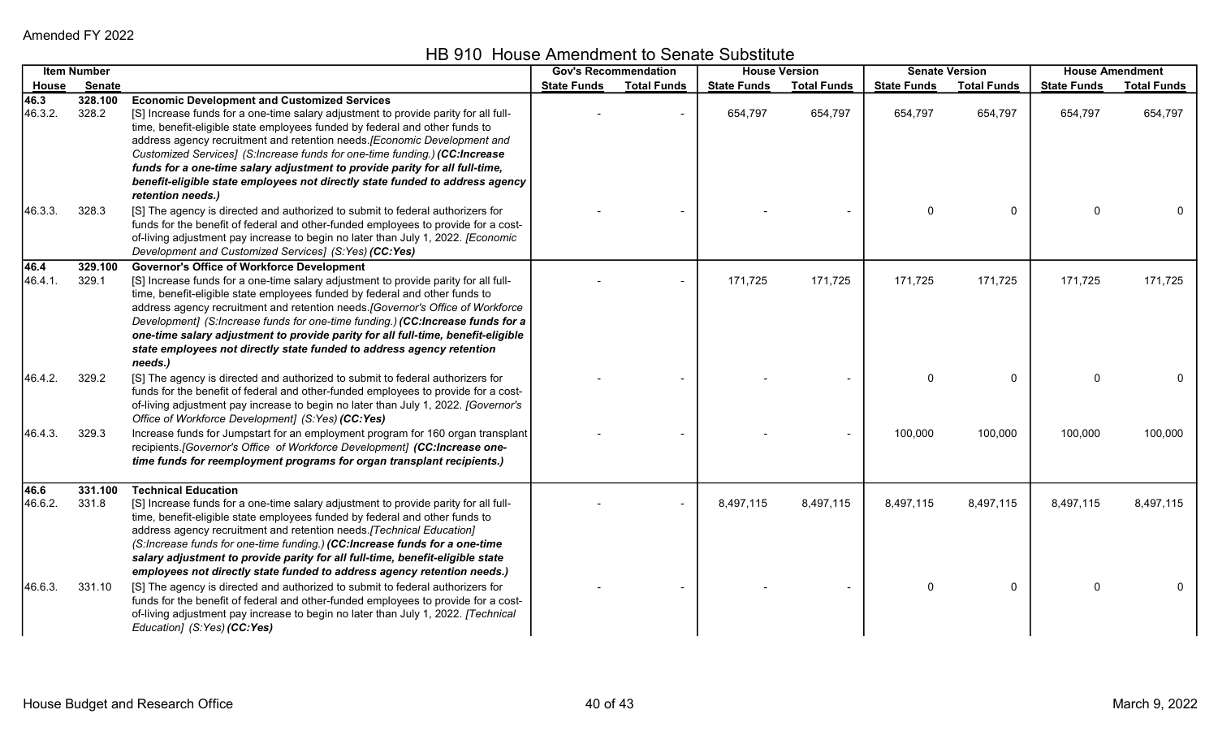|                 | <b>Item Number</b> |                                                                                                                                                                                                                                                                                                                                                                                                                                                                                                                                                                          | <b>Gov's Recommendation</b> |                    | <b>House Version</b> |                    | <b>Senate Version</b> |                    | <b>House Amendment</b> |                    |
|-----------------|--------------------|--------------------------------------------------------------------------------------------------------------------------------------------------------------------------------------------------------------------------------------------------------------------------------------------------------------------------------------------------------------------------------------------------------------------------------------------------------------------------------------------------------------------------------------------------------------------------|-----------------------------|--------------------|----------------------|--------------------|-----------------------|--------------------|------------------------|--------------------|
| <u>House</u>    | <b>Senate</b>      |                                                                                                                                                                                                                                                                                                                                                                                                                                                                                                                                                                          | <b>State Funds</b>          | <b>Total Funds</b> | <b>State Funds</b>   | <b>Total Funds</b> | <b>State Funds</b>    | <b>Total Funds</b> | <b>State Funds</b>     | <b>Total Funds</b> |
| 46.3<br>46.3.2. | 328.100<br>328.2   | <b>Economic Development and Customized Services</b><br>[S] Increase funds for a one-time salary adjustment to provide parity for all full-<br>time, benefit-eligible state employees funded by federal and other funds to<br>address agency recruitment and retention needs. [Economic Development and<br>Customized Services] (S:Increase funds for one-time funding.) (CC:Increase<br>funds for a one-time salary adjustment to provide parity for all full-time,<br>benefit-eligible state employees not directly state funded to address agency<br>retention needs.) |                             |                    | 654,797              | 654,797            | 654,797               | 654,797            | 654,797                | 654,797            |
| 46.3.3.         | 328.3              | [S] The agency is directed and authorized to submit to federal authorizers for<br>funds for the benefit of federal and other-funded employees to provide for a cost-<br>of-living adjustment pay increase to begin no later than July 1, 2022. [Economic<br>Development and Customized Services] (S:Yes) (CC:Yes)                                                                                                                                                                                                                                                        |                             |                    |                      |                    | 0                     | 0                  | $\Omega$               |                    |
| 46.4<br>46.4.1. | 329.100<br>329.1   | <b>Governor's Office of Workforce Development</b><br>[S] Increase funds for a one-time salary adjustment to provide parity for all full-<br>time, benefit-eligible state employees funded by federal and other funds to<br>address agency recruitment and retention needs. [Governor's Office of Workforce<br>Development] (S:Increase funds for one-time funding.) (CC:Increase funds for a<br>one-time salary adjustment to provide parity for all full-time, benefit-eligible<br>state employees not directly state funded to address agency retention<br>needs.)     |                             |                    | 171,725              | 171,725            | 171,725               | 171,725            | 171,725                | 171,725            |
| 46.4.2.         | 329.2              | [S] The agency is directed and authorized to submit to federal authorizers for<br>funds for the benefit of federal and other-funded employees to provide for a cost-<br>of-living adjustment pay increase to begin no later than July 1, 2022. [Governor's<br>Office of Workforce Development] (S:Yes) (CC:Yes)                                                                                                                                                                                                                                                          |                             |                    |                      |                    | $\Omega$              | $\mathbf 0$        | $\Omega$               | 0                  |
| 46.4.3.         | 329.3              | Increase funds for Jumpstart for an employment program for 160 organ transplant<br>recipients.[Governor's Office of Workforce Development] (CC:Increase one-<br>time funds for reemployment programs for organ transplant recipients.)                                                                                                                                                                                                                                                                                                                                   |                             |                    |                      |                    | 100,000               | 100,000            | 100,000                | 100,000            |
| 46.6<br>46.6.2. | 331.100<br>331.8   | <b>Technical Education</b><br>[S] Increase funds for a one-time salary adjustment to provide parity for all full-<br>time, benefit-eligible state employees funded by federal and other funds to<br>address agency recruitment and retention needs. [Technical Education]<br>(S:Increase funds for one-time funding.) (CC:Increase funds for a one-time<br>salary adjustment to provide parity for all full-time, benefit-eligible state<br>employees not directly state funded to address agency retention needs.)                                                      |                             |                    | 8,497,115            | 8,497,115          | 8,497,115             | 8,497,115          | 8,497,115              | 8,497,115          |
| 46.6.3.         | 331.10             | [S] The agency is directed and authorized to submit to federal authorizers for<br>funds for the benefit of federal and other-funded employees to provide for a cost-<br>of-living adjustment pay increase to begin no later than July 1, 2022. [Technical<br>Education] (S:Yes) (CC:Yes)                                                                                                                                                                                                                                                                                 |                             |                    |                      |                    | 0                     | $\Omega$           | $\Omega$               |                    |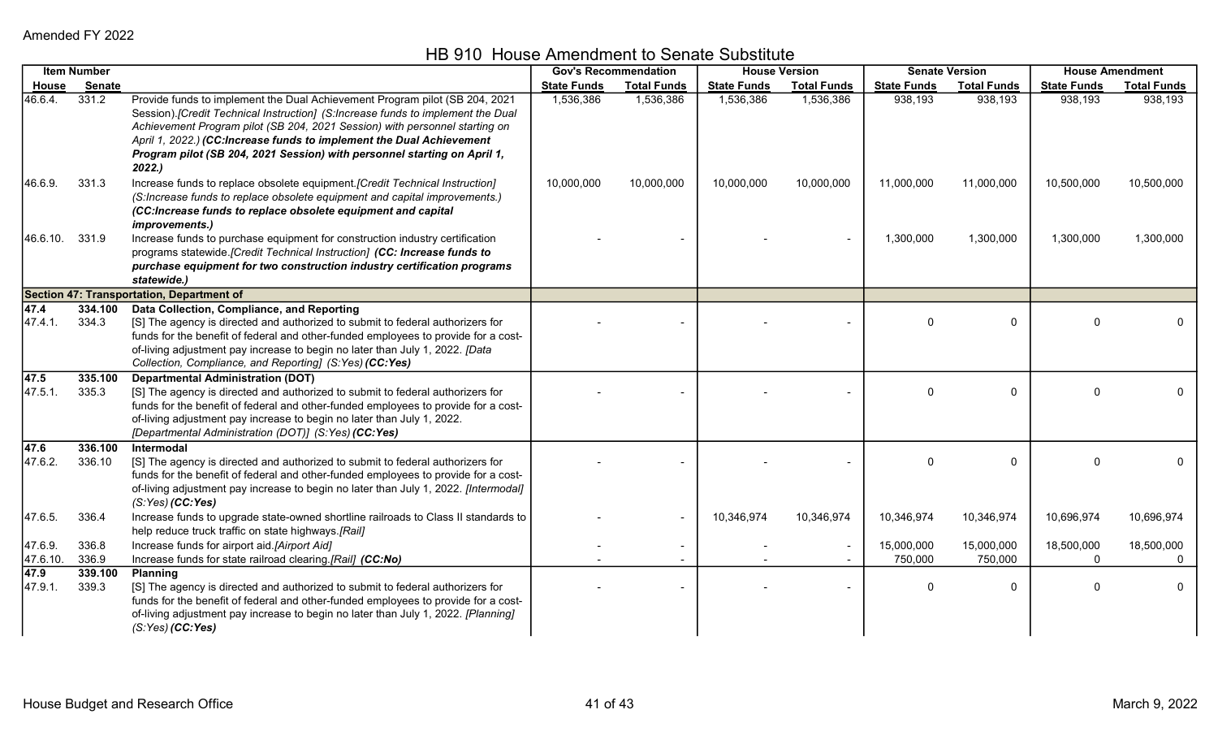| <b>Item Number</b>  |                   | <b>Gov's Recommendation</b>                                                                                                                                                                                                                                                                                                                                                                                 |                    | <b>House Version</b> |                    | <b>Senate Version</b> |                       | <b>House Amendment</b> |                            |                        |
|---------------------|-------------------|-------------------------------------------------------------------------------------------------------------------------------------------------------------------------------------------------------------------------------------------------------------------------------------------------------------------------------------------------------------------------------------------------------------|--------------------|----------------------|--------------------|-----------------------|-----------------------|------------------------|----------------------------|------------------------|
| <u>House</u>        | Senate            |                                                                                                                                                                                                                                                                                                                                                                                                             | <b>State Funds</b> | <b>Total Funds</b>   | <b>State Funds</b> | <b>Total Funds</b>    | <b>State Funds</b>    | <b>Total Funds</b>     | <b>State Funds</b>         | <b>Total Funds</b>     |
| 46.6.4.             | 331.2             | Provide funds to implement the Dual Achievement Program pilot (SB 204, 2021<br>Session).[Credit Technical Instruction] (S:Increase funds to implement the Dual<br>Achievement Program pilot (SB 204, 2021 Session) with personnel starting on<br>April 1, 2022.) (CC:Increase funds to implement the Dual Achievement<br>Program pilot (SB 204, 2021 Session) with personnel starting on April 1,<br>2022.) | 1,536,386          | 1,536,386            | 1,536,386          | 1,536,386             | 938,193               | 938,193                | 938,193                    | 938,193                |
| 46.6.9.             | 331.3             | Increase funds to replace obsolete equipment. [Credit Technical Instruction]<br>(S:Increase funds to replace obsolete equipment and capital improvements.)<br>(CC:Increase funds to replace obsolete equipment and capital<br>improvements.)                                                                                                                                                                | 10,000,000         | 10,000,000           | 10,000,000         | 10,000,000            | 11,000,000            | 11,000,000             | 10,500,000                 | 10,500,000             |
| 46.6.10.            | 331.9             | Increase funds to purchase equipment for construction industry certification<br>programs statewide.[Credit Technical Instruction] (CC: Increase funds to<br>purchase equipment for two construction industry certification programs<br>statewide.)                                                                                                                                                          |                    |                      |                    |                       | 1,300,000             | 1,300,000              | 1,300,000                  | 1,300,000              |
|                     |                   | <b>Section 47: Transportation, Department of</b>                                                                                                                                                                                                                                                                                                                                                            |                    |                      |                    |                       |                       |                        |                            |                        |
| 47.4<br>47.4.1.     | 334.100<br>334.3  | Data Collection, Compliance, and Reporting<br>[S] The agency is directed and authorized to submit to federal authorizers for<br>funds for the benefit of federal and other-funded employees to provide for a cost-<br>of-living adjustment pay increase to begin no later than July 1, 2022. [Data<br>Collection, Compliance, and Reporting] (S:Yes) (CC:Yes)                                               |                    |                      |                    |                       | 0                     | 0                      | U                          |                        |
| 47.5<br>47.5.1.     | 335.100<br>335.3  | <b>Departmental Administration (DOT)</b><br>[S] The agency is directed and authorized to submit to federal authorizers for<br>funds for the benefit of federal and other-funded employees to provide for a cost-<br>of-living adjustment pay increase to begin no later than July 1, 2022.<br>[Departmental Administration (DOT)] (S:Yes) (CC:Yes)                                                          |                    |                      |                    |                       | $\Omega$              | $\mathbf 0$            | $\Omega$                   | $\mathbf 0$            |
| 47.6<br>47.6.2.     | 336.100<br>336.10 | Intermodal<br>[S] The agency is directed and authorized to submit to federal authorizers for<br>funds for the benefit of federal and other-funded employees to provide for a cost-<br>of-living adjustment pay increase to begin no later than July 1, 2022. [Intermodal]<br>$(S:Yes)$ (CC:Yes)                                                                                                             |                    |                      |                    |                       | $\Omega$              | $\mathbf 0$            | $\Omega$                   |                        |
| 47.6.5.             | 336.4             | Increase funds to upgrade state-owned shortline railroads to Class II standards to<br>help reduce truck traffic on state highways.[Rail]                                                                                                                                                                                                                                                                    |                    |                      | 10,346,974         | 10,346,974            | 10,346,974            | 10,346,974             | 10,696,974                 | 10,696,974             |
| 47.6.9.<br>47.6.10. | 336.8<br>336.9    | Increase funds for airport aid.[Airport Aid]<br>Increase funds for state railroad clearing.[Rail] (CC:No)                                                                                                                                                                                                                                                                                                   |                    |                      |                    |                       | 15,000,000<br>750,000 | 15,000,000<br>750,000  | 18,500,000<br>$\mathbf{0}$ | 18,500,000<br>$\Omega$ |
| 47.9<br>47.9.1.     | 339.100<br>339.3  | <b>Planning</b><br>[S] The agency is directed and authorized to submit to federal authorizers for<br>funds for the benefit of federal and other-funded employees to provide for a cost-<br>of-living adjustment pay increase to begin no later than July 1, 2022. [Planning]<br>$(S:Yes)$ (CC:Yes)                                                                                                          |                    |                      |                    |                       |                       | $\Omega$               | O                          | $\mathbf{0}$           |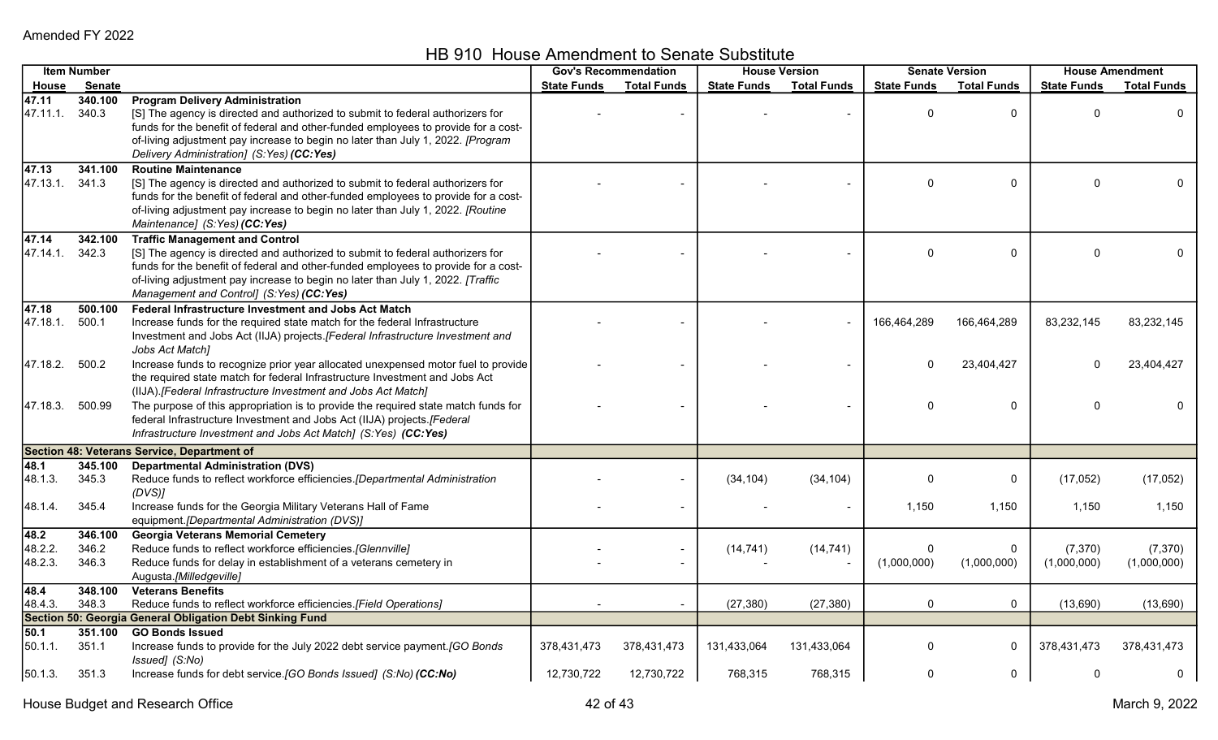HB 910 House Amendment to Senate Substitute

| <b>Item Number</b> |                  | <b>Gov's Recommendation</b>                                                                                                                                          |                    | <b>House Version</b> |                    | <b>Senate Version</b> |                    | <b>House Amendment</b> |                    |                    |
|--------------------|------------------|----------------------------------------------------------------------------------------------------------------------------------------------------------------------|--------------------|----------------------|--------------------|-----------------------|--------------------|------------------------|--------------------|--------------------|
| House              | Senate           |                                                                                                                                                                      | <b>State Funds</b> | <b>Total Funds</b>   | <b>State Funds</b> | <b>Total Funds</b>    | <b>State Funds</b> | <b>Total Funds</b>     | <b>State Funds</b> | <b>Total Funds</b> |
| 47.11              | 340.100          | <b>Program Delivery Administration</b>                                                                                                                               |                    |                      |                    |                       |                    |                        |                    |                    |
| 47.11.1.           | 340.3            | [S] The agency is directed and authorized to submit to federal authorizers for                                                                                       |                    |                      |                    |                       | 0                  | $\mathbf 0$            | $\Omega$           |                    |
|                    |                  | funds for the benefit of federal and other-funded employees to provide for a cost-                                                                                   |                    |                      |                    |                       |                    |                        |                    |                    |
|                    |                  | of-living adjustment pay increase to begin no later than July 1, 2022. [Program                                                                                      |                    |                      |                    |                       |                    |                        |                    |                    |
|                    |                  | Delivery Administration] (S:Yes) (CC:Yes)                                                                                                                            |                    |                      |                    |                       |                    |                        |                    |                    |
| 47.13              | 341.100          | <b>Routine Maintenance</b>                                                                                                                                           |                    |                      |                    |                       | $\Omega$           |                        | $\Omega$           |                    |
| 47.13.1.           | 341.3            | [S] The agency is directed and authorized to submit to federal authorizers for<br>funds for the benefit of federal and other-funded employees to provide for a cost- |                    |                      |                    |                       |                    | $\mathbf 0$            |                    |                    |
|                    |                  | of-living adjustment pay increase to begin no later than July 1, 2022. [Routine                                                                                      |                    |                      |                    |                       |                    |                        |                    |                    |
|                    |                  | Maintenance] (S:Yes) (CC:Yes)                                                                                                                                        |                    |                      |                    |                       |                    |                        |                    |                    |
| 47.14              | 342.100          | <b>Traffic Management and Control</b>                                                                                                                                |                    |                      |                    |                       |                    |                        |                    |                    |
| 47.14.1.           | 342.3            | [S] The agency is directed and authorized to submit to federal authorizers for                                                                                       |                    |                      |                    |                       | $\Omega$           | 0                      | $\Omega$           |                    |
|                    |                  | funds for the benefit of federal and other-funded employees to provide for a cost-                                                                                   |                    |                      |                    |                       |                    |                        |                    |                    |
|                    |                  | of-living adjustment pay increase to begin no later than July 1, 2022. [Traffic                                                                                      |                    |                      |                    |                       |                    |                        |                    |                    |
|                    |                  | Management and Control] (S:Yes) (CC:Yes)                                                                                                                             |                    |                      |                    |                       |                    |                        |                    |                    |
| 47.18              | 500.100          | Federal Infrastructure Investment and Jobs Act Match                                                                                                                 |                    |                      |                    |                       |                    |                        |                    |                    |
| 47.18.1.           | 500.1            | Increase funds for the required state match for the federal Infrastructure                                                                                           |                    |                      |                    |                       | 166,464,289        | 166,464,289            | 83,232,145         | 83,232,145         |
|                    |                  | Investment and Jobs Act (IIJA) projects.[Federal Infrastructure Investment and                                                                                       |                    |                      |                    |                       |                    |                        |                    |                    |
|                    |                  | Jobs Act Match]                                                                                                                                                      |                    |                      |                    |                       |                    |                        |                    |                    |
| 47.18.2.           | 500.2            | Increase funds to recognize prior year allocated unexpensed motor fuel to provide                                                                                    |                    |                      |                    |                       |                    | 23,404,427             | $\Omega$           | 23,404,427         |
|                    |                  | the required state match for federal Infrastructure Investment and Jobs Act                                                                                          |                    |                      |                    |                       |                    |                        |                    |                    |
|                    |                  | (IIJA).[Federal Infrastructure Investment and Jobs Act Match]                                                                                                        |                    |                      |                    |                       |                    |                        |                    |                    |
| 47.18.3. 500.99    |                  | The purpose of this appropriation is to provide the required state match funds for                                                                                   |                    |                      |                    |                       | 0                  | 0                      | $\Omega$           |                    |
|                    |                  | federal Infrastructure Investment and Jobs Act (IIJA) projects.[Federal                                                                                              |                    |                      |                    |                       |                    |                        |                    |                    |
|                    |                  | Infrastructure Investment and Jobs Act Match] (S:Yes) (CC:Yes)                                                                                                       |                    |                      |                    |                       |                    |                        |                    |                    |
|                    |                  | Section 48: Veterans Service, Department of                                                                                                                          |                    |                      |                    |                       |                    |                        |                    |                    |
| 48.1               | 345.100          | <b>Departmental Administration (DVS)</b>                                                                                                                             |                    |                      |                    |                       |                    |                        |                    |                    |
| 48.1.3.            | 345.3            | Reduce funds to reflect workforce efficiencies.[Departmental Administration                                                                                          |                    |                      | (34, 104)          | (34, 104)             | 0                  | 0                      | (17,052)           | (17, 052)          |
|                    |                  | (DVS)                                                                                                                                                                |                    |                      |                    |                       |                    |                        |                    |                    |
| 48.1.4.            | 345.4            | Increase funds for the Georgia Military Veterans Hall of Fame                                                                                                        |                    |                      |                    |                       | 1,150              | 1,150                  | 1,150              | 1,150              |
|                    |                  | equipment.[Departmental Administration (DVS)]                                                                                                                        |                    |                      |                    |                       |                    |                        |                    |                    |
| 48.2               | 346.100          | <b>Georgia Veterans Memorial Cemetery</b>                                                                                                                            |                    |                      |                    |                       |                    |                        |                    |                    |
| 48.2.2.            | 346.2            | Reduce funds to reflect workforce efficiencies.[Glennville]                                                                                                          |                    |                      | (14, 741)          | (14, 741)             | 0                  | 0                      | (7, 370)           | (7, 370)           |
| 48.2.3.            | 346.3            | Reduce funds for delay in establishment of a veterans cemetery in                                                                                                    |                    |                      |                    |                       | (1,000,000)        | (1,000,000)            | (1,000,000)        | (1,000,000)        |
|                    |                  | Augusta.[Milledgeville]                                                                                                                                              |                    |                      |                    |                       |                    |                        |                    |                    |
| 48.4               | 348.100          | <b>Veterans Benefits</b>                                                                                                                                             |                    |                      |                    |                       |                    |                        |                    |                    |
| 48.4.3.            | 348.3            | Reduce funds to reflect workforce efficiencies.[Field Operations]                                                                                                    |                    |                      | (27, 380)          | (27, 380)             | 0                  | $\mathbf{0}$           | (13,690)           | (13,690)           |
| 50.1               |                  | Section 50: Georgia General Obligation Debt Sinking Fund<br><b>GO Bonds Issued</b>                                                                                   |                    |                      |                    |                       |                    |                        |                    |                    |
| 50.1.1.            | 351.100<br>351.1 | Increase funds to provide for the July 2022 debt service payment. [GO Bonds                                                                                          | 378,431,473        | 378,431,473          | 131,433,064        | 131,433,064           | <sup>0</sup>       | 0                      | 378,431,473        | 378,431,473        |
|                    |                  | Issued] (S:No)                                                                                                                                                       |                    |                      |                    |                       |                    |                        |                    |                    |
| 50.1.3.            | 351.3            | Increase funds for debt service. [GO Bonds Issued] (S:No) (CC:No)                                                                                                    | 12,730,722         | 12,730,722           | 768,315            | 768,315               | 0                  | 0                      | $\Omega$           | 0                  |